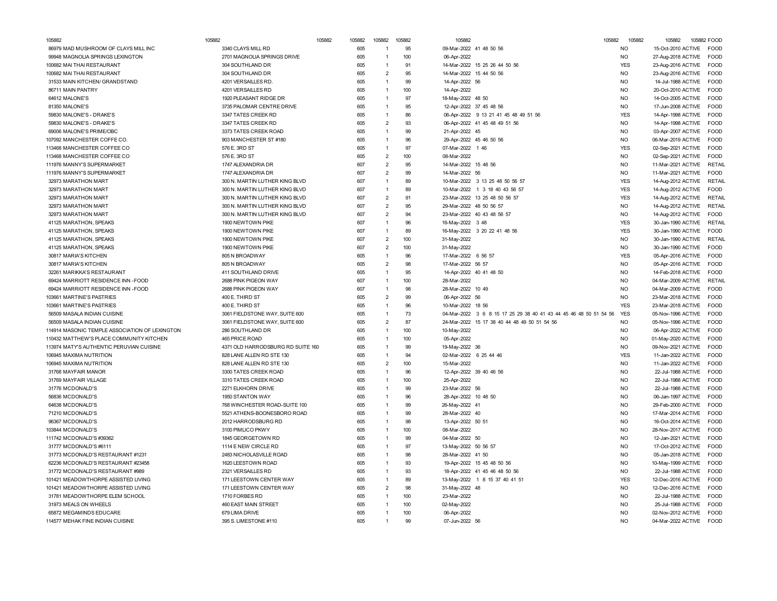| 105882                                          | 105882                            | 105882<br>105882 | 105882 |                | 105882   | 105882                             |                                                                   | 105882<br>105882 | 105882                    | 105882 FOOD                |
|-------------------------------------------------|-----------------------------------|------------------|--------|----------------|----------|------------------------------------|-------------------------------------------------------------------|------------------|---------------------------|----------------------------|
| 86979 MAD MUSHROOM OF CLAYS MILL INC            | 3340 CLAYS MILL RD                | 605              |        | $\overline{1}$ | 95       |                                    | 09-Mar-2022 41 48 50 56                                           | <b>NO</b>        | 15-Oct-2010 ACTIVE FOOD   |                            |
| 99948 MAGNOLIA SPRINGS LEXINGTON                | 2701 MAGNOLIA SPRINGS DRIVE       | 605              |        | $\overline{1}$ | 100      | 06-Apr-2022                        |                                                                   | <b>NO</b>        | 27-Aug-2018 ACTIVE        | <b>FOOD</b>                |
| 100682 MAI THAI RESTAURANT                      | 304 SOUTHLAND DR                  | 605              |        | $\overline{1}$ | 91       |                                    | 14-Mar-2022 15 25 26 44 50 56                                     | <b>YES</b>       | 23-Aug-2016 ACTIVE        | FOOD                       |
| 100682 MAI THAI RESTAURANT                      | 304 SOUTHLAND DR                  | 605              |        | $\overline{2}$ | 95       |                                    | 14-Mar-2022 15 44 50 56                                           | N <sub>O</sub>   | 23-Aug-2016 ACTIVE        | <b>FOOD</b>                |
| 31533 MAIN KITCHEN/ GRANDSTAND                  | 4201 VERSAILLES RD                | 605              |        | $\overline{1}$ | 99       | 14-Apr-2022 56                     |                                                                   | N <sub>O</sub>   | 14-Jul-1988 ACTIVE        | <b>FOOD</b>                |
| 86711 MAIN PANTRY                               | 4201 VERSAILLES RD                | 605              |        | $\overline{1}$ | 100      | 14-Apr-2022                        |                                                                   | N <sub>O</sub>   | 20-Oct-2010 ACTIVE        | <b>FOOD</b>                |
| 64612 MALONE'S                                  | 1920 PLEASANT RIDGE DR            | 605              |        | $\overline{1}$ | 97       | 18-May-2022 48 50                  |                                                                   | <b>NO</b>        | 14-Oct-2005 ACTIVE        | FOOD                       |
| 81350 MALONE'S                                  | 3735 PALOMAR CENTRE DRIVE         | 605              |        | $\overline{1}$ | 95       |                                    | 12-Apr-2022 37 45 48 56                                           | <b>NO</b>        | 17-Jun-2008 ACTIVE        | <b>FOOD</b>                |
| 59830 MALONE'S - DRAKE'S                        | 3347 TATES CREEK RD               | 605              |        | $\mathbf{1}$   | 86       |                                    | 06-Apr-2022 9 13 21 41 45 48 49 51 56                             | <b>YES</b>       | 14-Apr-1998 ACTIVE        | FOOD                       |
| 59830 MALONE'S - DRAKE'S                        | 3347 TATES CREEK RD               | 605              |        | $\overline{2}$ | 93       |                                    | 06-Apr-2022 41 45 48 49 51 56                                     | <b>NO</b>        | 14-Apr-1998 ACTIVE        | <b>FOOD</b>                |
| 69006 MALONE'S PRIME/OBC                        | 3373 TATES CREEK ROAD             | 605              |        |                | 99       | 21-Apr-2022 45                     |                                                                   | <b>NO</b>        | 03-Apr-2007 ACTIVE        | <b>FOOD</b>                |
| 107092 MANCHESTER COFFE CO.                     | 903 MANCHESTER ST #180            | 605              |        | $\overline{1}$ | 96       |                                    | 29-Apr-2022 45 46 50 56                                           | N <sub>O</sub>   | 06-Mar-2019 ACTIVE        | <b>FOOD</b>                |
| 113468 MANCHESTER COFFEE CO                     | 576 E. 3RD ST                     | 605              |        | $\overline{1}$ | 97       | 07-Mar-2022 1 46                   |                                                                   | <b>YES</b>       | 02-Sep-2021 ACTIVE        | <b>FOOD</b>                |
| 113468 MANCHESTER COFFEE CO                     | 576 E. 3RD ST                     | 605              |        | $\overline{2}$ | 100      | 08-Mar-2022                        |                                                                   | N <sub>O</sub>   | 02-Sep-2021 ACTIVE        | FOOD                       |
| 111976 MANNY'S SUPERMARKET                      | 1747 ALEXANDRIA DR                | 607              |        | $\overline{2}$ | 95       | 14-Mar-2022 15 48 56               |                                                                   | N <sub>O</sub>   | 11-Mar-2021 ACTIVE        | <b>RETAIL</b>              |
| 111976 MANNY'S SUPERMARKET                      | 1747 ALEXANDRIA DR                | 607              |        | $\overline{2}$ | 99       | 14-Mar-2022 56                     |                                                                   | NO               | 11-Mar-2021 ACTIVE        | <b>FOOD</b>                |
| 32973 MARATHON MART                             | 300 N. MARTIN LUTHER KING BLVD    | 607              |        | 1              | 89       |                                    | 10-Mar-2022 3 13 25 48 50 56 57                                   | <b>YES</b>       | 14-Aug-2012 ACTIVE        | <b>RETAIL</b>              |
| 32973 MARATHON MART                             | 300 N. MARTIN LUTHER KING BLVD    | 607              |        | $\overline{1}$ | 89       |                                    | 10-Mar-2022 1 3 18 40 43 56 57                                    | <b>YES</b>       | 14-Aug-2012 ACTIVE        | <b>FOOD</b>                |
| 32973 MARATHON MART                             | 300 N. MARTIN LUTHER KING BLVD    | 607              |        | $\overline{2}$ | 91       |                                    | 23-Mar-2022 13 25 48 50 56 57                                     | <b>YES</b>       | 14-Aug-2012 ACTIVE RETAIL |                            |
| 32973 MARATHON MART                             | 300 N. MARTIN LUTHER KING BLVD    | 607              |        | $\overline{2}$ | 95       | 29-Mar-2022 48 50 56 57            |                                                                   | NO.              | 14-Aug-2012 ACTIVE        | <b>RETAIL</b>              |
| 32973 MARATHON MART                             | 300 N. MARTIN LUTHER KING BLVD    | 607              |        | $\overline{2}$ | 94       |                                    | 23-Mar-2022 40 43 48 56 57                                        | NO               | 14-Aug-2012 ACTIVE        | <b>FOOD</b>                |
| 41125 MARATHON, SPEAKS                          | 1900 NEWTOWN PIKE                 | 607              |        | 1              | 96       | 16-May-2022 3 48                   |                                                                   | <b>YES</b>       | 30-Jan-1990 ACTIVE RETAIL |                            |
| 41125 MARATHON, SPEAKS                          | 1900 NEWTOWN PIKE                 | 607              |        | $\overline{1}$ | 89       |                                    | 16-May-2022 3 20 22 41 48 56                                      | <b>YES</b>       | 30-Jan-1990 ACTIVE        | <b>FOOD</b>                |
| 41125 MARATHON, SPEAKS                          | 1900 NEWTOWN PIKE                 | 607              |        | $\overline{2}$ | 100      | 31-May-2022                        |                                                                   | N <sub>O</sub>   | 30-Jan-1990 ACTIVE        | RETAIL                     |
|                                                 | 1900 NEWTOWN PIKE                 | 607              |        | $\overline{2}$ | 100      |                                    |                                                                   | N <sub>O</sub>   | 30-Jan-1990 ACTIVE FOOD   |                            |
| 41125 MARATHON, SPEAKS<br>30817 MARIA'S KITCHEN | 805 N BROADWAY                    | 605              |        | $\overline{1}$ | 96       | 31-May-2022<br>17-Mar-2022 6 56 57 |                                                                   | <b>YES</b>       |                           | <b>FOOD</b>                |
|                                                 |                                   |                  |        | $\overline{2}$ |          |                                    |                                                                   |                  | 05-Apr-2016 ACTIVE        |                            |
| 30817 MARIA'S KITCHEN                           | 805 N BROADWAY                    | 605              |        |                | 98<br>95 | 17-Mar-2022 56 57                  |                                                                   | NO               | 05-Apr-2016 ACTIVE        | <b>FOOD</b><br><b>FOOD</b> |
| 32261 MARIKKA'S RESTAURANT                      | 411 SOUTHLAND DRIVE               | 605              |        | $\overline{1}$ |          |                                    | 14-Apr-2022 40 41 48 50                                           | N <sub>O</sub>   | 14-Feb-2018 ACTIVE        |                            |
| 69424 MARRIOTT RESIDENCE INN -FOOD              | 2688 PINK PIGEON WAY              | 607              |        | $\overline{1}$ | 100      | 28-Mar-2022                        |                                                                   | <b>NO</b>        | 04-Mar-2009 ACTIVE        | <b>RETAIL</b>              |
| 69424 MARRIOTT RESIDENCE INN -FOOD              | 2688 PINK PIGEON WAY              | 607              |        | $\overline{1}$ | 98       | 28-Mar-2022 10 49                  |                                                                   | <b>NO</b>        | 04-Mar-2009 ACTIVE        | <b>FOOD</b>                |
| 103661 MARTINE'S PASTRIES                       | 400 E. THIRD ST                   | 605              |        | $\overline{2}$ | 99       | 06-Apr-2022 56                     |                                                                   | N <sub>O</sub>   | 23-Mar-2018 ACTIVE        | <b>FOOD</b>                |
| 103661 MARTINE'S PASTRIES                       | 400 E. THIRD ST                   | 605              |        | $\overline{1}$ | 96       | 10-Mar-2022 18 56                  |                                                                   | <b>YES</b>       | 23-Mar-2018 ACTIVE        | <b>FOOD</b>                |
| 56509 MASALA INDIAN CUISINE                     | 3061 FIELDSTONE WAY, SUITE 600    | 605              |        | 1              | 73       |                                    | 04-Mar-2022 3 6 8 15 17 25 29 38 40 41 43 44 45 46 48 50 51 54 56 | <b>YES</b>       | 05-Nov-1996 ACTIVE        | <b>FOOD</b>                |
| 56509 MASALA INDIAN CUISINE                     | 3061 FIELDSTONE WAY, SUITE 600    | 605              |        | $\overline{2}$ | 87       |                                    | 24-Mar-2022 15 17 38 40 44 48 49 50 51 54 56                      | N <sub>O</sub>   | 05-Nov-1996 ACTIVE        | <b>FOOD</b>                |
| 114914 MASONIC TEMPLE ASSOCIATION OF LEXINGTON  | 286 SOUTHLAND DR                  | 605              |        | $\overline{1}$ | 100      | 10-May-2022                        |                                                                   | N <sub>O</sub>   | 06-Apr-2022 ACTIVE        | <b>FOOD</b>                |
| 110432 MATTHEW'S PLACE COMMUNITY KITCHEN        | 465 PRICE ROAD                    | 605              |        | $\overline{1}$ | 100      | 05-Apr-2022                        |                                                                   | NO               | 01-May-2020 ACTIVE        | <b>FOOD</b>                |
| 113974 MATY'S AUTHENTIC PERUVIAN CUISINE        | 4371 OLD HARRODSBURG RD SUITE 160 | 605              |        | $\overline{1}$ | 99       | 19-May-2022 36                     |                                                                   | NO               | 09-Nov-2021 ACTIVE        | <b>EOOD</b>                |
| 106945 MAXIMA NUTRITION                         | 828 LANE ALLEN RD STE 130         | 605              |        | $\mathbf{1}$   | 94       | 02-Mar-2022 6 25 44 46             |                                                                   | <b>YES</b>       | 11-Jan-2022 ACTIVE        | FOOD                       |
| 106945 MAXIMA NUTRITION                         | 828 LANE ALLEN RD STE 130         | 605              |        | $\overline{2}$ | 100      | 15-Mar-2022                        |                                                                   | <b>NO</b>        | 11-Jan-2022 ACTIVE        | <b>FOOD</b>                |
| 31768 MAYFAIR MANOR                             | 3300 TATES CREEK ROAD             | 605              |        | $\overline{1}$ | 96       |                                    | 12-Apr-2022 39 40 46 56                                           | <b>NO</b>        | 22-Jul-1988 ACTIVE        | <b>FOOD</b>                |
| 31769 MAYFAIR VILLAGE                           | 3310 TATES CREEK ROAD             | 605              |        | $\overline{1}$ | 100      | 25-Apr-2022                        |                                                                   | N <sub>O</sub>   | 22-Jul-1988 ACTIVE        | <b>FOOD</b>                |
| 31776 MCDONALD'S                                | 2271 ELKHORN DRIVE                | 605              |        | $\overline{1}$ | 99       | 23-Mar-2022 56                     |                                                                   | N <sub>O</sub>   | 22-Jul-1988 ACTIVE        | <b>FOOD</b>                |
| 56836 MCDONALD'S                                | 1950 STANTON WAY                  | 605              |        | 1              | 96       | 28-Apr-2022 10 48 50               |                                                                   | N <sub>O</sub>   | 06-Jan-1997 ACTIVE        | <b>FOOD</b>                |
| 64638 MCDONALD'S                                | 768 WINCHESTER ROAD-SUITE 100     | 605              |        | 1              | 99       | 26-May-2022 41                     |                                                                   | N <sub>O</sub>   | 29-Feb-2000 ACTIVE        | <b>FOOD</b>                |
| 71210 MCDONALD'S                                | 5521 ATHENS-BOONESBORO ROAD       | 605              |        | $\overline{1}$ | 99       | 28-Mar-2022 40                     |                                                                   | N <sub>O</sub>   | 17-Mar-2014 ACTIVE        | <b>EOOD</b>                |
| 96367 MCDONALD'S                                | 2012 HARRODSBURG RD               | 605              |        | $\mathbf{1}$   | 98       | 13-Apr-2022 50 51                  |                                                                   | <b>NO</b>        | 16-Oct-2014 ACTIVE        | FOOD                       |
| 103844 MCDONALD'S                               | 3100 PIMLICO PKWY                 | 605              |        | $\mathbf{1}$   | 100      | 08-Mar-2022                        |                                                                   | <b>NO</b>        | 28-Nov-2017 ACTIVE        | <b>FOOD</b>                |
| 111742 MCDONALD'S #39362                        | 1845 GEORGETOWN RD                | 605              |        | $\overline{1}$ | 99       | 04-Mar-2022 50                     |                                                                   | <b>NO</b>        | 12-Jan-2021 ACTIVE        | <b>FOOD</b>                |
| 31777 MCDONALD'S #6111                          | 1114 E NEW CIRCLE RD              | 605              |        | $\overline{1}$ | 97       | 13-May-2022 50 56 57               |                                                                   | N <sub>O</sub>   | 17-Oct-2012 ACTIVE        | <b>FOOD</b>                |
| 31773 MCDONALD'S RESTAURANT #1231               | 2483 NICHOLASVILLE ROAD           | 605              |        | $\overline{1}$ | 98       | 28-Mar-2022 41 50                  |                                                                   | <b>NO</b>        | 05-Jan-2018 ACTIVE        | <b>FOOD</b>                |
| 62236 MCDONALD'S RESTAURANT #23458              | 1620 LEESTOWN ROAD                | 605              |        | $\overline{1}$ | 93       |                                    | 19-Apr-2022 15 45 48 50 56                                        | N <sub>O</sub>   | 10-May-1999 ACTIVE        | <b>FOOD</b>                |
| 31772 MCDONALD'S RESTAURANT #989                | 2321 VERSAILLES RD                | 605              |        | $\overline{1}$ | 93       |                                    | 18-Apr-2022 41 45 46 48 50 56                                     | N <sub>O</sub>   | 22-Jul-1988 ACTIVE        | <b>FOOD</b>                |
| 101421 MEADOWTHORPE ASSISTED LIVING             | 171 LEESTOWN CENTER WAY           | 605              |        | $\overline{1}$ | 89       |                                    | 13-May-2022 1 8 15 37 40 41 51                                    | <b>YES</b>       | 12-Dec-2016 ACTIVE        | <b>FOOD</b>                |
| 101421 MEADOWTHORPE ASSISTED LIVING             | 171 LEESTOWN CENTER WAY           | 605              |        | $\overline{2}$ | 98       | 31-May-2022 48                     |                                                                   | NO               | 12-Dec-2016 ACTIVE        | <b>FOOD</b>                |
| 31781 MEADOWTHORPE ELEM SCHOOL                  | 1710 FORBES RD                    | 605              |        | $\overline{1}$ | 100      | 23-Mar-2022                        |                                                                   | <b>NO</b>        | 22-Jul-1988 ACTIVE        | <b>FOOD</b>                |
| 31973 MEALS ON WHEELS                           | 460 EAST MAIN STREET              | 605              |        | $\overline{1}$ | 100      | 02-May-2022                        |                                                                   | N <sub>O</sub>   | 25-Jul-1988 ACTIVE        | <b>FOOD</b>                |
| 65872 MEGAMINDS EDUCARE                         | 679 LIMA DRIVE                    | 605              |        | $\overline{1}$ | 100      | 06-Apr-2022                        |                                                                   | N <sub>O</sub>   | 02-Nov-2012 ACTIVE        | <b>FOOD</b>                |
| 114577 MEHAK FINE INDIAN CUISINE                | 395 S. LIMESTONE #110             | 605              |        |                | 99       | 07-Jun-2022 56                     |                                                                   | N <sub>O</sub>   | 04-Mar-2022 ACTIVE FOOD   |                            |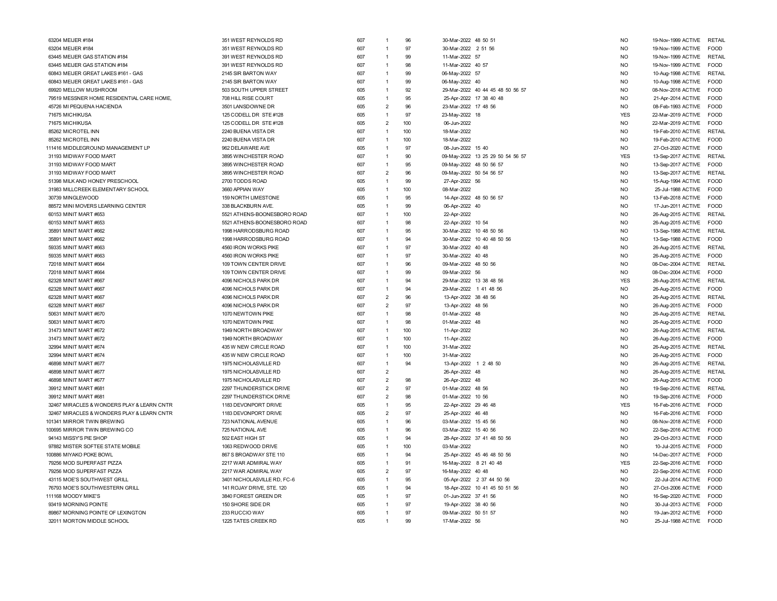| 63204 MEIJER #184                          | 351 WEST REYNOLDS RD        | 607 | $\mathbf{1}$   | 96  | 30-Mar-2022 48 50 51             | <b>NO</b>      | 19-Nov-1999 ACTIVE RETAIL |               |
|--------------------------------------------|-----------------------------|-----|----------------|-----|----------------------------------|----------------|---------------------------|---------------|
| 63204 MEIJER #184                          | 351 WEST REYNOLDS RD        | 607 | $\overline{1}$ | 97  | 30-Mar-2022 2 51 56              | <b>NO</b>      | 19-Nov-1999 ACTIVE        | <b>FOOD</b>   |
| 63445 MEIJER GAS STATION #184              | 391 WEST REYNOLDS RD        | 607 | $\overline{1}$ | 99  | 11-Mar-2022 57                   | <b>NO</b>      | 19-Nov-1999 ACTIVE        | <b>RETAIL</b> |
| 63445 MEIJER GAS STATION #184              | 391 WEST REYNOLDS RD        | 607 | $\overline{1}$ | 98  | 11-Mar-2022 40 57                | <b>NO</b>      | 19-Nov-1999 ACTIVE        | <b>FOOD</b>   |
| 60843 MEIJER GREAT LAKES #161 - GAS        | 2145 SIR BARTON WAY         | 607 | $\overline{1}$ | 99  | 06-May-2022 57                   | <b>NO</b>      | 10-Aug-1998 ACTIVE        | RETAIL        |
| 60843 MEIJER GREAT LAKES #161 - GAS        | 2145 SIR BARTON WAY         | 607 | $\overline{1}$ | 99  | 06-May-2022 40                   | <b>NO</b>      | 10-Aug-1998 ACTIVE        | FOOD          |
| 69920 MELLOW MUSHROOM                      | 503 SOUTH UPPER STREET      | 605 | $\overline{1}$ | 92  | 29-Mar-2022 40 44 45 48 50 56 57 | N <sub>O</sub> | 08-Nov-2018 ACTIVE        | <b>FOOD</b>   |
| 79519 MESSNER HOME RESIDENTIAL CARE HOME,  | 708 HILL RISE COURT         | 605 | $\overline{1}$ | 95  | 25-Apr-2022 17 38 40 48          | N <sub>O</sub> | 21-Apr-2014 ACTIVE        | <b>FOOD</b>   |
| 45726 MI PEQUENA HACIENDA                  | 3501 LANSDOWNE DR           | 605 | $\overline{2}$ | 96  | 23-Mar-2022 17 48 56             | <b>NO</b>      | 08-Feb-1993 ACTIVE        | <b>FOOD</b>   |
| 71675 MICHIKUSA                            | 125 CODELL DR STE #128      | 605 | $\overline{1}$ | 97  | 23-May-2022 18                   | <b>YES</b>     | 22-Mar-2019 ACTIVE        | FOOD          |
| 71675 MICHIKUSA                            | 125 CODELL DR STE #128      | 605 | $\overline{2}$ | 100 | 06-Jun-2022                      | N <sub>O</sub> | 22-Mar-2019 ACTIVE        | <b>FOOD</b>   |
| 85262 MICROTEL INN                         | 2240 BUENA VISTA DR         | 607 | $\overline{1}$ | 100 | 18-Mar-2022                      | N <sub>O</sub> | 19-Feb-2010 ACTIVE RETAIL |               |
| 85262 MICROTEL INN                         | 2240 BUENA VISTA DR         | 607 | $\overline{1}$ | 100 | 18-Mar-2022                      | <b>NO</b>      | 19-Feb-2010 ACTIVE        | <b>EOOD</b>   |
| 111416 MIDDLEGROUND MANAGEMENT LP          | 962 DELAWARE AVE            | 605 | $\overline{1}$ | 97  | 08-Jun-2022 15 40                | <b>NO</b>      | 27-Oct-2020 ACTIVE        | <b>FOOD</b>   |
|                                            |                             |     | $\overline{1}$ | 90  |                                  | <b>YES</b>     |                           | <b>RETAIL</b> |
| 31193 MIDWAY FOOD MART                     | 3895 WINCHESTER ROAD        | 607 |                | 95  | 09-May-2022 13 25 29 50 54 56 57 | <b>NO</b>      | 13-Sep-2017 ACTIVE        |               |
| 31193 MIDWAY FOOD MART                     | 3895 WINCHESTER ROAD        | 607 | $\overline{1}$ |     | 09-May-2022 48 50 56 57          |                | 13-Sep-2017 ACTIVE        | <b>FOOD</b>   |
| 31193 MIDWAY FOOD MART                     | 3895 WINCHESTER ROAD        | 607 | $\overline{2}$ | 96  | 09-May-2022 50 54 56 57          | <b>NO</b>      | 13-Sep-2017 ACTIVE        | <b>RETAIL</b> |
| 51398 MILK AND HONEY PRESCHOOL             | 2700 TODDS ROAD             | 605 | $\overline{1}$ | 99  | 27-Apr-2022 56                   | N <sub>O</sub> | 15-Aug-1994 ACTIVE        | <b>FOOD</b>   |
| 31983 MILLCREEK ELEMENTARY SCHOOL          | 3660 APPIAN WAY             | 605 | $\overline{1}$ | 100 | 08-Mar-2022                      | N <sub>O</sub> | 25-Jul-1988 ACTIVE        | <b>FOOD</b>   |
| 30739 MINGLEWOOD                           | 159 NORTH LIMESTONE         | 605 | $\overline{1}$ | 95  | 14-Apr-2022 48 50 56 57          | <b>NO</b>      | 13-Feb-2018 ACTIVE        | FOOD          |
| 88572 MINI MOVERS LEARNING CENTER          | 338 BLACKBURN AVE.          | 605 | $\overline{1}$ | 99  | 06-Apr-2022 40                   | <b>NO</b>      | 17-Jun-2011 ACTIVE        | <b>FOOD</b>   |
| 60153 MINIT MART #653                      | 5521 ATHENS-BOONESBORO ROAD | 607 | $\overline{1}$ | 100 | 22-Apr-2022                      | N <sub>O</sub> | 26-Aug-2015 ACTIVE        | RETAIL        |
| 60153 MINIT MART #653                      | 5521 ATHENS-BOONESBORO ROAD | 607 | $\overline{1}$ | 98  | 22-Apr-2022 10 54                | N <sub>O</sub> | 26-Aug-2015 ACTIVE        | <b>FOOD</b>   |
| 35891 MINIT MART #662                      | 1998 HARRODSBURG ROAD       | 607 | $\overline{1}$ | 95  | 30-Mar-2022 10 48 50 56          | N <sub>O</sub> | 13-Sep-1988 ACTIVE        | RETAIL        |
| 35891 MINIT MART #662                      | 1998 HARRODSBURG ROAD       | 607 | $\overline{1}$ | 94  | 30-Mar-2022 10 40 48 50 56       | <b>NO</b>      | 13-Sep-1988 ACTIVE        | <b>FOOD</b>   |
| 59335 MINIT MART #663                      | 4560 IRON WORKS PIKE        | 607 | $\overline{1}$ | 97  | 30-Mar-2022 40 48                | <b>NO</b>      | 26-Aug-2015 ACTIVE        | RETAIL        |
| 59335 MINIT MART #663                      | 4560 IRON WORKS PIKE        | 607 | $\overline{1}$ | 97  | 30-Mar-2022 40 48                | <b>NO</b>      | 26-Aug-2015 ACTIVE        | <b>FOOD</b>   |
| 72018 MINIT MART #664                      | 109 TOWN CENTER DRIVE       | 607 | $\overline{1}$ | 96  | 09-Mar-2022 48 50 56             | <b>NO</b>      | 08-Dec-2004 ACTIVE        | <b>RETAIL</b> |
| 72018 MINIT MART #664                      | 109 TOWN CENTER DRIVE       | 607 | $\overline{1}$ | 99  | 09-Mar-2022 56                   | <b>NO</b>      | 08-Dec-2004 ACTIVE        | <b>FOOD</b>   |
| 62328 MINIT MART #667                      | 4096 NICHOLS PARK DR        | 607 | $\overline{1}$ | 94  | 29-Mar-2022 13 38 48 56          | <b>YES</b>     | 26-Aug-2015 ACTIVE        | <b>RETAIL</b> |
| 62328 MINIT MART #667                      | 4096 NICHOLS PARK DR        | 607 | $\overline{1}$ | 94  | 29-Mar-2022 1 41 48 56           | <b>NO</b>      | 26-Aug-2015 ACTIVE        | <b>FOOD</b>   |
| 62328 MINIT MART #667                      | 4096 NICHOLS PARK DR        | 607 | $\overline{2}$ | 96  | 13-Apr-2022 38 48 56             | N <sub>O</sub> | 26-Aug-2015 ACTIVE        | <b>RETAIL</b> |
| 62328 MINIT MART #667                      | 4096 NICHOLS PARK DR        | 607 | $\overline{2}$ | 97  | 13-Apr-2022 48 56                | N <sub>O</sub> | 26-Aug-2015 ACTIVE        | <b>FOOD</b>   |
| 50631 MINIT MART #670                      | 1070 NEWTOWN PIKE           | 607 | $\overline{1}$ | 98  | 01-Mar-2022 48                   | <b>NO</b>      | 26-Aug-2015 ACTIVE        | <b>RETAIL</b> |
| 50631 MINIT MART #670                      | 1070 NEWTOWN PIKE           | 607 | $\overline{1}$ | 98  | 01-Mar-2022 48                   | N <sub>O</sub> | 26-Aug-2015 ACTIVE        | <b>FOOD</b>   |
| 31473 MINIT MART #672                      | 1949 NORTH BROADWAY         | 607 | $\overline{1}$ | 100 | 11-Apr-2022                      | <b>NO</b>      | 26-Aug-2015 ACTIVE        | <b>RETAIL</b> |
| 31473 MINIT MART #672                      | 1949 NORTH BROADWAY         | 607 | $\overline{1}$ | 100 | 11-Apr-2022                      | <b>NO</b>      | 26-Aug-2015 ACTIVE        | <b>FOOD</b>   |
| 32994 MINIT MART #674                      | 435 W NEW CIRCLE ROAD       | 607 | $\overline{1}$ | 100 | 31-Mar-2022                      | <b>NO</b>      | 26-Aug-2015 ACTIVE        | <b>RETAIL</b> |
| 32994 MINIT MART #674                      | 435 W NEW CIRCLE ROAD       | 607 | $\overline{1}$ | 100 | 31-Mar-2022                      | <b>NO</b>      | 26-Aug-2015 ACTIVE        | <b>FOOD</b>   |
| 46898 MINIT MART #677                      | 1975 NICHOLASVILLE RD       | 607 | $\overline{1}$ | 94  | 13-Apr-2022 1 2 48 50            | N <sub>O</sub> | 26-Aug-2015 ACTIVE        | <b>RETAIL</b> |
| 46898 MINIT MART #677                      | 1975 NICHOLASVILLE RD       | 607 | $\overline{2}$ |     | 26-Apr-2022 48                   | <b>NO</b>      | 26-Aug-2015 ACTIVE        | <b>RETAIL</b> |
| 46898 MINIT MART #677                      | 1975 NICHOLASVILLE RD       | 607 | $\overline{2}$ | 98  | 26-Apr-2022 48                   | <b>NO</b>      | 26-Aug-2015 ACTIVE        | <b>FOOD</b>   |
| 39912 MINIT MART #681                      | 2297 THUNDERSTICK DRIVE     | 607 | $\overline{2}$ | 97  | 01-Mar-2022 48 56                | N <sub>O</sub> | 19-Sep-2016 ACTIVE        | RETAIL        |
| 39912 MINIT MART #681                      | 2297 THUNDERSTICK DRIVE     | 607 | $\overline{2}$ | 98  | 01-Mar-2022 10 56                | N <sub>O</sub> | 19-Sep-2016 ACTIVE        | <b>FOOD</b>   |
| 32467 MIRACLES & WONDERS PLAY & LEARN CNTR | 1183 DEVONPORT DRIVE        | 605 | $\overline{1}$ | 95  | 22-Apr-2022 29 46 48             | <b>YES</b>     | 16-Feb-2016 ACTIVE        | <b>FOOD</b>   |
| 32467 MIRACLES & WONDERS PLAY & LEARN CNTR | 1183 DEVONPORT DRIVE        | 605 | $\overline{2}$ | 97  | 25-Apr-2022 46 48                | <b>NO</b>      | 16-Feb-2016 ACTIVE        | <b>EOOD</b>   |
| 101341 MIRROR TWIN BREWING                 | 723 NATIONAL AVENUE         | 605 | $\overline{1}$ | 96  | 03-Mar-2022 15 45 56             | <b>NO</b>      | 08-Nov-2018 ACTIVE        | FOOD          |
| 100695 MIRROR TWIN BREWING CO              | 725 NATIONAL AVE            | 605 | $\overline{1}$ | 96  | 03-Mar-2022 15 40 56             | N <sub>O</sub> | 22-Sep-2016 ACTIVE        | FOOD          |
| 94143 MISSY'S PIE SHOP                     | 502 EAST HIGH ST            | 605 | $\overline{1}$ | 94  | 28-Apr-2022 37 41 48 50 56       | <b>NO</b>      | 29-Oct-2013 ACTIVE        | <b>EOOD</b>   |
| 97882 MISTER SOFTEE STATE MOBILE           | 1063 REDWOOD DRIVE          | 605 | $\overline{1}$ | 100 | 03-Mar-2022                      | <b>NO</b>      | 10-Jul-2015 ACTIVE        | <b>FOOD</b>   |
| 100886 MIYAKO POKE BOWL                    | 867 S BROADWAY STE 110      | 605 | $\overline{1}$ | 94  |                                  | <b>NO</b>      |                           | <b>FOOD</b>   |
|                                            |                             |     |                |     | 25-Apr-2022 45 46 48 50 56       |                | 14-Dec-2017 ACTIVE        |               |
| 79256 MOD SUPERFAST PIZZA                  | 2217 WAR ADMIRAL WAY        | 605 | $\overline{1}$ | 91  | 16-May-2022 8 21 40 48           | <b>YES</b>     | 22-Sep-2016 ACTIVE        | FOOD          |
| 79256 MOD SUPERFAST PIZZA                  | 2217 WAR ADMIRAL WAY        | 605 | $\overline{2}$ | 97  | 16-May-2022 40 48                | <b>NO</b>      | 22-Sep-2016 ACTIVE        | FOOD          |
| 43115 MOE'S SOUTHWEST GRILL                | 3401 NICHOLASVILLE RD, FC-6 | 605 | $\overline{1}$ | 95  | 05-Apr-2022 2 37 44 50 56        | N <sub>O</sub> | 22-Jul-2014 ACTIVE        | <b>FOOD</b>   |
| 76793 MOE'S SOUTHWESTERN GRILL             | 141 ROJAY DRIVE, STE. 120   | 605 | $\overline{1}$ | 94  | 18-Apr-2022 10 41 45 50 51 56    | N <sub>O</sub> | 27-Oct-2006 ACTIVE        | <b>FOOD</b>   |
| 111168 MOODY MIKE'S                        | 3840 FOREST GREEN DR        | 605 | $\overline{1}$ | 97  | 01-Jun-2022 37 41 56             | <b>NO</b>      | 16-Sep-2020 ACTIVE        | <b>FOOD</b>   |
| 93419 MORNING POINTE                       | 150 SHORE SIDE DR           | 605 | $\overline{1}$ | 97  | 19-Apr-2022 38 40 56             | <b>NO</b>      | 30-Jul-2013 ACTIVE        | <b>EOOD</b>   |
| 89867 MORNING POINTE OF LEXINGTON          | 233 RUCCIO WAY              | 605 | $\overline{1}$ | 97  | 09-Mar-2022 50 51 57             | N <sub>O</sub> | 19-Jan-2012 ACTIVE        | <b>FOOD</b>   |
| 32011 MORTON MIDDLE SCHOOL                 | 1225 TATES CREEK RD         | 605 | $\overline{1}$ | 99  | 17-Mar-2022 56                   | N <sub>O</sub> | 25-Jul-1988 ACTIVE FOOD   |               |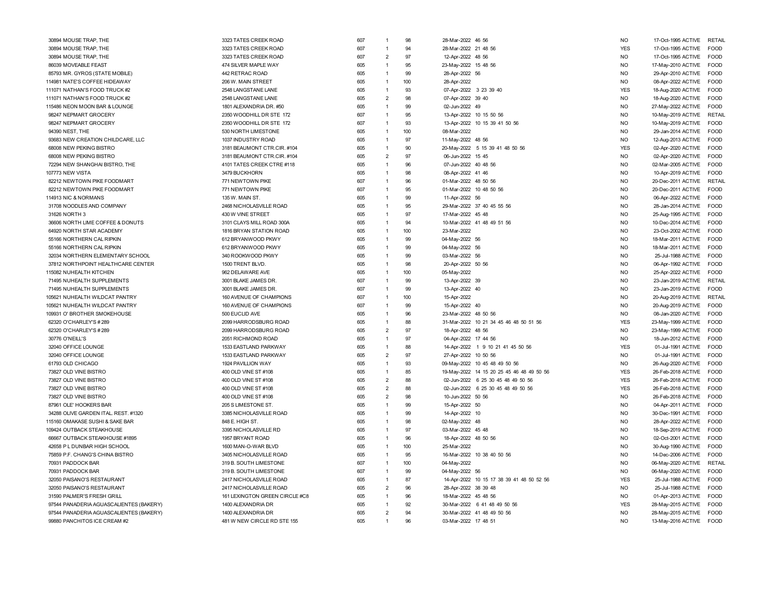| 30894 MOUSE TRAP, THE                   | 3323 TATES CREEK ROAD          | 607 | $\mathbf{1}$                     | 98       | 28-Mar-2022 46 56       |                                           | <b>NO</b>                    | 17-Oct-1995 ACTIVE | RETAIL        |
|-----------------------------------------|--------------------------------|-----|----------------------------------|----------|-------------------------|-------------------------------------------|------------------------------|--------------------|---------------|
| 30894 MOUSE TRAP, THE                   | 3323 TATES CREEK ROAD          | 607 | $\overline{1}$                   | 94       | 28-Mar-2022 21 48 56    |                                           | <b>YES</b>                   | 17-Oct-1995 ACTIVE | <b>FOOD</b>   |
| 30894 MOUSE TRAP, THE                   | 3323 TATES CREEK ROAD          | 607 | $\overline{2}$                   | 97       | 12-Apr-2022 48 56       |                                           | N <sub>O</sub>               | 17-Oct-1995 ACTIVE | <b>FOOD</b>   |
| 86039 MOVEABLE FEAST                    | 474 SILVER MAPLE WAY           | 605 | $\overline{1}$                   | 95       | 23-May-2022 15 48 56    |                                           | <b>NO</b>                    | 17-May-2010 ACTIVE | FOOD          |
| 85793 MR. GYROS (STATE MOBILE)          | 442 RETRAC ROAD                | 605 | $\mathbf{1}$                     | 99       | 28-Apr-2022 56          |                                           | <b>NO</b>                    | 29-Apr-2010 ACTIVE | FOOD          |
| 114981 NATE'S COFFEE HIDEAWAY           | 206 W. MAIN STREET             | 605 | $\mathbf{1}$                     | 100      | 28-Apr-2022             |                                           | <b>NO</b>                    | 08-Apr-2022 ACTIVE | <b>FOOD</b>   |
| 111071 NATHAN'S FOOD TRUCK #2           | 2548 LANGSTANE LANE            | 605 | $\mathbf{1}$                     | 93       | 07-Apr-2022 3 23 39 40  |                                           | <b>YES</b>                   | 18-Aug-2020 ACTIVE | <b>FOOD</b>   |
| 111071 NATHAN'S FOOD TRUCK #2           | 2548 LANGSTANE LANE            | 605 | $\overline{2}$                   | 98       | 07-Apr-2022 39 40       |                                           | <b>NO</b>                    | 18-Aug-2020 ACTIVE | FOOD          |
| 115486 NEON MOON BAR & LOUNGE           | 1801 ALEXANDRIA DR. #50        | 605 | $\mathbf{1}$                     | 99       | 02-Jun-2022 49          |                                           | <b>NO</b>                    | 27-May-2022 ACTIVE | <b>FOOD</b>   |
| 98247 NEPMART GROCERY                   | 2350 WOODHILL DR STE 172       | 607 | $\overline{1}$                   | 95       | 13-Apr-2022 10 15 50 56 |                                           | <b>NO</b>                    | 10-May-2019 ACTIVE | <b>RETAIL</b> |
| 98247 NEPMART GROCERY                   | 2350 WOODHILL DR STE 172       | 607 | $\overline{1}$                   | 93       |                         | 13-Apr-2022 10 15 39 41 50 56             | <b>NO</b>                    | 10-May-2019 ACTIVE | <b>FOOD</b>   |
| 94390 NEST, THE                         | 530 NORTH LIMESTONE            | 605 | $\overline{1}$                   | 100      | 08-Mar-2022             |                                           | <b>NO</b>                    | 29-Jan-2014 ACTIVE | <b>FOOD</b>   |
| 93683 NEW CREATION CHILDCARE, LLC       | 1037 INDUSTRY ROAD             | 605 | $\mathbf{1}$                     | 97       | 11-May-2022 48 56       |                                           | <b>NO</b>                    | 12-Aug-2013 ACTIVE | FOOD          |
| 68008 NEW PEKING BISTRO                 | 3181 BEAUMONT CTR.CIR. #104    | 605 | $\mathbf{1}$                     | 90       |                         | 20-May-2022 5 15 39 41 48 50 56           | <b>YES</b>                   | 02-Apr-2020 ACTIVE | <b>FOOD</b>   |
| 68008 NEW PEKING BISTRO                 | 3181 BEAUMONT CTR.CIR. #104    | 605 | $\overline{2}$                   | 97       | 06-Jun-2022 15 45       |                                           | <b>NO</b>                    | 02-Apr-2020 ACTIVE | <b>FOOD</b>   |
| 72294 NEW SHANGHAI BISTRO, THE          | 4101 TATES CREEK CTRE #118     | 605 | $\overline{1}$                   | 96       | 07-Jun-2022 40 48 56    |                                           | N <sub>O</sub>               | 02-Mar-2005 ACTIVE | <b>FOOD</b>   |
| 107773 NEW VISTA                        | 3479 BUCKHORN                  | 605 | $\mathbf{1}$                     | 98       | 08-Apr-2022 41 46       |                                           | <b>NO</b>                    | 10-Apr-2019 ACTIVE | FOOD          |
| 82212 NEWTOWN PIKE FOODMART             | 771 NEWTOWN PIKE               | 607 | $\mathbf{1}$                     | 96       | 01-Mar-2022 48 50 56    |                                           | <b>NO</b>                    | 20-Dec-2011 ACTIVE | <b>RETAIL</b> |
| 82212 NEWTOWN PIKE FOODMART             | 771 NEWTOWN PIKE               | 607 | $\overline{1}$                   | 95       | 01-Mar-2022 10 48 50 56 |                                           | <b>NO</b>                    | 20-Dec-2011 ACTIVE | FOOD          |
| 114913 NIC & NORMANS                    | 135 W. MAIN ST.                | 605 | $\mathbf{1}$                     | 99       | 11-Apr-2022 56          |                                           | N <sub>O</sub>               | 06-Apr-2022 ACTIVE | <b>FOOD</b>   |
| 31708 NOODLES AND COMPANY               | 2468 NICHOLASVILLE ROAD        | 605 | $\overline{1}$                   | 95       |                         | 29-Mar-2022 37 40 45 55 56                | N <sub>O</sub>               | 28-Jan-2014 ACTIVE | <b>FOOD</b>   |
| 31626 NORTH 3                           | 430 W VINE STREET              | 605 | $\overline{1}$                   | 97       | 17-Mar-2022 45 48       |                                           | <b>NO</b>                    | 25-Aug-1995 ACTIVE | FOOD          |
| 36606 NORTH LIME COFFEE & DONUTS        | 3101 CLAYS MILL ROAD 300A      | 605 | $\overline{1}$                   | 94       |                         | 10-Mar-2022 41 48 49 51 56                | <b>NO</b>                    | 10-Dec-2014 ACTIVE | <b>FOOD</b>   |
| 64920 NORTH STAR ACADEMY                | 1816 BRYAN STATION ROAD        | 605 | $\mathbf{1}$                     | 100      | 23-Mar-2022             |                                           | N <sub>O</sub>               | 23-Oct-2002 ACTIVE | <b>FOOD</b>   |
| 55166 NORTHERN CAL RIPKIN               | 612 BRYANWOOD PKWY             | 605 | $\mathbf{1}$                     | 99       | 04-May-2022 56          |                                           | N <sub>O</sub>               | 18-Mar-2011 ACTIVE | <b>EOOD</b>   |
| 55166 NORTHERN CAL RIPKIN               | 612 BRYANWOOD PKWY             | 605 | $\overline{1}$                   | 99       | 04-May-2022 56          |                                           | N <sub>O</sub>               | 18-Mar-2011 ACTIVE | <b>FOOD</b>   |
| 32034 NORTHERN ELEMENTARY SCHOOL        | 340 ROOKWOOD PKWY              | 605 | $\mathbf{1}$                     | 99       | 03-Mar-2022 56          |                                           | N <sub>O</sub>               | 25-Jul-1988 ACTIVE | FOOD          |
| 37812 NORTHPOINT HEALTHCARE CENTER      | 1500 TRENT BLVD                | 605 | $\mathbf{1}$                     | 98       | 20-Apr-2022 50 56       |                                           | N <sub>O</sub>               | 06-Apr-1992 ACTIVE | <b>FOOD</b>   |
| 115082 NUHEALTH KITCHEN                 | 962 DELAWARE AVE               | 605 | $\mathbf{1}$                     | 100      | 05-May-2022             |                                           | N <sub>O</sub>               | 25-Apr-2022 ACTIVE | <b>FOOD</b>   |
| 71495 NUHEALTH SUPPLEMENTS              | 3001 BLAKE JAMES DR.           | 607 | $\overline{1}$                   | 99       | 13-Apr-2022 39          |                                           | <b>NO</b>                    | 23-Jan-2019 ACTIVE | RETAIL        |
| 71495 NUHEALTH SUPPLEMENTS              | 3001 BLAKE JAMES DR.           | 607 | $\mathbf{1}$                     | 99       | 13-Apr-2022 40          |                                           | <b>NO</b>                    | 23-Jan-2019 ACTIVE | <b>FOOD</b>   |
| 105621 NUHEALTH WILDCAT PANTRY          | 160 AVENUE OF CHAMPIONS        | 607 | $\mathbf{1}$                     | 100      | 15-Apr-2022             |                                           | <b>NO</b>                    | 20-Aug-2019 ACTIVE | RETAIL        |
| 105621 NUHEALTH WILDCAT PANTRY          | 160 AVENUE OF CHAMPIONS        | 607 | $\mathbf{1}$                     | 99       | 15-Apr-2022 40          |                                           | <b>NO</b>                    | 20-Aug-2019 ACTIVE | <b>FOOD</b>   |
| 109931 O' BROTHER SMOKEHOUSE            | 500 EUCLID AVE                 | 605 | $\overline{1}$                   | 96       | 23-Mar-2022 48 50 56    |                                           | <b>NO</b>                    | 08-Jan-2020 ACTIVE | <b>FOOD</b>   |
| 62320 O'CHARLEY'S #289                  | 2099 HARRODSBURG ROAD          | 605 | $\overline{1}$                   | 88       |                         | 31-Mar-2022 10 21 34 45 46 48 50 51 56    | <b>YES</b>                   | 23-May-1999 ACTIVE | <b>FOOD</b>   |
| 62320 O'CHARLEY'S #289                  | 2099 HARRODSBURG ROAD          | 605 | $\overline{2}$                   | 97       | 18-Apr-2022 48 56       |                                           | <b>NO</b>                    | 23-May-1999 ACTIVE | <b>FOOD</b>   |
| 30776 O'NEILL'S                         | 2051 RICHMOND ROAD             | 605 | $\overline{1}$                   | 97       | 04-Apr-2022 17 44 56    |                                           | N <sub>O</sub>               | 18-Jun-2012 ACTIVE | <b>FOOD</b>   |
| 32040 OFFICE LOUNGE                     | 1533 EASTLAND PARKWAY          | 605 | $\mathbf{1}$                     | 88       |                         | 14-Apr-2022 1 9 10 21 41 45 50 56         | <b>YES</b>                   | 01-Jul-1991 ACTIVE | <b>FOOD</b>   |
| 32040 OFFICE LOUNGE                     | 1533 EASTLAND PARKWAY          | 605 | $\overline{2}$                   | 97       | 27-Apr-2022 10 50 56    |                                           | N <sub>O</sub>               |                    | <b>EOOD</b>   |
| 61793 OLD CHICAGO                       | 1924 PAVILLION WAY             | 605 | $\overline{1}$                   | 93       |                         |                                           | NO.                          | 01-Jul-1991 ACTIVE | FOOD          |
|                                         |                                |     |                                  |          |                         | 09-May-2022 10 45 48 49 50 56             |                              | 26-Aug-2020 ACTIVE |               |
| 73827 OLD VINE BISTRO                   | 400 OLD VINE ST #108           | 605 | $\mathbf{1}$                     | 85<br>88 |                         | 19-May-2022 14 15 20 25 45 46 48 49 50 56 | <b>YES</b>                   | 26-Feb-2018 ACTIVE | <b>FOOD</b>   |
| 73827 OLD VINE BISTRO                   | 400 OLD VINE ST #108           | 605 | $\overline{2}$                   |          |                         | 02-Jun-2022 6 25 30 45 48 49 50 56        | <b>YES</b>                   | 26-Feb-2018 ACTIVE | <b>FOOD</b>   |
| 73827 OLD VINE BISTRO                   | 400 OLD VINE ST #108           | 605 | $\overline{2}$<br>$\overline{2}$ | 88<br>98 |                         | 02-Jun-2022 6 25 30 45 48 49 50 56        | <b>YES</b><br>N <sub>O</sub> | 26-Feb-2018 ACTIVE | <b>FOOD</b>   |
| 73827 OLD VINE BISTRO                   | 400 OLD VINE ST #108           | 605 |                                  |          | 10-Jun-2022 50 56       |                                           |                              | 26-Feb-2018 ACTIVE | <b>FOOD</b>   |
| 87961 OLE' HOOKERS BAR                  | 205 S LIMESTONE ST.            | 605 | $\overline{1}$                   | 99       | 15-Apr-2022 50          |                                           | <b>NO</b>                    | 04-Apr-2011 ACTIVE | FOOD          |
| 34288 OLIVE GARDEN ITAL. REST. #1320    | 3385 NICHOLASVILLE ROAD        | 605 | $\mathbf{1}$                     | 99       | 14-Apr-2022 10          |                                           | <b>NO</b>                    | 30-Dec-1991 ACTIVE | <b>FOOD</b>   |
| 115160 OMAKASE SUSHI & SAKE BAR         | 848 E. HIGH ST.                | 605 | $\overline{1}$                   | 98       | 02-May-2022 48          |                                           | N <sub>O</sub>               | 28-Apr-2022 ACTIVE | <b>FOOD</b>   |
| 109424 OUTBACK STEAKHOUSE               | 3395 NICHOLASVILLE RD          | 605 | $\overline{1}$                   | 97       | 03-Mar-2022 45 48       |                                           | N <sub>O</sub>               | 18-Sep-2019 ACTIVE | <b>FOOD</b>   |
| 66667 OUTBACK STEAKHOUSE #1895          | 1957 BRYANT ROAD               | 605 | $\overline{1}$                   | 96       | 18-Apr-2022 48 50 56    |                                           | <b>NO</b>                    | 02-Oct-2001 ACTIVE | FOOD          |
| 42658 P L DUNBAR HIGH SCHOOL            | 1600 MAN-O-WAR BLVD            | 605 | $\mathbf{1}$                     | 100      | 25-Mar-2022             |                                           | N <sub>O</sub>               | 30-Aug-1990 ACTIVE | <b>FOOD</b>   |
| 75859 P.F. CHANG'S CHINA BISTRO         | 3405 NICHOLASVILLE ROAD        | 605 | $\mathbf{1}$                     | 95       |                         | 16-Mar-2022 10 38 40 50 56                | N <sub>O</sub>               | 14-Dec-2006 ACTIVE | <b>FOOD</b>   |
| 70931 PADDOCK BAR                       | 319 B. SOUTH LIMESTONE         | 607 | $\overline{1}$                   | 100      | 04-May-2022             |                                           | N <sub>O</sub>               | 06-May-2020 ACTIVE | <b>RETAIL</b> |
| 70931 PADDOCK BAR                       | 319 B. SOUTH LIMESTONE         | 607 | $\overline{1}$                   | 99       | 04-May-2022 56          |                                           | <b>NO</b>                    | 06-May-2020 ACTIVE | <b>FOOD</b>   |
| 32050 PAISANO'S RESTAURANT              | 2417 NICHOLASVILLE ROAD        | 605 | $\mathbf{1}$                     | 87       |                         | 14-Apr-2022 10 15 17 38 39 41 48 50 52 56 | <b>YES</b>                   | 25-Jul-1988 ACTIVE | <b>EOOD</b>   |
| 32050 PAISANO'S RESTAURANT              | 2417 NICHOLASVILLE ROAD        | 605 | $\overline{2}$                   | 96       | 28-Apr-2022 38 39 48    |                                           | <b>NO</b>                    | 25-Jul-1988 ACTIVE | <b>FOOD</b>   |
| 31590 PALMER'S FRESH GRILL              | 161 LEXINGTON GREEN CIRCLE #C8 | 605 | $\overline{1}$                   | 96       | 18-Mar-2022 45 48 56    |                                           | <b>NO</b>                    | 01-Apr-2013 ACTIVE | <b>FOOD</b>   |
| 97544 PANADERIA AGUASCALIENTES (BAKERY) | 1400 ALEXANDRIA DR             | 605 | $\mathbf{1}$                     | 92       |                         | 30-Mar-2022 6 41 48 49 50 56              | <b>YES</b>                   | 28-May-2015 ACTIVE | FOOD          |
| 97544 PANADERIA AGUASCALIENTES (BAKERY) | 1400 ALEXANDRIA DR             | 605 | $\overline{2}$                   | 94       |                         | 30-Mar-2022 41 48 49 50 56                | <b>NO</b>                    | 28-May-2015 ACTIVE | <b>FOOD</b>   |
| 99880 PANCHITOS ICE CREAM #2            | 481 W NEW CIRCLE RD STE 155    | 605 | $\mathbf{1}$                     | 96       | 03-Mar-2022 17 48 51    |                                           | N <sub>O</sub>               | 13-May-2016 ACTIVE | FOOD          |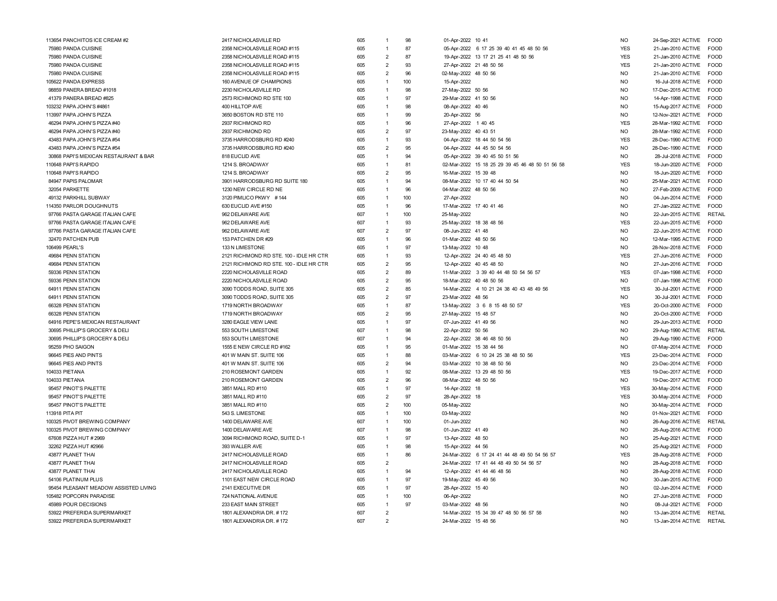| 113654 PANCHITOS ICE CREAM #2         | 2417 NICHOLASVILLE RD                   | 605        | 1              | 98       | 01-Apr-2022 10 41                               | <b>NO</b>      | 24-Sep-2021 ACTIVE<br>FOOD                       |  |
|---------------------------------------|-----------------------------------------|------------|----------------|----------|-------------------------------------------------|----------------|--------------------------------------------------|--|
| 75980 PANDA CUISINE                   | 2358 NICHOLASVILLE ROAD #115            | 605        | $\overline{1}$ | 87       | 05-Apr-2022 6 17 25 39 40 41 45 48 50 56        | <b>YES</b>     | 21-Jan-2010 ACTIVE<br>FOOD                       |  |
| 75980 PANDA CUISINE                   | 2358 NICHOLASVILLE ROAD #115            | 605        | $\overline{2}$ | 87       | 19-Apr-2022 13 17 21 25 41 48 50 56             | <b>YES</b>     | 21-Jan-2010 ACTIVE<br><b>EOOD</b>                |  |
| 75980 PANDA CUISINE                   | 2358 NICHOLASVILLE ROAD #115            | 605        | $\mathcal{P}$  | 93       | 27-Apr-2022 21 48 50 56                         | <b>YES</b>     | 21-Jan-2010 ACTIVE FOOD                          |  |
| 75980 PANDA CUISINE                   | 2358 NICHOLASVILLE ROAD #115            | 605        | $\overline{2}$ | 96       | 02-May-2022 48 50 56                            | NO             | <b>FOOD</b><br>21-Jan-2010 ACTIVE                |  |
| 105622 PANDA EXPRESS                  | 160 AVENUE OF CHAMPIONS                 | 605        | $\overline{1}$ | 100      | 15-Apr-2022                                     | NO             | <b>FOOD</b><br>16-Jul-2018 ACTIVE                |  |
| 98859 PANERA BREAD #1018              | 2230 NICHOLASVILLE RD                   | 605        | $\overline{1}$ | 98       | 27-May-2022 50 56                               | <b>NO</b>      | 17-Dec-2015 ACTIVE FOOD                          |  |
| 41379 PANERA BREAD #825               | 2573 RICHMOND RD STE 100                | 605        | $\overline{1}$ | 97       | 29-Mar-2022 41 50 56                            | <b>NO</b>      | 14-Apr-1998 ACTIVE FOOD                          |  |
| 103232 PAPA JOHN'S #4861              | 400 HILLTOP AVE                         | 605        | $\overline{1}$ | 98       | 08-Apr-2022 40 46                               | N <sub>O</sub> | 15-Aug-2017 ACTIVE<br><b>FOOD</b>                |  |
| 113997 PAPA JOHN'S PIZZA              | 3650 BOSTON RD STE 110                  | 605        | $\overline{1}$ | 99       | 20-Apr-2022 56                                  | NO.            | 12-Nov-2021 ACTIVE<br><b>FOOD</b>                |  |
| 46294 PAPA JOHN'S PIZZA #40           | 2937 RICHMOND RD                        | 605        | $\overline{1}$ | 96       | 27-Apr-2022 1 40 45                             | <b>YES</b>     | <b>FOOD</b><br>28-Mar-1992 ACTIVE                |  |
| 46294 PAPA JOHN'S PIZZA #40           | 2937 RICHMOND RD                        | 605        | $\overline{2}$ | 97       | 23-May-2022 40 43 51                            | N <sub>O</sub> | <b>FOOD</b><br>28-Mar-1992 ACTIVE                |  |
| 43483 PAPA JOHN'S PIZZA #54           | 3735 HARRODSBURG RD #240                | 605        | $\overline{1}$ | 93       | 04-Apr-2022 18 44 50 54 56                      | <b>YES</b>     | 28-Dec-1990 ACTIVE<br><b>FOOD</b>                |  |
| 43483 PAPA JOHN'S PIZZA #54           | 3735 HARRODSBURG RD #240                | 605        | $\overline{2}$ | 95       | 04-Apr-2022 44 45 50 54 56                      | N <sub>O</sub> | 28-Dec-1990 ACTIVE<br><b>FOOD</b>                |  |
| 30868 PAPI'S MEXICAN RESTAURANT & BAR | 818 EUCLID AVE                          | 605        | $\overline{1}$ | 94       | 05-Apr-2022 39 40 45 50 51 56                   | N <sub>O</sub> | 28-Jul-2018 ACTIVE FOOD                          |  |
| 110648 PAPI'S RAPIDO                  | 1214 S. BROADWAY                        | 605        | $\overline{1}$ | 81       | 02-Mar-2022 15 18 25 29 39 45 46 48 50 51 56 58 | <b>YES</b>     | 18-Jun-2020 ACTIVE<br><b>EOOD</b>                |  |
| 110648 PAPI'S RAPIDO                  | 1214 S. BROADWAY                        | 605        | $\overline{2}$ | 95       | 16-Mar-2022 15 39 48                            | NO             | 18-Jun-2020 ACTIVE<br><b>FOOD</b>                |  |
| 84947 PAPIS PALOMAR                   | 3901 HARRODSBURG RD SUITE 180           | 605        | $\overline{1}$ | 94       | 08-Mar-2022 10 17 40 44 50 54                   | N <sub>O</sub> | <b>FOOD</b><br>25-Mar-2021 ACTIVE                |  |
| 32054 PARKETTE                        | 1230 NEW CIRCLE RD NE                   | 605        | 1              | 96       | 04-Mar-2022 48 50 56                            | <b>NO</b>      | 27-Feb-2009 ACTIVE<br><b>FOOD</b>                |  |
| 49132 PARKHILL SUBWAY                 | 3120 PIMLICO PKWY #144                  | 605        | $\overline{1}$ | 100      | 27-Apr-2022                                     | <b>NO</b>      | 04-Jun-2014 ACTIVE<br><b>FOOD</b>                |  |
| 114350 PARLOR DOUGHNUTS               | 630 EUCLID AVE #150                     | 605        | $\overline{1}$ | 96       | 17-Mar-2022 17 40 41 46                         | N <sub>O</sub> | 27-Jan-2022 ACTIVE<br><b>FOOD</b>                |  |
| 97766 PASTA GARAGE ITALIAN CAFE       | 962 DELAWARE AVE                        | 607        | $\overline{1}$ | 100      | 25-May-2022                                     | NO.            | 22-Jun-2015 ACTIVE<br><b>RETAIL</b>              |  |
| 97766 PASTA GARAGE ITALIAN CAFE       | 962 DELAWARE AVE                        | 607        | $\overline{1}$ | 93       | 25-May-2022 18 38 48 56                         | <b>YES</b>     | 22-Jun-2015 ACTIVE FOOD                          |  |
| 97766 PASTA GARAGE ITALIAN CAFE       | 962 DELAWARE AVE                        | 607        | $\overline{2}$ | 97       | 08-Jun-2022 41 48                               | N <sub>O</sub> | 22-Jun-2015 ACTIVE FOOD                          |  |
| 32470 PATCHEN PUB                     | 153 PATCHEN DR #29                      | 605        | $\overline{1}$ | 96       | 01-Mar-2022 48 50 56                            | N <sub>O</sub> | <b>FOOD</b><br>12-Mar-1995 ACTIVE                |  |
|                                       |                                         |            | $\overline{1}$ | 97       |                                                 | NO             | 28-Nov-2018 ACTIVE FOOD                          |  |
| 106499 PEARL'S                        | 133 N LIMESTONE                         | 605<br>605 | $\overline{1}$ | 93       | 13-May-2022 10 48                               | <b>YES</b>     | <b>FOOD</b>                                      |  |
| 49684 PENN STATION                    | 2121 RICHMOND RD STE. 100 - IDLE HR CTR |            | $\overline{2}$ |          | 12-Apr-2022 24 40 45 48 50                      |                | 27-Jun-2016 ACTIVE                               |  |
| 49684 PENN STATION                    | 2121 RICHMOND RD STE. 100 - IDLE HR CTR | 605        | $\overline{2}$ | 95<br>89 | 12-Apr-2022 40 45 48 50                         | <b>NO</b>      | <b>FOOD</b><br>27-Jun-2016 ACTIVE<br><b>FOOD</b> |  |
| 59336 PENN STATION                    | 2220 NICHOLASVILLE ROAD                 | 605        |                |          | 11-Mar-2022 3 39 40 44 48 50 54 56 57           | <b>YES</b>     | 07-Jan-1998 ACTIVE                               |  |
| 59336 PENN STATION                    | 2220 NICHOLASVILLE ROAD                 | 605        | $\overline{2}$ | 95       | 18-Mar-2022 40 48 50 56                         | <b>NO</b>      | 07-Jan-1998 ACTIVE<br><b>FOOD</b>                |  |
| 64911 PENN STATION                    | 3090 TODDS ROAD, SUITE 305              | 605        | $\overline{2}$ | 85       | 14-Mar-2022 4 10 21 24 38 40 43 48 49 56        | <b>YES</b>     | 30-Jul-2001 ACTIVE<br><b>FOOD</b>                |  |
| 64911 PENN STATION                    | 3090 TODDS ROAD, SUITE 305              | 605        | $\overline{2}$ | 97       | 23-Mar-2022 48 56                               | N <sub>O</sub> | 30-Jul-2001 ACTIVE<br><b>FOOD</b>                |  |
| 66328 PENN STATION                    | 1719 NORTH BROADWAY                     | 605        | $\overline{1}$ | 87       | 13-May-2022 3 6 8 15 48 50 57                   | <b>YES</b>     | 20-Oct-2000 ACTIVE<br><b>FOOD</b>                |  |
| 66328 PENN STATION                    | 1719 NORTH BROADWAY                     | 605        | $\overline{2}$ | 95       | 27-May-2022 15 48 57                            | N <sub>O</sub> | 20-Oct-2000 ACTIVE FOOD                          |  |
| 64916 PEPE'S MEXICAN RESTAURANT       | 3280 EAGLE VIEW LANE                    | 605        | $\overline{1}$ | 97       | 07-Jun-2022 41 49 56                            | <b>NO</b>      | <b>FOOD</b><br>29-Jun-2013 ACTIVE                |  |
| 30695 PHILLIP'S GROCERY & DELI        | 553 SOUTH LIMESTONE                     | 607        | $\overline{1}$ | 98       | 22-Apr-2022 50 56                               | N <sub>O</sub> | RETAIL<br>29-Aug-1990 ACTIVE                     |  |
| 30695 PHILLIP'S GROCERY & DELI        | 553 SOUTH LIMESTONE                     | 607        | $\overline{1}$ | 94       | 22-Apr-2022 38 46 48 50 56                      | <b>NO</b>      | <b>FOOD</b><br>29-Aug-1990 ACTIVE                |  |
| 95259 PHO SAIGON                      | 1555 E NEW CIRCLE RD #162               | 605        | $\overline{1}$ | 95       | 01-Mar-2022 15 38 44 56                         | <b>NO</b>      | 07-May-2014 ACTIVE<br>FOOD                       |  |
| 96645 PIES AND PINTS                  | 401 W MAIN ST. SUITE 106                | 605        | $\overline{1}$ | 88       | 03-Mar-2022 6 10 24 25 38 48 50 56              | <b>YES</b>     | 23-Dec-2014 ACTIVE<br><b>FOOD</b>                |  |
| 96645 PIES AND PINTS                  | 401 W MAIN ST. SUITE 106                | 605        | $\overline{2}$ | 94       | 03-Mar-2022 10 38 48 50 56                      | NO.            | 23-Dec-2014 ACTIVE<br><b>FOOD</b>                |  |
| 104033 PIETANA                        | 210 ROSEMONT GARDEN                     | 605        | $\overline{1}$ | 92       | 08-Mar-2022 13 29 48 50 56                      | <b>YES</b>     | FOOD<br>19-Dec-2017 ACTIVE                       |  |
| 104033 PIETANA                        | 210 ROSEMONT GARDEN                     | 605        | $\overline{2}$ | 96       | 08-Mar-2022 48 50 56                            | <b>NO</b>      | 19-Dec-2017 ACTIVE<br><b>FOOD</b>                |  |
| 95457 PINOT'S PALETTE                 | 3851 MALL RD #110                       | 605        | $\overline{1}$ | 97       | 14-Apr-2022 18                                  | <b>YES</b>     | 30-May-2014 ACTIVE<br><b>FOOD</b>                |  |
| 95457 PINOT'S PALETTE                 | 3851 MALL RD #110                       | 605        | $\overline{2}$ | 97       | 28-Apr-2022 18                                  | <b>YES</b>     | <b>FOOD</b><br>30-May-2014 ACTIVE                |  |
| 95457 PINOT'S PALETTE                 | 3851 MALL RD #110                       | 605        | $\overline{2}$ | 100      | 05-May-2022                                     | N <sub>O</sub> | <b>FOOD</b><br>30-May-2014 ACTIVE                |  |
| 113918 PITA PIT                       | 543 S. LIMESTONE                        | 605        | $\overline{1}$ | 100      | 03-May-2022                                     | N <sub>O</sub> | 01-Nov-2021 ACTIVE<br><b>FOOD</b>                |  |
| 100325 PIVOT BREWING COMPANY          | 1400 DELAWARE AVE                       | 607        | $\overline{1}$ | 100      | 01-Jun-2022                                     | N <sub>O</sub> | 26-Aug-2016 ACTIVE<br><b>RETAIL</b>              |  |
| 100325 PIVOT BREWING COMPANY          | 1400 DELAWARE AVE                       | 607        | $\overline{1}$ | 98       | 01-Jun-2022 41 49                               | NO             | 26-Aug-2016 ACTIVE<br>FOOD                       |  |
| 67608 PIZZA HUT #2969                 | 3094 RICHMOND ROAD, SUITE D-1           | 605        | $\overline{1}$ | 97       | 13-Apr-2022 48 50                               | <b>NO</b>      | 25-Aug-2021 ACTIVE<br>FOOD                       |  |
| 32262 PIZZA HUT #2966                 | 393 WALLER AVE                          | 605        | $\overline{1}$ | 98       | 15-Apr-2022 44 56                               | <b>NO</b>      | 25-Aug-2021 ACTIVE<br><b>FOOD</b>                |  |
| 43877 PLANET THAI                     | 2417 NICHOLASVILLE ROAD                 | 605        | $\overline{1}$ | 86       | 24-Mar-2022 6 17 24 41 44 48 49 50 54 56 57     | <b>YES</b>     | <b>FOOD</b><br>28-Aug-2018 ACTIVE                |  |
| 43877 PLANET THAI                     | 2417 NICHOLASVILLE ROAD                 | 605        | $\overline{2}$ |          | 24-Mar-2022 17 41 44 48 49 50 54 56 57          | N <sub>O</sub> | 28-Aug-2018 ACTIVE<br><b>FOOD</b>                |  |
| 43877 PLANET THAI                     | 2417 NICHOLASVILLE ROAD                 | 605        | $\overline{1}$ | 94       | 12-Apr-2022 41 44 46 48 56                      | N <sub>O</sub> | 28-Aug-2018 ACTIVE<br><b>FOOD</b>                |  |
| 54106 PLATINUM PLUS                   | 1101 EAST NEW CIRCLE ROAD               | 605        | $\overline{1}$ | 97       | 19-May-2022 45 49 56                            | N <sub>O</sub> | <b>FOOD</b><br>30-Jan-2015 ACTIVE                |  |
| 95454 PLEASANT MEADOW ASSISTED LIVING | 2141 EXECUTIVE DR                       | 605        | $\overline{1}$ | 97       | 28-Apr-2022 15 40                               | <b>NO</b>      | <b>FOOD</b><br>02-Jun-2014 ACTIVE                |  |
| 105482 POPCORN PARADISE               | 724 NATIONAL AVENUE                     | 605        | $\overline{1}$ | 100      | 06-Apr-2022                                     | <b>NO</b>      | 27-Jun-2018 ACTIVE<br><b>FOOD</b>                |  |
| 45989 POUR DECISIONS                  | 233 EAST MAIN STREET                    | 605        | $\overline{1}$ | 97       | 03-Mar-2022 48 56                               | N <sub>O</sub> | <b>FOOD</b><br>08-Jul-2021 ACTIVE                |  |
| 53922 PREFERIDA SUPERMARKET           | 1801 ALEXANDRIA DR. #172                | 607        | $\overline{2}$ |          | 14-Mar-2022 15 34 39 47 48 50 56 57 58          | N <sub>O</sub> | 13-Jan-2014 ACTIVE RETAIL                        |  |
| 53922 PREFERIDA SUPERMARKET           | 1801 ALEXANDRIA DR. #172                | 607        | $\mathcal{D}$  |          | 24-Mar-2022 15 48 56                            | N <sub>O</sub> | 13-Jan-2014 ACTIVE RETAIL                        |  |
|                                       |                                         |            |                |          |                                                 |                |                                                  |  |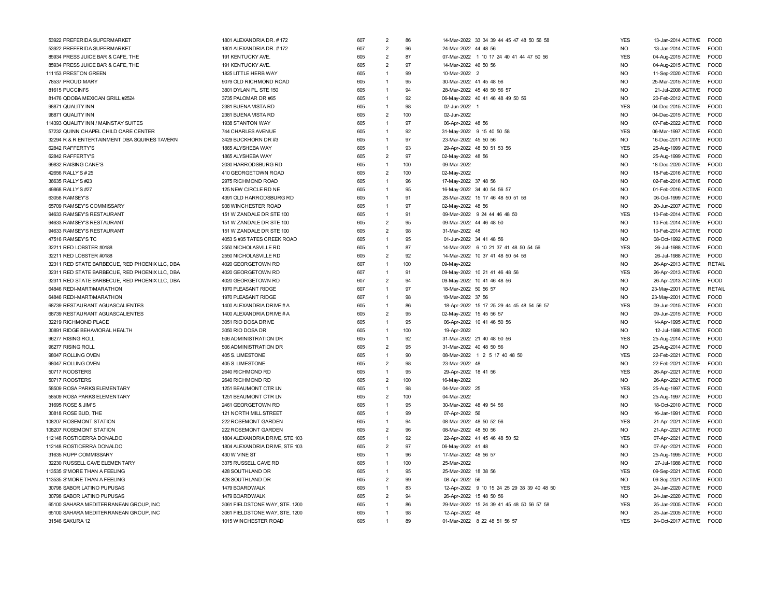| 53922 PREFERIDA SUPERMARKET                    | 1801 ALEXANDRIA DR. #172       | 607 | 2              | 86  | 14-Mar-2022 33 34 39 44 45 47 48 50 56 58   | <b>YES</b>     | <b>FOOD</b><br>13-Jan-2014 ACTIVE |  |
|------------------------------------------------|--------------------------------|-----|----------------|-----|---------------------------------------------|----------------|-----------------------------------|--|
| 53922 PREFERIDA SUPERMARKET                    | 1801 ALEXANDRIA DR. #172       | 607 | $\overline{2}$ | 96  | 24-Mar-2022 44 48 56                        | <b>NO</b>      | 13-Jan-2014 ACTIVE<br><b>FOOD</b> |  |
| 85934 PRESS JUICE BAR & CAFE, THE              | 191 KENTUCKY AVE.              | 605 | $\overline{2}$ | 87  | 07-Mar-2022 1 10 17 24 40 41 44 47 50 56    | <b>YES</b>     | 04-Aug-2015 ACTIVE<br><b>FOOD</b> |  |
| 85934 PRESS JUICE BAR & CAFE, THE              | 191 KENTUCKY AVE.              | 605 | $\overline{2}$ | 97  | 14-Mar-2022 46 50 56                        | <b>NO</b>      | FOOD<br>04-Aug-2015 ACTIVE        |  |
| 111153 PRESTON GREEN                           | 1825 LITTLE HERB WAY           | 605 | 1              | 99  | 10-Mar-2022 2                               | <b>NO</b>      | FOOD<br>11-Sep-2020 ACTIVE        |  |
| 78537 PROUD MARY                               | 9079 OLD RICHMOND ROAD         | 605 | $\mathbf{1}$   | 95  | 30-Mar-2022 41 45 48 56                     | N <sub>O</sub> | 25-Mar-2015 ACTIVE<br><b>FOOD</b> |  |
| 81615 PUCCINI'S                                | 3801 DYLAN PL. STE 150         | 605 | $\overline{1}$ | 94  | 28-Mar-2022 45 48 50 56 57                  | N <sub>O</sub> | <b>FOOD</b><br>21-Jul-2008 ACTIVE |  |
| 81476 QDOBA MEXICAN GRILL #2524                | 3735 PALOMAR DR #65            | 605 | $\overline{1}$ | 92  | 06-May-2022 40 41 46 48 49 50 56            | N <sub>O</sub> | <b>FOOD</b><br>20-Feb-2012 ACTIVE |  |
| 98871 QUALITY INN                              | 2381 BUENA VISTA RD            | 605 | $\overline{1}$ | 98  | 02-Jun-2022 1                               | <b>YES</b>     | <b>FOOD</b><br>04-Dec-2015 ACTIVE |  |
| 98871 QUALITY INN                              | 2381 BUENA VISTA RD            | 605 | $\overline{2}$ | 100 | 02-Jun-2022                                 | <b>NO</b>      | FOOD<br>04-Dec-2015 ACTIVE        |  |
| 14393 QUALITY INN / MAINSTAY SUITES            | 1938 STANTON WAY               | 605 | 1              | 97  | 06-Apr-2022 48 56                           | <b>NO</b>      | <b>FOOD</b><br>07-Feb-2022 ACTIVE |  |
| 57232 QUINN CHAPEL CHILD CARE CENTER           | 744 CHARLES AVENUE             | 605 | 1              | 92  | 31-May-2022 9 15 40 50 58                   | <b>YES</b>     | FOOD<br>06-Mar-1997 ACTIVE        |  |
| 32294 R & R ENTERTAINMENT DBA SQUIRES TAVERN   | 3429 BUCKHORN DR #3            | 605 | 1              | 97  | 23-Mar-2022 45 50 56                        | N <sub>O</sub> | 16-Dec-2011 ACTIVE<br><b>FOOD</b> |  |
| 62842 RAFFERTY'S                               | 1865 ALYSHEBA WAY              | 605 | 1              | 93  | 29-Apr-2022 48 50 51 53 56                  | <b>YES</b>     | 25-Aug-1999 ACTIVE<br>FOOD        |  |
| 62842 RAFFERTY'S                               | 1865 ALYSHEBA WAY              | 605 | $\overline{2}$ | 97  | 02-May-2022 48 56                           | <b>NO</b>      | FOOD<br>25-Aug-1999 ACTIVE        |  |
| 99832 RAISING CANE'S                           | 2030 HARRODSBURG RD            | 605 | 1              | 100 | 09-Mar-2022                                 | <b>NO</b>      | <b>FOOD</b><br>18-Dec-2020 ACTIVE |  |
| 42656 RALLY'S #25                              | 410 GEORGETOWN ROAD            | 605 | $\overline{2}$ | 100 | 02-May-2022                                 | N <sub>O</sub> | 18-Feb-2016 ACTIVE<br><b>FOOD</b> |  |
| 36635 RALLY'S #23                              | 2975 RICHMOND ROAD             | 605 | $\mathbf{1}$   | 96  | 17-May-2022 37 48 56                        | N <sub>O</sub> | 02-Feb-2016 ACTIVE<br><b>FOOD</b> |  |
| 49868 RALLY'S #27                              | 125 NEW CIRCLE RD NE           | 605 | $\overline{1}$ | 95  | 16-May-2022 34 40 54 56 57                  | N <sub>O</sub> | <b>FOOD</b><br>01-Feb-2016 ACTIVE |  |
| 63058 RAMSEY'S                                 | 4391 OLD HARRODSBURG RD        | 605 | 1              | 91  | 28-Mar-2022 15 17 46 48 50 51 56            | <b>NO</b>      | <b>FOOD</b><br>06-Oct-1999 ACTIVE |  |
| 65709 RAMSEY'S COMMISSARY                      | 938 WINCHESTER ROAD            | 605 | $\mathbf{1}$   | 97  | 02-May-2022 48 56                           | <b>NO</b>      | <b>FOOD</b><br>20-Jun-2007 ACTIVE |  |
| 94633 RAMSEY'S RESTAURANT                      | 151 W ZANDALE DR STE 100       | 605 | $\mathbf{1}$   | 91  | 09-Mar-2022 9 24 44 46 48 50                | <b>YES</b>     | <b>FOOD</b><br>10-Feb-2014 ACTIVE |  |
| 94633 RAMSEY'S RESTAURANT                      | 151 W ZANDALE DR STE 100       | 605 | $\overline{2}$ | 95  | 09-Mar-2022 44 46 48 50                     | <b>NO</b>      | <b>FOOD</b><br>10-Feb-2014 ACTIVE |  |
| 94633 RAMSEY'S RESTAURANT                      | 151 W ZANDALE DR STE 100       | 605 | $\overline{2}$ | 98  | 31-Mar-2022 48                              | <b>NO</b>      | 10-Feb-2014 ACTIVE<br><b>FOOD</b> |  |
| 47516 RAMSEY'S TC                              | 4053 S #35 TATES CREEK ROAD    | 605 | $\mathbf{1}$   | 95  | 01-Jun-2022 34 41 48 56                     | <b>NO</b>      | 08-Oct-1992 ACTIVE<br><b>FOOD</b> |  |
| 32211 RED LOBSTER #0188                        | 2550 NICHOLASVILLE RD          | 605 | 1              | 87  | 14-Mar-2022 6 10 21 37 41 48 50 54 56       | <b>YES</b>     | 26-Jul-1988 ACTIVE<br><b>FOOD</b> |  |
| 32211 RED LOBSTER #0188                        | 2550 NICHOLASVILLE RD          | 605 | $\overline{2}$ | 92  | 14-Mar-2022 10 37 41 48 50 54 56            | <b>NO</b>      | 26-Jul-1988 ACTIVE<br><b>FOOD</b> |  |
|                                                |                                |     | $\overline{1}$ | 100 |                                             | N <sub>O</sub> |                                   |  |
| 32311 RED STATE BARBECUE, RED PHOENIX LLC, DBA | 4020 GEORGETOWN RD             | 607 | $\overline{1}$ | 91  | 09-May-2022                                 |                | 26-Apr-2013 ACTIVE<br>RETAIL      |  |
| 32311 RED STATE BARBECUE, RED PHOENIX LLC, DBA | 4020 GEORGETOWN RD             | 607 |                |     | 09-May-2022 10 21 41 46 48 56               | <b>YES</b>     | 26-Apr-2013 ACTIVE<br><b>FOOD</b> |  |
| 32311 RED STATE BARBECUE, RED PHOENIX LLC, DBA | 4020 GEORGETOWN RD             | 607 | $\overline{2}$ | 94  | 09-May-2022 10 41 46 48 56                  | <b>NO</b>      | <b>FOOD</b><br>26-Apr-2013 ACTIVE |  |
| 64846 REDI-MART/MARATHON                       | 1970 PLEASANT RIDGE            | 607 | $\mathbf{1}$   | 97  | 18-Mar-2022 50 56 57                        | <b>NO</b>      | RETAIL<br>23-May-2001 ACTIVE      |  |
| 64846 REDI-MART/MARATHON                       | 1970 PLEASANT RIDGE            | 607 | $\mathbf{1}$   | 98  | 18-Mar-2022 37 56                           | N <sub>O</sub> | <b>FOOD</b><br>23-May-2001 ACTIVE |  |
| 68739 RESTAURANT AGUASCALIENTES                | 1400 ALEXANDRIA DRIVE # A      | 605 | $\overline{1}$ | 86  | 18-Apr-2022 15 17 25 29 44 45 48 54 56 57   | <b>YES</b>     | <b>FOOD</b><br>09-Jun-2015 ACTIVE |  |
| 68739 RESTAURANT AGUASCALIENTES                | 1400 ALEXANDRIA DRIVE # A      | 605 | $\overline{2}$ | 95  | 02-May-2022 15 45 56 57                     | <b>NO</b>      | FOOD<br>09-Jun-2015 ACTIVE        |  |
| 32219 RICHMOND PLACE                           | 3051 RIO DOSA DRIVE            | 605 | $\mathbf{1}$   | 95  | 06-Apr-2022 10 41 46 50 56                  | <b>NO</b>      | 14-Apr-1995 ACTIVE<br>FOOD        |  |
| 30891 RIDGE BEHAVIORAL HEALTH                  | 3050 RIO DOSA DR               | 605 | $\mathbf{1}$   | 100 | 19-Apr-2022                                 | <b>NO</b>      | FOOD<br>12-Jul-1988 ACTIVE        |  |
| 96277 RISING ROLL                              | 506 ADMINISTRATION DR          | 605 | $\overline{1}$ | 92  | 31-Mar-2022 21 40 48 50 56                  | <b>YES</b>     | 25-Aug-2014 ACTIVE<br><b>FOOD</b> |  |
| 96277 RISING ROLL                              | 506 ADMINISTRATION DR          | 605 | $\overline{2}$ | 95  | 31-Mar-2022 40 48 50 56                     | <b>NO</b>      | 25-Aug-2014 ACTIVE<br><b>FOOD</b> |  |
| 98047 ROLLING OVEN                             | 405 S. LIMESTONE               | 605 | $\overline{1}$ | 90  | 08-Mar-2022 1 2 5 17 40 48 50               | <b>YES</b>     | FOOD<br>22-Feb-2021 ACTIVE        |  |
| 98047 ROLLING OVEN                             | 405 S. LIMESTONE               | 605 | $\overline{2}$ | 98  | 23-Mar-2022 48                              | <b>NO</b>      | <b>FOOD</b><br>22-Feb-2021 ACTIVE |  |
| 50717 ROOSTERS                                 | 2640 RICHMOND RD               | 605 | $\mathbf{1}$   | 95  | 29-Apr-2022 18 41 56                        | <b>YES</b>     | 26-Apr-2021 ACTIVE<br><b>FOOD</b> |  |
| 50717 ROOSTERS                                 | 2640 RICHMOND RD               | 605 | $\overline{2}$ | 100 | 16-May-2022                                 | <b>NO</b>      | 26-Apr-2021 ACTIVE<br><b>FOOD</b> |  |
| 58509 ROSA PARKS ELEMENTARY                    | 1251 BEAUMONT CTR LN           | 605 | $\overline{1}$ | 98  | 04-Mar-2022 25                              | <b>YES</b>     | 25-Aug-1997 ACTIVE<br><b>FOOD</b> |  |
| 58509 ROSA PARKS ELEMENTARY                    | 1251 BEAUMONT CTR LN           | 605 | $\overline{2}$ | 100 | 04-Mar-2022                                 | N <sub>O</sub> | <b>FOOD</b><br>25-Aug-1997 ACTIVE |  |
| 31695 ROSE & JIM'S                             | 2461 GEORGETOWN RD             | 605 | $\overline{1}$ | 95  | 30-Mar-2022 48 49 54 56                     | <b>NO</b>      | <b>FOOD</b><br>18-Oct-2010 ACTIVE |  |
| 30818 ROSE BUD, THE                            | 121 NORTH MILL STREET          | 605 | 1              | 99  | 07-Apr-2022 56                              | N <sub>O</sub> | <b>FOOD</b><br>16-Jan-1991 ACTIVE |  |
| 08207 ROSEMONT STATION                         | 222 ROSEMONT GARDEN            | 605 | $\overline{1}$ | 94  | 08-Mar-2022 48 50 52 56                     | <b>YES</b>     | <b>FOOD</b><br>21-Apr-2021 ACTIVE |  |
| 108207 ROSEMONT STATION                        | 222 ROSEMONT GARDEN            | 605 | $\overline{2}$ | 96  | 08-Mar-2022 48 50 56                        | N <sub>O</sub> | <b>FOOD</b><br>21-Apr-2021 ACTIVE |  |
| 112148 ROSTICERRA DONALDO                      | 1804 ALEXANDRIA DRIVE, STE 103 | 605 | 1              | 92  | 22-Apr-2022 41 45 46 48 50 52               | <b>YES</b>     | 07-Apr-2021 ACTIVE<br>FOOD        |  |
| 112148 ROSTICERRA DONALDO                      | 1804 ALEXANDRIA DRIVE, STE 103 | 605 | $\overline{2}$ | 97  | 06-May-2022 41 48                           | <b>NO</b>      | <b>FOOD</b><br>07-Apr-2021 ACTIVE |  |
| 31635 RUPP COMMISSARY                          | 430 W VINE ST                  | 605 | 1              | 96  | 17-Mar-2022 48 56 57                        | <b>NO</b>      | FOOD<br>25-Aug-1995 ACTIVE        |  |
| 32230 RUSSELL CAVE ELEMENTARY                  | 3375 RUSSELL CAVE RD           | 605 | $\overline{1}$ | 100 | 25-Mar-2022                                 | <b>NO</b>      | 27-Jul-1988 ACTIVE<br><b>FOOD</b> |  |
| 113535 S'MORE THAN A FEELING                   | 428 SOUTHLAND DR               | 605 | $\overline{1}$ | 95  | 25-Mar-2022 18 38 56                        | <b>YES</b>     | 09-Sep-2021 ACTIVE<br><b>FOOD</b> |  |
| 113535 S'MORE THAN A FEELING                   | 428 SOUTHLAND DR               | 605 | $\overline{2}$ | 99  | 08-Apr-2022 56                              | <b>NO</b>      | FOOD<br>09-Sep-2021 ACTIVE        |  |
| 30798 SABOR LATINO PUPUSAS                     | 1479 BOARDWALK                 | 605 | $\overline{1}$ | 83  | 12-Apr-2022 9 10 15 24 25 29 38 39 40 48 50 | <b>YES</b>     | 24-Jan-2020 ACTIVE<br><b>FOOD</b> |  |
| 30798 SABOR LATINO PUPUSAS                     | 1479 BOARDWALK                 | 605 | $\overline{2}$ | 94  | 26-Apr-2022 15 48 50 56                     | <b>NO</b>      | FOOD<br>24-Jan-2020 ACTIVE        |  |
| 65100 SAHARA MEDITERRANEAN GROUP, INC          | 3061 FIELDSTONE WAY, STE. 1200 | 605 | $\overline{1}$ | 86  | 29-Mar-2022 15 24 39 41 45 48 50 56 57 58   | <b>YES</b>     | <b>EOOD</b><br>25-Jan-2005 ACTIVE |  |
| 65100 SAHARA MEDITERRANEAN GROUP, INC          | 3061 FIELDSTONE WAY, STE. 1200 | 605 | $\mathbf{1}$   | 98  | 12-Apr-2022 48                              | N <sub>O</sub> | <b>EOOD</b><br>25-Jan-2005 ACTIVE |  |
| 31546 SAKURA 12                                | 1015 WINCHESTER ROAD           | 605 | $\overline{1}$ | RQ  | 01-Mar-2022 8 22 48 51 56 57                | <b>YES</b>     | 24-Oct-2017 ACTIVE<br>FOOD        |  |
|                                                |                                |     |                |     |                                             |                |                                   |  |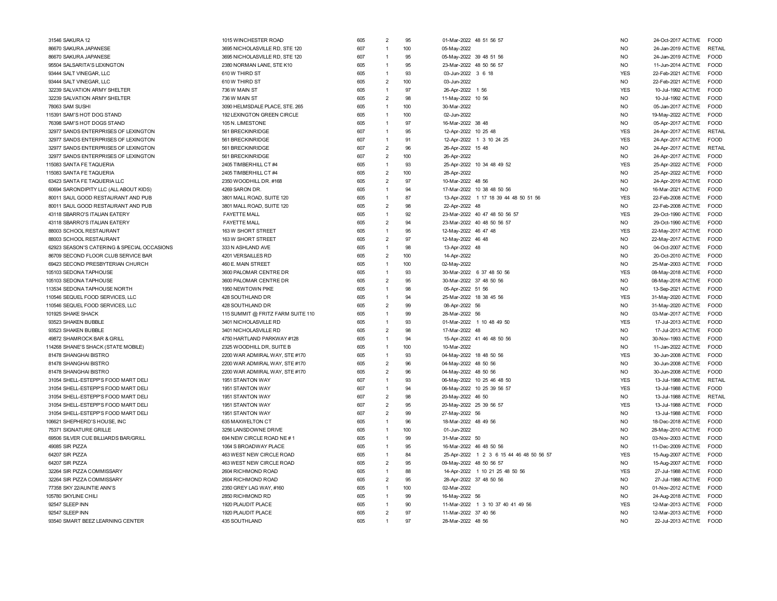| 31546 SAKURA 12                             | 1015 WINCHESTER ROAD              | 605 | $\overline{2}$ | 95  | 01-Mar-2022 48 51 56 57                  | <b>NO</b>      | 24-Oct-2017 ACTIVE | FOOD          |
|---------------------------------------------|-----------------------------------|-----|----------------|-----|------------------------------------------|----------------|--------------------|---------------|
| 86670 SAKURA JAPANESE                       | 3695 NICHOLASVILLE RD, STE 120    | 607 | $\overline{1}$ | 100 | 05-May-2022                              | <b>NO</b>      | 24-Jan-2019 ACTIVE | <b>RETAIL</b> |
| 86670 SAKURA JAPANESE                       | 3695 NICHOLASVILLE RD, STE 120    | 607 | 1              | 95  | 05-May-2022 39 48 51 56                  | <b>NO</b>      | 24-Jan-2019 ACTIVE | FOOD          |
| 95504 SALSARITA'S LEXINGTON                 | 2380 NORMAN LANE, STE K10         | 605 | 1              | 95  | 23-Mar-2022 48 50 56 57                  | <b>NO</b>      | 11-Jun-2014 ACTIVE | <b>FOOD</b>   |
| 93444 SALT VINEGAR, LLC                     | 610 W THIRD ST                    | 605 | 1              | 93  | 03-Jun-2022 3 6 18                       | <b>YES</b>     | 22-Feb-2021 ACTIVE | FOOD          |
| 93444 SALT VINEGAR, LLC                     | 610 W THIRD ST                    | 605 | $\overline{2}$ | 100 | 03-Jun-2022                              | <b>NO</b>      | 22-Feb-2021 ACTIVE | <b>FOOD</b>   |
| 32239 SALVATION ARMY SHELTER                | 736 W MAIN ST                     | 605 | $\mathbf{1}$   | 97  | 26-Apr-2022 1 56                         | <b>YES</b>     | 10-Jul-1992 ACTIVE | <b>FOOD</b>   |
| 32239 SALVATION ARMY SHELTER                | 736 W MAIN ST                     | 605 | $\overline{2}$ | 98  | 11-May-2022 10 56                        | <b>NO</b>      | 10-Jul-1992 ACTIVE | <b>FOOD</b>   |
| 78063 SAM SUSHI                             | 3090 HELMSDALE PLACE, STE. 265    | 605 | $\overline{1}$ | 100 | 30-Mar-2022                              | <b>NO</b>      | 05-Jan-2017 ACTIVE | FOOD          |
| 115391 SAM'S HOT DOG STAND                  | 192 LEXINGTON GREEN CIRCLE        | 605 | $\mathbf{1}$   | 100 | 02-Jun-2022                              | <b>NO</b>      | 19-May-2022 ACTIVE | FOOD          |
| 76398 SAM'S HOT DOGS STAND                  | 105 N. LIMESTONE                  | 605 | $\mathbf{1}$   | 97  | 16-Mar-2022 38 48                        | <b>NO</b>      | 05-Apr-2017 ACTIVE | FOOD          |
| 32977 SANDS ENTERPRISES OF LEXINGTON        | 561 BRECKINRIDGE                  | 607 | $\mathbf{1}$   | 95  | 12-Apr-2022 10 25 48                     | <b>YES</b>     | 24-Apr-2017 ACTIVE | <b>RETAIL</b> |
| 32977 SANDS ENTERPRISES OF LEXINGTON        | 561 BRECKINRIDGE                  | 607 | $\mathbf{1}$   | 91  | 12-Apr-2022 1 3 10 24 25                 | <b>YES</b>     | 24-Apr-2017 ACTIVE | FOOD          |
| 32977 SANDS ENTERPRISES OF LEXINGTON        | 561 BRECKINRIDGE                  | 607 | $\overline{2}$ | 96  | 26-Apr-2022 15 48                        | <b>NO</b>      | 24-Apr-2017 ACTIVE | <b>RETAIL</b> |
| 32977 SANDS ENTERPRISES OF LEXINGTON        | 561 BRECKINRIDGE                  | 607 | $\overline{2}$ | 100 | 26-Apr-2022                              | <b>NO</b>      | 24-Apr-2017 ACTIVE | FOOD          |
| 115083 SANTA FE TAQUERIA                    | 2405 TIMBERHILL CT #4             | 605 | 1              | 93  | 25-Apr-2022 10 34 48 49 52               | <b>YES</b>     | 25-Apr-2022 ACTIVE | FOOD          |
| 115083 SANTA FE TAQUERIA                    | 2405 TIMBERHILL CT #4             | 605 | $\overline{2}$ | 100 | 28-Apr-2022                              | <b>NO</b>      | 25-Apr-2022 ACTIVE | <b>FOOD</b>   |
| 63423 SANTA FE TAQUERIA LLC                 | 2350 WOODHILL DR. #168            | 605 | $\overline{2}$ | 97  | 10-Mar-2022 48 56                        | <b>NO</b>      | 24-Apr-2019 ACTIVE | FOOD          |
| 60694 SARONDIPITY LLC (ALL ABOUT KIDS)      | 4269 SARON DR.                    | 605 | 1              | 94  | 17-Mar-2022 10 38 48 50 56               | <b>NO</b>      | 16-Mar-2021 ACTIVE | <b>FOOD</b>   |
| 80011 SAUL GOOD RESTAURANT AND PUB          | 3801 MALL ROAD, SUITE 120         | 605 | $\mathbf{1}$   | 87  | 13-Apr-2022 1 17 18 39 44 48 50 51 56    | <b>YES</b>     | 22-Feb-2008 ACTIVE | <b>FOOD</b>   |
| 80011 SAUL GOOD RESTAURANT AND PUB          | 3801 MALL ROAD, SUITE 120         | 605 | $\overline{2}$ | 98  | 22-Apr-2022 48                           | <b>NO</b>      | 22-Feb-2008 ACTIVE | <b>FOOD</b>   |
| 43118 SBARRO'S ITALIAN EATERY               | <b>FAYETTE MALL</b>               | 605 | $\overline{1}$ | 92  | 23-Mar-2022 40 47 48 50 56 57            | <b>YES</b>     | 29-Oct-1990 ACTIVE | FOOD          |
| 43118 SBARRO'S ITALIAN EATERY               | <b>FAYETTE MALL</b>               | 605 | $\overline{2}$ | 94  | 23-Mar-2022 40 48 50 56 57               | <b>NO</b>      | 29-Oct-1990 ACTIVE | <b>FOOD</b>   |
| 88003 SCHOOL RESTAURANT                     | 163 W SHORT STREET                | 605 | $\overline{1}$ | 95  | 12-May-2022 46 47 48                     | <b>YES</b>     | 22-May-2017 ACTIVE | <b>FOOD</b>   |
| 88003 SCHOOL RESTAURANT                     | 163 W SHORT STREET                | 605 | $\overline{2}$ | 97  | 12-May-2022 46 48                        | <b>NO</b>      | 22-May-2017 ACTIVE | <b>FOOD</b>   |
| 62923 SEASON'S CATERING & SPECIAL OCCASIONS | 333 N ASHLAND AVE                 | 605 | $\overline{1}$ | 98  | 13-Apr-2022 48                           | <b>NO</b>      | 04-Oct-2007 ACTIVE | FOOD          |
| 86709 SECOND FLOOR CLUB SERVICE BAR         | 4201 VERSAILLES RD                | 605 | $\overline{2}$ | 100 | 14-Apr-2022                              | <b>NO</b>      | 20-Oct-2010 ACTIVE | FOOD          |
| 69423 SECOND PRESBYTERIAN CHURCH            | 460 E. MAIN STREET                | 605 | 1              | 100 | 02-May-2022                              | <b>NO</b>      | 25-Mar-2003 ACTIVE | <b>FOOD</b>   |
| 105103 SEDONA TAPHOUSE                      | 3600 PALOMAR CENTRE DR            | 605 | 1              | 93  | 30-Mar-2022 6 37 48 50 56                | <b>YES</b>     | 08-May-2018 ACTIVE | FOOD          |
| 105103 SEDONA TAPHOUSE                      | 3600 PALOMAR CENTRE DR            | 605 | $\overline{2}$ | 95  | 30-Mar-2022 37 48 50 56                  | <b>NO</b>      | 08-May-2018 ACTIVE | <b>FOOD</b>   |
| 113534 SEDONA TAPHOUSE NORTH                | 1950 NEWTOWN PIKE                 | 605 | 1              | 98  | 05-Apr-2022 51 56                        | <b>NO</b>      | 13-Sep-2021 ACTIVE | FOOD          |
| 110546 SEQUEL FOOD SERVICES, LLC            | 428 SOUTHLAND DR                  | 605 | 1              | 94  | 25-Mar-2022 18 38 45 56                  | <b>YES</b>     | 31-May-2020 ACTIVE | <b>FOOD</b>   |
| 110546 SEQUEL FOOD SERVICES, LLC            | 428 SOUTHLAND DR                  | 605 | $\overline{2}$ | 99  | 08-Apr-2022 56                           | <b>NO</b>      | 31-May-2020 ACTIVE | FOOD          |
| 101925 SHAKE SHACK                          | 115 SUMMIT @ FRITZ FARM SUITE 110 | 605 | $\overline{1}$ | 99  | 28-Mar-2022 56                           | <b>NO</b>      | 03-Mar-2017 ACTIVE | <b>FOOD</b>   |
| 93523 SHAKEN BUBBLE                         | 3401 NICHOLASVILLE RD             | 605 | $\overline{1}$ | 93  | 01-Mar-2022 1 10 48 49 50                | <b>YES</b>     | 17-Jul-2013 ACTIVE | FOOD          |
| 93523 SHAKEN BUBBLE                         | 3401 NICHOLASVILLE RD             | 605 | $\overline{2}$ | 98  | 17-Mar-2022 48                           | <b>NO</b>      | 17-Jul-2013 ACTIVE | <b>FOOD</b>   |
| 49872 SHAMROCK BAR & GRILL                  | 4750 HARTLAND PARKWAY #128        | 605 | $\overline{1}$ | 94  | 15-Apr-2022 41 46 48 50 56               | <b>NO</b>      | 30-Nov-1993 ACTIVE | <b>FOOD</b>   |
| 114268 SHANE'S SHACK (STATE MOBILE)         | 2325 WOODHILL DR, SUITE B         | 605 | $\overline{1}$ | 100 | 10-Mar-2022                              | <b>NO</b>      | 11-Jan-2022 ACTIVE | FOOD          |
| 81478 SHANGHAI BISTRO                       | 2200 WAR ADMIRAL WAY, STE #170    | 605 | $\overline{1}$ | 93  | 04-May-2022 18 48 50 56                  | <b>YES</b>     | 30-Jun-2008 ACTIVE | FOOD          |
| 81478 SHANGHAI BISTRO                       | 2200 WAR ADMIRAL WAY, STE #170    | 605 | $\overline{2}$ | 96  | 04-May-2022 48 50 56                     | <b>NO</b>      | 30-Jun-2008 ACTIVE | <b>FOOD</b>   |
| 81478 SHANGHAI BISTRO                       | 2200 WAR ADMIRAL WAY, STE #170    | 605 | $\overline{2}$ | 96  | 04-May-2022 48 50 56                     | <b>NO</b>      | 30-Jun-2008 ACTIVE | <b>FOOD</b>   |
| 31054 SHELL-ESTEPP'S FOOD MART DELI         | 1951 STANTON WAY                  | 607 | 1              | 93  | 06-May-2022 10 25 46 48 50               | <b>YES</b>     | 13-Jul-1988 ACTIVE | <b>RETAIL</b> |
| 31054 SHELL-ESTEPP'S FOOD MART DELI         | 1951 STANTON WAY                  | 607 | 1              | 94  | 06-May-2022 10 25 39 56 57               | <b>YES</b>     | 13-Jul-1988 ACTIVE | <b>FOOD</b>   |
| 31054 SHELL-ESTEPP'S FOOD MART DELI         | 1951 STANTON WAY                  | 607 | $\overline{2}$ | 98  | 20-May-2022 46 50                        | NO             | 13-Jul-1988 ACTIVE | RETAIL        |
| 31054 SHELL-ESTEPP'S FOOD MART DELI         | 1951 STANTON WAY                  | 607 | $\overline{2}$ | 95  | 20-May-2022 25 39 56 57                  | <b>YES</b>     | 13-Jul-1988 ACTIVE | <b>FOOD</b>   |
| 31054 SHELL-ESTEPP'S FOOD MART DELI         | 1951 STANTON WAY                  | 607 | $\overline{2}$ | 99  | 27-May-2022 56                           | <b>NO</b>      | 13-Jul-1988 ACTIVE | <b>FOOD</b>   |
| 106621 SHEPHERD'S HOUSE. INC                | 635 MAXWELTON CT                  | 605 | $\overline{1}$ | 96  | 18-Mar-2022 48 49 56                     | <b>NO</b>      | 18-Dec-2018 ACTIVE | <b>FOOD</b>   |
| 75371 SIGNATURE GRILLE                      | 3256 LANSDOWNE DRIVE              | 605 | $\mathbf{1}$   | 100 | 01-Jun-2022                              | <b>NO</b>      | 28-May-2010 ACTIVE | FOOD          |
| 69506 SILVER CUE BILLIARDS BAR/GRILL        | 694 NEW CIRCLE ROAD NE#1          | 605 | $\overline{1}$ | 99  | 31-Mar-2022 50                           | N <sub>O</sub> | 03-Nov-2003 ACTIVE | <b>FOOD</b>   |
| 49085 SIR PIZZA                             | 1064 S BROADWAY PLACE             | 605 | $\overline{1}$ | 95  | 16-Mar-2022 46 48 50 56                  | <b>NO</b>      | 11-Dec-2009 ACTIVE | <b>FOOD</b>   |
| 64207 SIR PIZZA                             | 463 WEST NEW CIRCLE ROAD          | 605 | $\overline{1}$ | 84  | 25-Apr-2022 1 2 3 6 15 44 46 48 50 56 57 | <b>YES</b>     | 15-Aug-2007 ACTIVE | <b>FOOD</b>   |
| 64207 SIR PIZZA                             | 463 WEST NEW CIRCLE ROAD          | 605 | $\overline{2}$ | 95  | 09-May-2022 48 50 56 57                  | <b>NO</b>      | 15-Aug-2007 ACTIVE | <b>FOOD</b>   |
| 32264 SIR PIZZA COMMISSARY                  | 2604 RICHMOND ROAD                | 605 | $\overline{1}$ | 88  | 14-Apr-2022 1 10 21 25 48 50 56          | <b>YES</b>     | 27-Jul-1988 ACTIVE | <b>FOOD</b>   |
| 32264 SIR PIZZA COMMISSARY                  | 2604 RICHMOND ROAD                | 605 | $\overline{2}$ | 95  | 28-Apr-2022 37 48 50 56                  | <b>NO</b>      | 27-Jul-1988 ACTIVE | <b>FOOD</b>   |
| 77358 SKY 22/AUNTIE ANN'S                   | 2350 GREY LAG WAY, #160           | 605 | 1              | 100 | 02-Mar-2022                              | <b>NO</b>      | 01-Nov-2012 ACTIVE | <b>FOOD</b>   |
| 105780 SKYLINE CHILI                        | 2850 RICHMOND RD                  | 605 | 1              | 99  | 16-May-2022 56                           | <b>NO</b>      | 24-Aug-2018 ACTIVE | <b>FOOD</b>   |
| 92547 SLEEP INN                             | 1920 PLAUDIT PLACE                | 605 |                | 90  | 11-Mar-2022 1 3 10 37 40 41 49 56        | <b>YES</b>     | 12-Mar-2013 ACTIVE | <b>FOOD</b>   |
| 92547 SLEEP INN                             | 1920 PLAUDIT PLACE                | 605 | $\overline{2}$ | 97  | 11-Mar-2022 37 40 56                     | <b>NO</b>      | 12-Mar-2013 ACTIVE | <b>FOOD</b>   |
| 93540 SMART BEEZ LEARNING CENTER            | 435 SOUTHLAND                     | 605 |                | 97  | 28-Mar-2022 48 56                        | <b>NO</b>      | 22-Jul-2013 ACTIVE | <b>FOOD</b>   |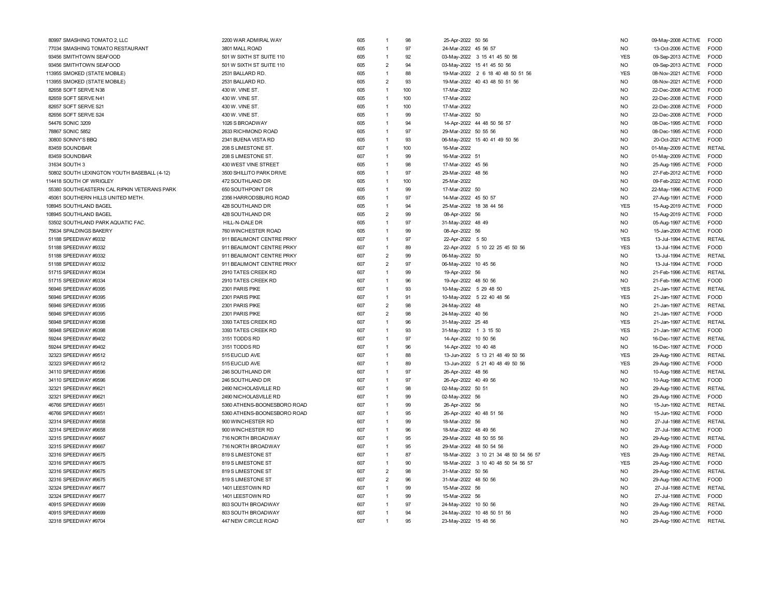| 80997 SMASHING TOMATO 2, LLC                | 2200 WAR ADMIRAL WAY        | 605 |                | 98  | 25-Apr-2022 50 56                     | <b>NO</b>      | 09-May-2008 ACTIVE | <b>FOOD</b>   |
|---------------------------------------------|-----------------------------|-----|----------------|-----|---------------------------------------|----------------|--------------------|---------------|
| 77034 SMASHING TOMATO RESTAURANT            | 3801 MALL ROAD              | 605 | $\overline{1}$ | 97  | 24-Mar-2022 45 56 57                  | <b>NO</b>      | 13-Oct-2006 ACTIVE | <b>FOOD</b>   |
| 93456 SMITHTOWN SEAFOOD                     | 501 W SIXTH ST SUITE 110    | 605 | $\overline{1}$ | 92  | 03-May-2022 3 15 41 45 50 56          | <b>YES</b>     | 09-Sep-2013 ACTIVE | FOOD          |
| 93456 SMITHTOWN SEAFOOD                     | 501 W SIXTH ST SUITE 110    | 605 | $\overline{2}$ | 94  | 03-May-2022 15 41 45 50 56            | <b>NO</b>      | 09-Sep-2013 ACTIVE | <b>FOOD</b>   |
| 13955 SMOKED (STATE MOBILE)                 | 2531 BALLARD RD             | 605 | 1              | 88  | 19-Mar-2022 2 6 18 40 48 50 51 56     | <b>YES</b>     | 08-Nov-2021 ACTIVE | <b>FOOD</b>   |
| 113955 SMOKED (STATE MOBILE)                | 2531 BALLARD RD             | 605 | $\overline{2}$ | 93  | 19-Mar-2022 40 43 48 50 51 56         | <b>NO</b>      | 08-Nov-2021 ACTIVE | FOOD          |
| 82658 SOFT SERVE N38                        | 430 W. VINE ST.             | 605 | $\overline{1}$ | 100 | 17-Mar-2022                           | <b>NO</b>      | 22-Dec-2008 ACTIVE | FOOD          |
| 82659 SOFT SERVE N41                        | 430 W. VINE ST.             | 605 | 1              | 100 | 17-Mar-2022                           | <b>NO</b>      | 22-Dec-2008 ACTIVE | FOOD          |
| 82657 SOFT SERVE S21                        | 430 W. VINE ST.             | 605 | $\overline{1}$ | 100 | 17-Mar-2022                           | N <sub>O</sub> | 22-Dec-2008 ACTIVE | <b>FOOD</b>   |
| 82656 SOFT SERVE S24                        | 430 W. VINE ST.             | 605 | $\overline{1}$ | 99  | 17-Mar-2022 50                        | N <sub>O</sub> | 22-Dec-2008 ACTIVE | <b>FOOD</b>   |
| 54476 SONIC 3209                            | 1026 S BROADWAY             | 605 | $\overline{1}$ | 94  | 14-Apr-2022 44 48 50 56 57            | <b>NO</b>      | 08-Dec-1995 ACTIVE | <b>FOOD</b>   |
| 78867 SONIC 5852                            | 2633 RICHMOND ROAD          | 605 | $\overline{1}$ | 97  | 29-Mar-2022 50 55 56                  | <b>NO</b>      | 08-Dec-1995 ACTIVE | <b>FOOD</b>   |
| 30800 SONNY'S BBQ                           | 2341 BUENA VISTA RD         | 605 | $\overline{1}$ | 93  | 06-May-2022 15 40 41 49 50 56         | <b>NO</b>      | 20-Oct-2021 ACTIVE | <b>FOOD</b>   |
| 83459 SOUNDBAR                              | 208 S LIMESTONE ST.         | 607 | $\overline{1}$ | 100 | 16-Mar-2022                           | <b>NO</b>      | 01-May-2009 ACTIVE | <b>RETAIL</b> |
| 83459 SOUNDBAR                              | 208 S LIMESTONE ST.         | 607 | $\overline{1}$ | 99  | 16-Mar-2022 51                        | <b>NO</b>      | 01-May-2009 ACTIVE | <b>FOOD</b>   |
| 31634 SOUTH 3                               | 430 WEST VINE STREET        | 605 | 1              | 98  | 17-Mar-2022 45 56                     | <b>NO</b>      | 25-Aug-1995 ACTIVE | FOOD          |
| 50802 SOUTH LEXINGTON YOUTH BASEBALL (4-12) | 3500 SHILLITO PARK DRIVE    | 605 | $\overline{1}$ | 97  | 29-Mar-2022 48 56                     | <b>NO</b>      | 27-Feb-2012 ACTIVE | <b>FOOD</b>   |
| 114418 SOUTH OF WRIGLEY                     | 472 SOUTHLAND DR            | 605 | $\mathbf{1}$   | 100 | 25-Mar-2022                           | <b>NO</b>      | 09-Feb-2022 ACTIVE | FOOD          |
|                                             |                             |     | $\overline{1}$ |     |                                       |                |                    |               |
| 55380 SOUTHEASTERN CAL RIPKIN VETERANS PARK | 650 SOUTHPOINT DR           | 605 |                | 99  | 17-Mar-2022 50                        | <b>NO</b>      | 22-May-1996 ACTIVE | FOOD          |
| 45061 SOUTHERN HILLS UNITED METH.           | 2356 HARRODSBURG ROAD       | 605 | $\overline{1}$ | 97  | 14-Mar-2022 45 50 57                  | <b>NO</b>      | 27-Aug-1991 ACTIVE | FOOD          |
| 108945 SOUTHLAND BAGEL                      | 428 SOUTHLAND DR            | 605 | $\overline{1}$ | 94  | 25-Mar-2022 18 38 44 56               | <b>YES</b>     | 15-Aug-2019 ACTIVE | <b>FOOD</b>   |
| 108945 SOUTHLAND BAGEL                      | 428 SOUTHLAND DR            | 605 | $\overline{2}$ | 99  | 08-Apr-2022 56                        | <b>NO</b>      | 15-Aug-2019 ACTIVE | <b>FOOD</b>   |
| 53502 SOUTHLAND PARK AQUATIC FAC.           | HILL-N-DALE DR              | 605 | 1              | 97  | 31-May-2022 48 49                     | <b>NO</b>      | 05-Aug-1997 ACTIVE | <b>FOOD</b>   |
| 75634 SPALDINGS BAKERY                      | 760 WINCHESTER ROAD         | 605 | $\mathbf{1}$   | 99  | 08-Apr-2022 56                        | <b>NO</b>      | 15-Jan-2009 ACTIVE | <b>FOOD</b>   |
| 51188 SPEEDWAY #9332                        | 911 BEAUMONT CENTRE PRKY    | 607 | $\overline{1}$ | 97  | 22-Apr-2022 5 50                      | <b>YES</b>     | 13-Jul-1994 ACTIVE | <b>RETAIL</b> |
| 51188 SPEEDWAY #9332                        | 911 BEAUMONT CENTRE PRKY    | 607 | $\overline{1}$ | 89  | 22-Apr-2022 5 10 22 25 45 50 56       | <b>YES</b>     | 13-Jul-1994 ACTIVE | <b>FOOD</b>   |
| 51188 SPEEDWAY #9332                        | 911 BEAUMONT CENTRE PRKY    | 607 | $\overline{2}$ | 99  | 06-May-2022 50                        | <b>NO</b>      | 13-Jul-1994 ACTIVE | <b>RETAIL</b> |
| 51188 SPEEDWAY #9332                        | 911 BEAUMONT CENTRE PRKY    | 607 | $\overline{2}$ | 97  | 06-May-2022 10 45 56                  | N <sub>O</sub> | 13-Jul-1994 ACTIVE | <b>FOOD</b>   |
| 51715 SPEEDWAY #9334                        | 2910 TATES CREEK RD         | 607 | 1              | 99  | 19-Apr-2022 56                        | NO.            | 21-Feb-1996 ACTIVE | <b>RETAI</b>  |
| 51715 SPEEDWAY #9334                        | 2910 TATES CREEK RD         | 607 | 1              | 96  | 19-Apr-2022 48 50 56                  | <b>NO</b>      | 21-Feb-1996 ACTIVE | FOOD          |
| 56946 SPEEDWAY #9395                        | 2301 PARIS PIKE             | 607 | 1              | 93  | 10-May-2022 5 29 48 50                | <b>YES</b>     | 21-Jan-1997 ACTIVE | RETAIL        |
| 56946 SPEEDWAY #9395                        | 2301 PARIS PIKE             | 607 | $\overline{1}$ | 91  | 10-May-2022 5 22 40 48 56             | <b>YES</b>     | 21-Jan-1997 ACTIVE | <b>FOOD</b>   |
| 56946 SPEEDWAY #9395                        | 2301 PARIS PIKE             | 607 | $\overline{2}$ | 98  | 24-May-2022 48                        | <b>NO</b>      | 21-Jan-1997 ACTIVE | <b>RETAIL</b> |
| 56946 SPEEDWAY #9395                        | 2301 PARIS PIKE             | 607 | $\overline{2}$ | 98  | 24-May-2022 40 56                     | <b>NO</b>      | 21-Jan-1997 ACTIVE | <b>FOOD</b>   |
| 56948 SPEEDWAY #9398                        | 3393 TATES CREEK RD         | 607 | $\mathbf{1}$   | 96  | 31-May-2022 25 48                     | <b>YES</b>     | 21-Jan-1997 ACTIVE | <b>RETAIL</b> |
| 56948 SPEEDWAY #9398                        | 3393 TATES CREEK RD         | 607 | $\overline{1}$ | 93  | 31-May-2022 1 3 15 50                 | <b>YES</b>     | 21-Jan-1997 ACTIVE | <b>FOOD</b>   |
| 59244 SPEEDWAY #9402                        | 3151 TODDS RD               | 607 | $\mathbf{1}$   | 97  | 14-Apr-2022 10 50 56                  | NO.            | 16-Dec-1997 ACTIVE | <b>RETAI</b>  |
| 59244 SPEEDWAY #9402                        | 3151 TODDS RD               | 607 | 1              | 96  | 14-Apr-2022 10 40 48                  | <b>NO</b>      | 16-Dec-1997 ACTIVE | FOOD          |
| 32323 SPEEDWAY #9512                        | 515 EUCLID AVE              | 607 | $\overline{1}$ | 88  | 13-Jun-2022 5 13 21 48 49 50 56       | <b>YES</b>     | 29-Aug-1990 ACTIVE | <b>RETAIL</b> |
| 32323 SPEEDWAY #9512                        | 515 EUCLID AVE              | 607 | $\overline{1}$ | 89  | 13-Jun-2022 5 21 40 48 49 50 56       | <b>YES</b>     | 29-Aug-1990 ACTIVE | <b>FOOD</b>   |
| 34110 SPEEDWAY #9596                        | 246 SOUTHLAND DR            | 607 | 1              | 97  | 26-Apr-2022 48 56                     | <b>NO</b>      | 10-Aug-1988 ACTIVE | RETAIL        |
| 34110 SPEEDWAY #9596                        | 246 SOUTHLAND DR            | 607 | $\mathbf{1}$   | 97  | 26-Apr-2022 40 49 56                  | <b>NO</b>      | 10-Aug-1988 ACTIVE | <b>FOOD</b>   |
| 32321 SPEEDWAY #9621                        | 2490 NICHOLASVILLE RD       | 607 | $\overline{1}$ | 98  | 02-May-2022 50 51                     | N <sub>O</sub> | 29-Aug-1990 ACTIVE | <b>RETAIL</b> |
| 32321 SPEEDWAY #9621                        | 2490 NICHOLASVILLE RD       | 607 | $\overline{1}$ | 99  | 02-May-2022 56                        | N <sub>O</sub> | 29-Aug-1990 ACTIVE | <b>FOOD</b>   |
| 46766 SPEEDWAY #9651                        | 5360 ATHENS-BOONESBORO ROAD | 607 | 1              | 99  | 26-Apr-2022 56                        | <b>NO</b>      | 15-Jun-1992 ACTIVE | <b>RETAIL</b> |
| 46766 SPEEDWAY #9651                        | 5360 ATHENS-BOONESBORO ROAD | 607 | $\mathbf{1}$   | 95  | 26-Apr-2022 40 48 51 56               | <b>NO</b>      | 15-Jun-1992 ACTIVE | <b>FOOD</b>   |
| 32314 SPEEDWAY #9658                        | 900 WINCHESTER RD           | 607 | $\mathbf{1}$   | 99  | 18-Mar-2022 56                        | <b>NO</b>      | 27-Jul-1988 ACTIVE | <b>RETAIL</b> |
| 32314 SPEEDWAY #9658                        | 900 WINCHESTER RD           | 607 | $\mathbf{1}$   | 96  | 18-Mar-2022 48 49 56                  | <b>NO</b>      | 27-Jul-1988 ACTIVE | FOOD          |
| 32315 SPEEDWAY #9667                        | 716 NORTH BROADWAY          | 607 | 1              | 95  | 29-Mar-2022 48 50 55 56               | <b>NO</b>      | 29-Aug-1990 ACTIVE | RETAIL        |
| 32315 SPEEDWAY #9667                        | 716 NORTH BROADWAY          | 607 | $\overline{1}$ | 95  | 29-Mar-2022 48 50 54 56               | <b>NO</b>      | 29-Aug-1990 ACTIVE | <b>FOOD</b>   |
| 32316 SPEEDWAY #9675                        | 819 S LIMESTONE ST          | 607 | $\overline{1}$ | 87  | 18-Mar-2022 3 10 21 34 48 50 54 56 57 | <b>YES</b>     | 29-Aug-1990 ACTIVE | <b>RETAI</b>  |
| 32316 SPEEDWAY #9675                        | 819 S LIMESTONE ST          | 607 | $\overline{1}$ | 90  | 18-Mar-2022 3 10 40 48 50 54 56 57    | <b>YES</b>     | 29-Aug-1990 ACTIVE | FOOD          |
| 32316 SPEEDWAY #9675                        | 819 S LIMESTONE ST          | 607 | $\overline{2}$ | 98  | 31-Mar-2022 50 56                     | <b>NO</b>      | 29-Aug-1990 ACTIVE | <b>RETAIL</b> |
| 32316 SPEEDWAY #9675                        | 819 S LIMESTONE ST          | 607 | $\overline{2}$ | 96  | 31-Mar-2022 48 50 56                  | N <sub>O</sub> | 29-Aug-1990 ACTIVE | <b>FOOD</b>   |
| 32324 SPEEDWAY #9677                        | 1401 LEESTOWN RD            | 607 | $\mathbf{1}$   | 99  | 15-Mar-2022 56                        | N <sub>O</sub> | 27-Jul-1988 ACTIVE | <b>RETAIL</b> |
| 32324 SPEEDWAY #9677                        | 1401 LEESTOWN RD            | 607 | 1              | 99  | 15-Mar-2022 56                        | <b>NO</b>      | 27-Jul-1988 ACTIVE | FOOD          |
| 40915 SPEEDWAY #9699                        | 803 SOUTH BROADWAY          | 607 | $\overline{1}$ | 97  | 24-May-2022 10 50 56                  | N <sub>O</sub> | 29-Aug-1990 ACTIVE | <b>RETAIL</b> |
| 40915 SPEEDWAY #9699                        | 803 SOUTH BROADWAY          | 607 | $\overline{1}$ | 94  | 24-May-2022 10 48 50 51 56            | <b>NO</b>      | 29-Aug-1990 ACTIVE | <b>FOOD</b>   |
| 32318 SPEEDWAY #9704                        | 447 NEW CIRCLE ROAD         | 607 | $\overline{1}$ | 95  | 23-May-2022 15 48 56                  | <b>NO</b>      | 29-Aug-1990 ACTIVE | <b>RETAIL</b> |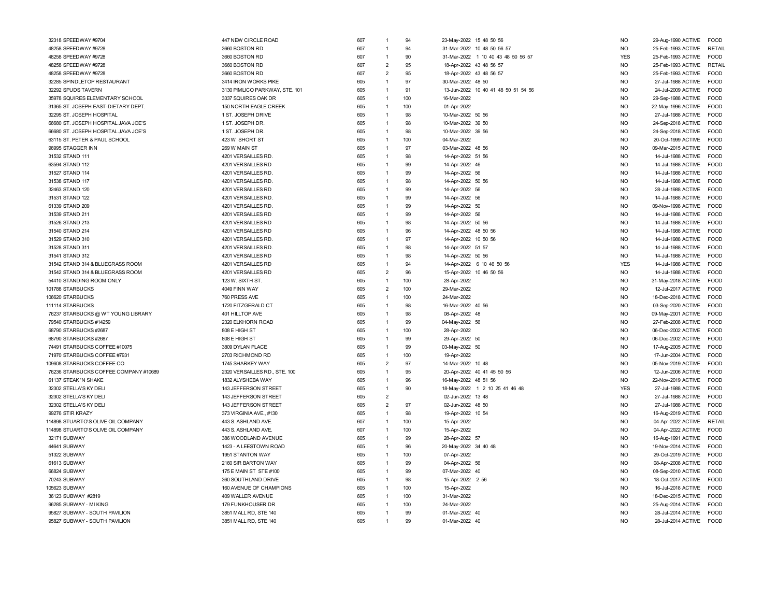| 32318 SPEEDWAY #9704                                           | 447 NEW CIRCLE ROAD                            | 607        | $\mathbf{1}$                 | 94       | 23-May-2022 15 48 50 56             | <b>NO</b>              | 29-Aug-1990 ACTIVE<br><b>FOOD</b>                            |
|----------------------------------------------------------------|------------------------------------------------|------------|------------------------------|----------|-------------------------------------|------------------------|--------------------------------------------------------------|
| 48258 SPEEDWAY #9728                                           | 3660 BOSTON RD                                 | 607        | $\mathbf{1}$                 | 94       | 31-Mar-2022 10 48 50 56 57          | <b>NO</b>              | 25-Feb-1993 ACTIVE<br>RETAIL                                 |
| 48258 SPEEDWAY #9728                                           | 3660 BOSTON RD                                 | 607        | $\overline{1}$               | 90       | 31-Mar-2022 1 10 40 43 48 50 56 57  | <b>YES</b>             | 25-Feb-1993 ACTIVE<br><b>FOOD</b>                            |
| 48258 SPEEDWAY #9728                                           | 3660 BOSTON RD                                 | 607        | $\overline{2}$               | 95       | 18-Apr-2022 43 48 56 57             | <b>NO</b>              | <b>RETAIL</b><br>25-Feb-1993 ACTIVE                          |
| 48258 SPEEDWAY #9728                                           | 3660 BOSTON RD                                 | 607        | $\overline{2}$               | 95       | 18-Apr-2022 43 48 56 57             | <b>NO</b>              | 25-Feb-1993 ACTIVE<br><b>FOOD</b>                            |
| 32285 SPINDLETOP RESTAURANT                                    | 3414 IRON WORKS PIKE                           | 605        | 1                            | 97       | 30-Mar-2022 48 50                   | <b>NO</b>              | 27-Jul-1988 ACTIVE<br><b>FOOD</b>                            |
| 32292 SPUDS TAVERN                                             | 3130 PIMLICO PARKWAY, STE. 101                 | 605        |                              | 91       | 13-Jun-2022 10 40 41 48 50 51 54 56 | <b>NO</b>              | 24-Jul-2009 ACTIVE<br><b>FOOD</b>                            |
| 35978 SQUIRES ELEMENTARY SCHOOL                                | 3337 SQUIRES OAK DR                            | 605        | 1                            | 100      | 16-Mar-2022                         | <b>NO</b>              | 29-Sep-1988 ACTIVE<br><b>FOOD</b>                            |
| 31365 ST. JOSEPH EAST-DIETARY DEPT.                            | 150 NORTH EAGLE CREEK                          | 605        |                              | 100      | 01-Apr-2022                         | <b>NO</b>              | 22-May-1996 ACTIVE<br><b>FOOD</b>                            |
| 32295 ST. JOSEPH HOSPITAL                                      | 1 ST. JOSEPH DRIVE                             | 605        | 1                            | 98       | 10-Mar-2022 50 56                   | <b>NO</b>              | 27-Jul-1988 ACTIVE<br><b>FOOD</b>                            |
| 66680 ST. JOSEPH HOSPITAL JAVA JOE'S                           | 1 ST. JOSEPH DR.                               | 605        | 1                            | 98       | 10-Mar-2022 39 50                   | <b>NO</b>              | 24-Sep-2018 ACTIVE<br>FOOD                                   |
| 66680 ST. JOSEPH HOSPITAL JAVA JOE'S                           | 1 ST. JOSEPH DR.                               | 605        |                              | 98       | 10-Mar-2022 39 56                   | <b>NO</b>              | 24-Sep-2018 ACTIVE<br><b>FOOD</b>                            |
| 63115 ST. PETER & PAUL SCHOOL                                  | 423 W SHORT ST                                 | 605        | 1                            | 100      | 04-Mar-2022                         | N <sub>O</sub>         | 20-Oct-1999 ACTIVE<br><b>FOOD</b>                            |
| 96995 STAGGER INN                                              | 269 W MAIN ST                                  | 605        | 1                            | 97       | 03-Mar-2022 48 56                   | <b>NO</b>              | 09-Mar-2015 ACTIVE<br><b>FOOD</b>                            |
| 31532 STAND 111                                                | 4201 VERSAILLES RD                             | 605        | 1                            | 98       | 14-Apr-2022 51 56                   | <b>NO</b>              | 14-Jul-1988 ACTIVE<br><b>EOOD</b>                            |
| 63594 STAND 112                                                | 4201 VERSAILLES RD                             | 605        |                              | 99       | 14-Apr-2022 46                      | <b>NO</b>              | FOOD                                                         |
|                                                                |                                                |            |                              |          |                                     |                        | 14-Jul-1988 ACTIVE                                           |
| 31527 STAND 114                                                | 4201 VERSAILLES RD.                            | 605        | 1                            | 99<br>98 | 14-Apr-2022 56                      | <b>NO</b>              | FOOD<br>14-Jul-1988 ACTIVE                                   |
| 31538 STAND 117                                                | 4201 VERSAILLES RD.                            | 605        |                              |          | 14-Apr-2022 50 56                   | <b>NO</b>              | 14-Jul-1988 ACTIVE<br><b>FOOD</b>                            |
| 32463 STAND 120                                                | 4201 VERSAILLES RD                             | 605        |                              | 99       | 14-Apr-2022 56                      | <b>NO</b>              | 28-Jul-1988 ACTIVE<br><b>FOOD</b>                            |
| 31531 STAND 122                                                | 4201 VERSAILLES RD                             | 605        |                              | 99       | 14-Apr-2022 56                      | <b>NO</b>              | 14-Jul-1988 ACTIVE<br><b>FOOD</b>                            |
| 61339 STAND 209                                                | 4201 VERSAILLES RD.                            | 605        |                              | 99       | 14-Apr-2022 50                      | <b>NO</b>              | 09-Nov-1998 ACTIVE<br><b>FOOD</b>                            |
| 31539 STAND 211                                                | 4201 VERSAILLES RD                             | 605        | 1                            | 99       | 14-Apr-2022 56                      | <b>NO</b>              | 14-Jul-1988 ACTIVE<br>FOOD                                   |
| 31526 STAND 213                                                | 4201 VERSAILLES RD                             | 605        |                              | 98       | 14-Apr-2022 50 56                   | <b>NO</b>              | 14-Jul-1988 ACTIVE<br><b>FOOD</b>                            |
| 31540 STAND 214                                                | 4201 VERSAILLES RD                             | 605        | 1                            | 96       | 14-Apr-2022 48 50 56                | N <sub>O</sub>         | 14-Jul-1988 ACTIVE<br><b>FOOD</b>                            |
| 31529 STAND 310                                                | 4201 VERSAILLES RD.                            | 605        | 1                            | 97       | 14-Apr-2022 10 50 56                | <b>NO</b>              | 14-Jul-1988 ACTIVE<br><b>FOOD</b>                            |
| 31528 STAND 311                                                | 4201 VERSAILLES RD.                            | 605        | 1                            | 98       | 14-Apr-2022 51 57                   | <b>NO</b>              | <b>FOOD</b><br>14-Jul-1988 ACTIVE                            |
| 31541 STAND 312                                                | 4201 VERSAILLES RD                             | 605        | $\mathbf{1}$                 | 98       | 14-Apr-2022 50 56                   | <b>NO</b>              | 14-Jul-1988 ACTIVE<br><b>FOOD</b>                            |
| 31542 STAND 314 & BLUEGRASS ROOM                               | 4201 VERSAILLES RD                             | 605        | 1                            | 94       | 14-Apr-2022 6 10 46 50 56           | <b>YES</b>             | 14-Jul-1988 ACTIVE<br><b>FOOD</b>                            |
| 31542 STAND 314 & BLUEGRASS ROOM                               | 4201 VERSAILLES RD                             | 605        | $\overline{2}$               | 96       | 15-Apr-2022 10 46 50 56             | <b>NO</b>              | FOOD<br>14-Jul-1988 ACTIVE                                   |
| 54410 STANDING ROOM ONLY                                       | 123 W. SIXTH ST.                               | 605        | 1                            | 100      | 28-Apr-2022                         | <b>NO</b>              | 31-May-2018 ACTIVE<br><b>FOOD</b>                            |
| 101788 STARBUCKS                                               | 4049 FINN WAY                                  | 605        | $\overline{2}$               | 100      | 29-Mar-2022                         | <b>NO</b>              | 12-Jul-2017 ACTIVE<br><b>FOOD</b>                            |
| 106620 STARBUCKS                                               | 760 PRESS AVE                                  | 605        | 1                            | 100      | 24-Mar-2022                         | <b>NO</b>              | 18-Dec-2018 ACTIVE<br><b>FOOD</b>                            |
| 111114 STARBUCKS                                               | 1720 FITZGERALD CT                             | 605        |                              | 98       | 16-Mar-2022 40 56                   | <b>NO</b>              | 03-Sep-2020 ACTIVE<br><b>FOOD</b>                            |
| 76237 STARBUCKS @ WT YOUNG LIBRARY                             | 401 HILLTOP AVE                                | 605        |                              | 98       | 08-Apr-2022 48                      | <b>NO</b>              | 09-May-2001 ACTIVE<br><b>FOOD</b>                            |
| 79540 STARBUCKS #14259                                         | 2320 ELKHORN ROAD                              | 605        | 1                            | 99       | 04-May-2022 56                      | <b>NO</b>              | 27-Feb-2008 ACTIVE<br><b>FOOD</b>                            |
| 68790 STARBUCKS #2687                                          | 808 E HIGH ST                                  | 605        | 1                            | 100      | 28-Apr-2022                         | <b>NO</b>              | 06-Dec-2002 ACTIVE<br><b>FOOD</b>                            |
| 68790 STARBUCKS #2687                                          | 808 E HIGH ST                                  | 605        |                              | 99       | 29-Apr-2022 50                      | <b>NO</b>              | 06-Dec-2002 ACTIVE<br><b>FOOD</b>                            |
| 74491 STARBUCKS COFFEE #10075                                  | 3809 DYLAN PLACE                               | 605        | $\mathbf{1}$                 | 99       | 03-May-2022 50                      | <b>NO</b>              | 17-Aug-2005 ACTIVE<br><b>FOOD</b>                            |
| 71970 STARBUCKS COFFEE #7931                                   | 2703 RICHMOND RD                               | 605        | $\overline{1}$               | 100      | 19-Apr-2022                         | <b>NO</b>              | 17-Jun-2004 ACTIVE<br>FOOD                                   |
| 109608 STARBUCKS COFFEE CO.                                    | 1745 SHARKEY WAY                               | 605        | $\mathcal{P}$                | 97       | 14-Mar-2022 10 48                   | <b>NO</b>              | 05-Nov-2019 ACTIVE<br><b>FOOD</b>                            |
| 76236 STARBUCKS COFFEE COMPANY #10689                          | 2320 VERSAILLES RD., STE. 100                  | 605        |                              | 95       | 20-Apr-2022 40 41 45 50 56          | <b>NO</b>              | 12-Jun-2006 ACTIVE<br><b>FOOD</b>                            |
| 61137 STEAK 'N SHAKE                                           | 1832 ALYSHEBA WAY                              | 605        | 1                            | 96       | 16-May-2022 48 51 56                | <b>NO</b>              | 22-Nov-2019 ACTIVE<br><b>FOOD</b>                            |
| 32302 STELLA'S KY DELI                                         | 143 JEFFERSON STREET                           | 605        |                              | 90       | 18-May-2022 1 2 10 25 41 46 48      | <b>YES</b>             | 27-Jul-1988 ACTIVE<br><b>FOOD</b>                            |
| 32302 STELLA'S KY DELI                                         | 143 JEFFERSON STREET                           | 605        | $\overline{2}$               |          | 02-Jun-2022 13 48                   | <b>NO</b>              | 27-Jul-1988 ACTIVE<br><b>FOOD</b>                            |
| 32302 STELLA'S KY DELI                                         | 143 JEFFERSON STREET                           | 605        | $\mathcal{P}$                | 97       | 02-Jun-2022 48 50                   | <b>NO</b>              | 27-Jul-1988 ACTIVE<br><b>FOOD</b>                            |
| 99276 STIR KRAZY                                               | 373 VIRGINIA AVE., #130                        | 605        | $\overline{1}$               | 98       | 19-Apr-2022 10 54                   | <b>NO</b>              | 16-Aug-2019 ACTIVE<br>FOOD                                   |
| 114898 STUARTO'S OLIVE OIL COMPANY                             | 443 S. ASHLAND AVE.                            | 607        | 1                            | 100      | 15-Apr-2022                         | <b>NO</b>              | 04-Apr-2022 ACTIVE<br><b>RETAIL</b>                          |
| 114898 STUARTO'S OLIVE OIL COMPANY                             | 443 S. ASHLAND AVE.                            | 607        | 1                            | 100      | 15-Apr-2022                         | <b>NO</b>              | 04-Apr-2022 ACTIVE<br><b>FOOD</b>                            |
| 32171 SUBWAY                                                   | 386 WOODLAND AVENUE                            | 605        | $\mathbf{1}$                 | 99       | 28-Apr-2022 57                      | <b>NO</b>              | 16-Aug-1991 ACTIVE<br><b>FOOD</b>                            |
| 44641 SUBWAY                                                   | 1423 - A LEESTOWN ROAD                         | 605        | 1                            | 96       | 20-May-2022 34 40 48                | <b>NO</b>              | 19-Nov-2014 ACTIVE<br><b>FOOD</b>                            |
| 51322 SUBWAY                                                   | 1951 STANTON WAY                               | 605        | 1                            | 100      | 07-Apr-2022                         | <b>NO</b>              | 29-Oct-2019 ACTIVE<br><b>FOOD</b>                            |
| 61613 SUBWAY                                                   | 2160 SIR BARTON WAY                            | 605        | 1                            | 99       | 04-Apr-2022 56                      | <b>NO</b>              | 08-Apr-2008 ACTIVE<br>FOOD                                   |
| 66824 SUBWAY                                                   | 175 E MAIN ST STE #100                         | 605        | 1                            | 99       | 07-Mar-2022 40                      | <b>NO</b>              | 08-Sep-2010 ACTIVE<br>FOOD                                   |
| 70243 SUBWAY                                                   | 360 SOUTHLAND DRIVE                            | 605        | 1                            | 98       | 15-Apr-2022 2 56                    | <b>NO</b>              | 18-Oct-2017 ACTIVE<br><b>FOOD</b>                            |
| 105623 SUBWAY                                                  | 160 AVENUE OF CHAMPIONS                        | 605        | 1                            | 100      | 15-Apr-2022                         | <b>NO</b>              | 16-Jul-2018 ACTIVE<br><b>FOOD</b>                            |
| 36123 SUBWAY #2819                                             | 409 WALLER AVENUE                              | 605        | $\overline{1}$               | 100      | 31-Mar-2022                         | <b>NO</b>              | <b>FOOD</b>                                                  |
| 96285 SUBWAY - MI KING                                         | 179 FUNKHOUSER DR                              | 605        | $\mathbf{1}$                 | 100      | 24-Mar-2022                         | <b>NO</b>              | 18-Dec-2015 ACTIVE<br>FOOD                                   |
|                                                                |                                                |            |                              |          |                                     |                        | 25-Aug-2014 ACTIVE                                           |
| 95827 SUBWAY - SOUTH PAVILION<br>95827 SUBWAY - SOUTH PAVILION | 3851 MALL RD, STE 140<br>3851 MALL RD, STE 140 | 605<br>605 | $\mathbf{1}$<br>$\mathbf{1}$ | 99<br>99 | 01-Mar-2022 40<br>01-Mar-2022 40    | <b>NO</b><br><b>NO</b> | 28-Jul-2014 ACTIVE<br><b>FOOD</b><br>28-Jul-2014 ACTIVE FOOD |
|                                                                |                                                |            |                              |          |                                     |                        |                                                              |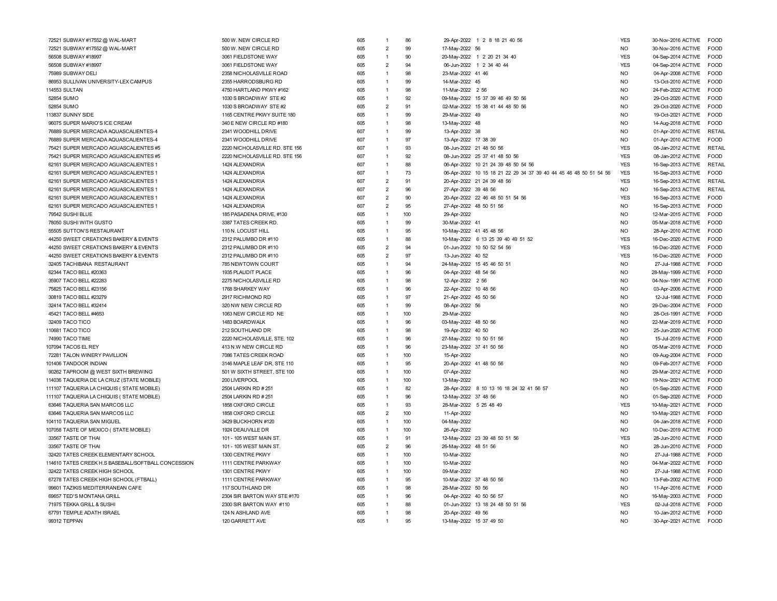| 72521 SUBWAY #17552 @ WAL-MART                     | 500 W. NEW CIRCLE RD           | 605 | $\mathbf{1}$   | 86  | 29-Apr-2022 1 2 8 18 21 40 56                                     | <b>YES</b>     | 30-Nov-2016 ACTIVE | <b>FOOD</b>   |
|----------------------------------------------------|--------------------------------|-----|----------------|-----|-------------------------------------------------------------------|----------------|--------------------|---------------|
| 72521 SUBWAY #17552 @ WAL-MART                     | 500 W. NEW CIRCLE RD           | 605 | $\overline{2}$ | 99  | 17-May-2022 56                                                    | NO.            | 30-Nov-2016 ACTIVE | <b>FOOD</b>   |
| 56508 SUBWAY #18997                                | 3061 FIELDSTONE WAY            | 605 | $\overline{1}$ | 90  | 20-May-2022 1 2 20 21 34 40                                       | <b>YES</b>     | 04-Sep-2014 ACTIVE | <b>FOOD</b>   |
| 56508 SUBWAY #18997                                | 3061 FIELDSTONE WAY            | 605 | $\overline{2}$ | 94  | 06-Jun-2022 1 2 34 40 44                                          | <b>YES</b>     | 04-Sep-2014 ACTIVE | FOOD          |
| 75989 SUBWAY DELI                                  | 2358 NICHOLASVILLE ROAD        | 605 | $\overline{1}$ | 98  | 23-Mar-2022 41 46                                                 | <b>NO</b>      | 04-Apr-2008 ACTIVE | FOOD          |
| 86953 SULLIVAN UNIVERSITY-LEX CAMPUS               | 2355 HARRODSBURG RD            | 605 | $\overline{1}$ | 99  | 14-Mar-2022 45                                                    | NO.            | 13-Oct-2010 ACTIVE | FOOD          |
| 114553 SULTAN                                      | 4750 HARTLAND PKWY #162        | 605 | $\overline{1}$ | 98  | 11-Mar-2022 2 56                                                  | <b>NO</b>      | 24-Feb-2022 ACTIVE | FOOD          |
| 52854 SUMO                                         | 1030 S BROADWAY STE #2         | 605 | $\overline{1}$ | 92  | 09-May-2022 15 37 39 46 49 50 56                                  | <b>NO</b>      | 29-Oct-2020 ACTIVE | <b>FOOD</b>   |
| 52854 SUMO                                         | 1030 S BROADWAY STE #2         | 605 | $\overline{2}$ | 91  | 02-Mar-2022 15 38 41 44 48 50 56                                  | <b>NO</b>      | 29-Oct-2020 ACTIVE | <b>FOOD</b>   |
| 113837 SUNNY SIDE                                  | 1165 CENTRE PKWY SUITE 180     | 605 | $\overline{1}$ | 99  | 29-Mar-2022 49                                                    | <b>NO</b>      | 19-Oct-2021 ACTIVE | <b>FOOD</b>   |
| 96075 SUPER MARIO'S ICE CREAM                      | 340 E NEW CIRCLE RD #180       | 605 | $\overline{1}$ | 98  | 13-May-2022 48                                                    | N <sub>O</sub> | 14-Aug-2018 ACTIVE | <b>FOOD</b>   |
| 76889 SUPER MERCADA AQUASCALIENTES-4               | 2341 WOODHILL DRIVE            | 607 | $\overline{1}$ | 99  | 13-Apr-2022 38                                                    | <b>NO</b>      | 01-Apr-2010 ACTIVE | <b>RETAIL</b> |
| 76889 SUPER MERCADA AQUASCALIENTES-4               | 2341 WOODHILL DRIVE            | 607 | $\overline{1}$ | 97  | 13-Apr-2022 17 38 39                                              | N <sub>O</sub> | 01-Apr-2010 ACTIVE | <b>FOOD</b>   |
| 75421 SUPER MERCADO AGUASCALIENTES #5              | 2220 NICHOLASVILLE RD. STE 156 | 607 | $\overline{1}$ | 93  | 08-Jun-2022 21 48 50 56                                           | <b>YES</b>     | 08-Jan-2012 ACTIVE | <b>RETAIL</b> |
| 75421 SUPER MERCADO AGUASCALIENTES #5              | 2220 NICHOLASVILLE RD. STE 156 | 607 | $\mathbf{1}$   | 92  | 08-Jun-2022 25 37 41 48 50 56                                     | <b>YES</b>     | 08-Jan-2012 ACTIVE | <b>FOOD</b>   |
| 62161 SUPER MERCADO AGUASCALIENTES 1               | 1424 ALEXANDRIA                | 607 | $\overline{1}$ | 88  | 06-Apr-2022 10 21 24 39 48 50 54 56                               | <b>YES</b>     | 16-Sep-2013 ACTIVE | <b>RETAIL</b> |
| 62161 SUPER MERCADO AGUASCALIENTES *               | 1424 ALEXANDRIA                | 607 | $\overline{1}$ | 73  | 06-Apr-2022 10 15 18 21 22 29 34 37 39 40 44 45 46 48 50 51 54 56 | <b>YES</b>     | 16-Sep-2013 ACTIVE | FOOD          |
| 62161 SUPER MERCADO AGUASCALIENTES *               | 1424 ALEXANDRIA                | 607 | $\overline{2}$ | 91  | 20-Apr-2022 21 24 39 48 56                                        | <b>YES</b>     | 16-Sep-2013 ACTIVE | <b>RETAIL</b> |
| 62161 SUPER MERCADO AGUASCALIENTES *               | 1424 ALEXANDRIA                | 607 | $\overline{2}$ | 96  | 27-Apr-2022 39 48 56                                              | NO.            | 16-Sep-2013 ACTIVE | <b>RETAIL</b> |
| 62161 SUPER MERCADO AGUASCALIENTES *               | 1424 ALEXANDRIA                | 607 | $\overline{2}$ | 90  | 20-Apr-2022 22 46 48 50 51 54 56                                  | <b>YES</b>     | 16-Sep-2013 ACTIVE | FOOD          |
| 62161 SUPER MERCADO AGUASCALIENTES *               | 1424 ALEXANDRIA                | 607 | $\overline{2}$ | 95  | 27-Apr-2022 48 50 51 56                                           | <b>NO</b>      | 16-Sep-2013 ACTIVE | FOOD          |
| 79542 SUSHI BLUE                                   | 185 PASADENA DRIVE, #130       | 605 | $\overline{1}$ | 100 | 29-Apr-2022                                                       | N <sub>O</sub> | 12-Mar-2015 ACTIVE | <b>FOOD</b>   |
| 78050 SUSHI WITH GUSTO                             | 3387 TATES CREEK RD            | 605 | $\overline{1}$ | 99  | 30-Mar-2022 41                                                    | <b>NO</b>      | 05-Mar-2018 ACTIVE | <b>FOOD</b>   |
| 55505 SUTTON'S RESTAURANT                          | 110 N. LOCUST HILL             | 605 | $\overline{1}$ | 95  | 10-May-2022 41 45 48 56                                           | <b>NO</b>      | 28-Apr-2010 ACTIVE | <b>EOOD</b>   |
| 44250 SWEET CREATIONS BAKERY & EVENTS              | 2312 PALUMBO DR #110           | 605 | $\overline{1}$ | 88  | 10-May-2022 6 13 25 39 40 49 51 52                                | <b>YES</b>     | 16-Dec-2020 ACTIVE | <b>FOOD</b>   |
| 44250 SWEET CREATIONS BAKERY & EVENTS              | 2312 PALUMBO DR #110           | 605 | $\overline{2}$ | 94  | 01-Jun-2022 10 50 52 54 56                                        | <b>YES</b>     | 16-Dec-2020 ACTIVE | <b>FOOD</b>   |
| 44250 SWEET CREATIONS BAKERY & EVENTS              | 2312 PALUMBO DR #110           | 605 | $\overline{2}$ | 97  | 13-Jun-2022 40 52                                                 | <b>YES</b>     | 16-Dec-2020 ACTIVE | <b>FOOD</b>   |
| 32405 TACHIBANA RESTAURANT                         | 785 NEWTOWN COURT              | 605 | $\overline{1}$ | 94  | 24-May-2022 15 45 46 50 51                                        | <b>NO</b>      | 27-Jul-1988 ACTIVE | <b>FOOD</b>   |
| 62344 TACO BELL #20363                             | 1935 PLAUDIT PLACE             | 605 | $\overline{1}$ | 96  | 04-Apr-2022 48 54 56                                              | <b>NO</b>      | 28-May-1999 ACTIVE | FOOD          |
| 35907 TACO BELL #22283                             | 2275 NICHOLASVILLE RD          | 605 | $\overline{1}$ | 98  | 12-Apr-2022 2 56                                                  | NO.            | 04-Nov-1991 ACTIVE | FOOD          |
| 75825 TACO BELL #23156                             | 1768 SHARKEY WAY               | 605 | $\overline{1}$ | 96  | 22-Apr-2022 10 48 56                                              | <b>NO</b>      | 03-Apr-2006 ACTIVE | FOOD          |
| 30819 TACO BELL #23279                             | 2917 RICHMOND RD               | 605 |                | 97  | 21-Apr-2022 45 50 56                                              | N <sub>O</sub> | 12-Jul-1988 ACTIVE | <b>FOOD</b>   |
| 32414 TACO BELL #32414                             | 320 NW NEW CIRCLE RD           | 605 | $\overline{1}$ | 99  | 08-Apr-2022 56                                                    | <b>NO</b>      | 29-Dec-2004 ACTIVE | <b>FOOD</b>   |
| 45421 TACO BELL #4653                              | 1063 NEW CIRCLE RD NE          | 605 | $\overline{1}$ | 100 | 29-Mar-2022                                                       | <b>NO</b>      | 28-Oct-1991 ACTIVE | FOOD          |
| 32409 TACO TICO                                    | 1483 BOARDWALK                 | 605 | $\overline{1}$ | 96  | 03-May-2022 48 50 56                                              | <b>NO</b>      | 22-Mar-2019 ACTIVE | <b>FOOD</b>   |
| 110681 TACO TICO                                   | 212 SOUTHLAND DR               | 605 | $\overline{1}$ | 98  | 19-Apr-2022 40 50                                                 | <b>NO</b>      | 25-Jun-2020 ACTIVE | <b>FOOD</b>   |
| 74990 TACO TIME                                    | 2220 NICHOLASVILLE, STE. 102   | 605 | $\overline{1}$ | 96  | 27-May-2022 10 50 51 56                                           | <b>NO</b>      | 15-Jul-2019 ACTIVE | <b>FOOD</b>   |
| 107094 TACOS EL REY                                | 413 N.W NEW CIRCLE RD          | 605 | $\overline{1}$ | 96  | 23-May-2022 37 41 50 56                                           | <b>NO</b>      | 05-Mar-2019 ACTIVE | <b>EOOD</b>   |
| 72281 TALON WINERY PAVILLION                       | 7086 TATES CREEK ROAD          | 605 | $\overline{1}$ | 100 | 15-Apr-2022                                                       | <b>NO</b>      | 09-Aug-2004 ACTIVE | FOOD          |
| 101406 TANDOOR INDIAN                              | 3146 MAPLE LEAF DR, STE 110    | 605 | $\overline{1}$ | 95  | 20-Apr-2022 41 48 50 56                                           | <b>NO</b>      | 09-Feb-2017 ACTIVE | <b>FOOD</b>   |
| 90262 TAPROOM @ WEST SIXTH BREWING                 | 501 W SIXTH STREET, STE 100    | 605 | $\overline{1}$ | 100 | 07-Apr-2022                                                       | N <sub>O</sub> | 29-Mar-2012 ACTIVE | <b>FOOD</b>   |
| 14036 TAQUERIA DE LA CRUZ (STATE MOBILE)           | 200 LIVERPOOL                  | 605 | $\overline{1}$ | 100 | 13-May-2022                                                       | <b>NO</b>      | 19-Nov-2021 ACTIVE | <b>FOOD</b>   |
| 111107 TAQUERIA LA CHIQUIS (STATE MOBILE)          | 2504 LARKIN RD #251            | 605 | $\overline{1}$ | 82  | 28-Apr-2022 8 10 13 16 18 24 32 41 56 57                          | NO.            | 01-Sep-2020 ACTIVE | FOOD          |
| 111107 TAQUERIA LA CHIQUIS (STATE MOBILE)          | 2504 LARKIN RD #251            | 605 | $\overline{1}$ | 96  | 12-May-2022 37 48 56                                              | <b>NO</b>      | 01-Sep-2020 ACTIVE | FOOD          |
| 63646 TAQUERIA SAN MARCOS LLC                      | 1858 OXFORD CIRCLE             | 605 | $\overline{1}$ | 93  | 28-Mar-2022 5 25 48 49                                            | <b>YES</b>     | 10-May-2021 ACTIVE | <b>FOOD</b>   |
| 63646 TAQUERIA SAN MARCOS LLC                      | 1858 OXFORD CIRCLE             | 605 | $\overline{2}$ | 100 | 11-Apr-2022                                                       | <b>NO</b>      | 10-May-2021 ACTIVE | FOOD          |
| 104110 TAQUERIA SAN MIGUEL                         | 3429 BUCKHORN #120             | 605 | $\overline{1}$ | 100 | 04-May-2022                                                       | <b>NO</b>      | 04-Jan-2018 ACTIVE | <b>FOOD</b>   |
| 107058 TASTE OF MEXICO ( STATE MOBILE)             | 1924 DEAUVILLE DR              | 605 | $\overline{1}$ | 100 | 26-Apr-2022                                                       | <b>NO</b>      | 10-Dec-2019 ACTIVE | FOOD          |
| 33567 TASTE OF THAI                                | 101 - 105 WEST MAIN ST         | 605 | $\overline{1}$ | 91  | 12-May-2022 23 39 48 50 51 56                                     | <b>YES</b>     | 28-Jun-2010 ACTIVE | <b>FOOD</b>   |
| 33567 TASTE OF THAI                                | 101 - 105 WEST MAIN ST         | 605 | $\overline{2}$ | 96  | 26-May-2022 48 51 56                                              | N <sub>O</sub> | 28-Jun-2010 ACTIVE | <b>FOOD</b>   |
| 32420 TATES CREEK ELEMENTARY SCHOOL                | 1300 CENTRE PKWY               | 605 | $\overline{1}$ | 100 | 10-Mar-2022                                                       | <b>NO</b>      | 27-Jul-1988 ACTIVE | <b>FOOD</b>   |
| 14610 TATES CREEK H.S BASEBALL/SOFTBALL CONCESSION | 1111 CENTRE PARKWAY            | 605 | $\overline{1}$ | 100 | 10-Mar-2022                                                       | N <sub>O</sub> | 04-Mar-2022 ACTIVE | FOOD          |
| 32422 TATES CREEK HIGH SCHOOL                      | 1301 CENTRE PKWY               | 605 | $\overline{1}$ | 100 | 09-Mar-2022                                                       | <b>NO</b>      | 27-Jul-1988 ACTIVE | <b>FOOD</b>   |
| 67278 TATES CREEK HIGH SCHOOL (FTBALL)             | 1111 CENTRE PARKWAY            | 605 | $\overline{1}$ | 95  | 10-Mar-2022 37 48 50 56                                           | <b>NO</b>      | 13-Feb-2002 ACTIVE | <b>FOOD</b>   |
| 99601 TAZIKIS MEDITERRANEAN CAFE                   | 117 SOUTHLAND DR               | 605 | $\overline{1}$ | 98  | 28-Mar-2022 50 56                                                 | <b>NO</b>      | 11-Apr-2016 ACTIVE | FOOD          |
| 69657 TED'S MONTANA GRILL                          | 2304 SIR BARTON WAY STE #170   | 605 |                | 96  | 04-Apr-2022 40 50 56 57                                           | <b>NO</b>      | 16-May-2003 ACTIVE | <b>FOOD</b>   |
| 71975 TEKKA GRILL & SUSHI                          | 2300 SIR BARTON WAY #110       | 605 |                | 88  | 01-Jun-2022 13 18 24 48 50 51 56                                  | <b>YES</b>     | 02-Jul-2018 ACTIVE | <b>FOOD</b>   |
| 67791 TEMPLE ADATH ISRAEL                          | 124 N ASHLAND AVE              | 605 | $\overline{1}$ | 98  | 20-Apr-2022 49 56                                                 | <b>NO</b>      | 10-Jan-2012 ACTIVE | <b>FOOD</b>   |
| 99312 TEPPAN                                       | 120 GARRETT AVE                | 605 |                | 95  | 13-May-2022 15 37 49 50                                           | N <sub>O</sub> | 30-Apr-2021 ACTIVE | <b>FOOD</b>   |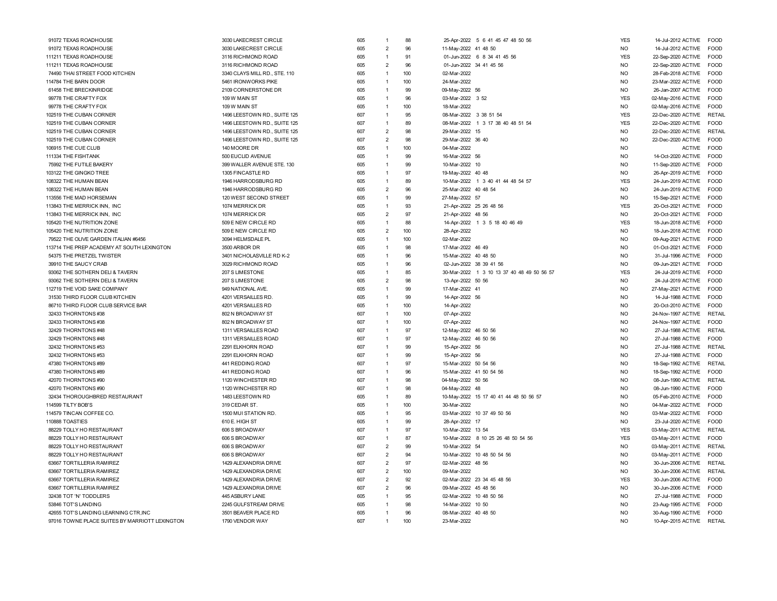| 91072 TEXAS ROADHOUSE                          | 3030 LAKECREST CIRCLE         | 605 |                | 88  | 25-Apr-2022 5 6 41 45 47 48 50 56          | <b>YES</b> | 14-Jul-2012 ACTIVE<br><b>FOOD</b>   |
|------------------------------------------------|-------------------------------|-----|----------------|-----|--------------------------------------------|------------|-------------------------------------|
| 91072 TEXAS ROADHOUSE                          | 3030 LAKECREST CIRCLE         | 605 | $\overline{2}$ | 96  | 11-May-2022 41 48 50                       | <b>NO</b>  | 14-Jul-2012 ACTIVE<br><b>FOOD</b>   |
| 111211 TEXAS ROADHOUSE                         | 3116 RICHMOND ROAD            | 605 | $\overline{1}$ | 91  | 01-Jun-2022 6 8 34 41 45 56                | <b>YES</b> | 22-Sep-2020 ACTIVE<br>FOOD          |
| 111211 TEXAS ROADHOUSE                         | 3116 RICHMOND ROAD            | 605 | $\overline{2}$ | 96  | 01-Jun-2022 34 41 45 56                    | <b>NO</b>  | 22-Sep-2020 ACTIVE<br><b>FOOD</b>   |
| 74490 THAI STREET FOOD KITCHEN                 | 3340 CLAYS MILL RD., STE. 110 | 605 | $\overline{1}$ | 100 | 02-Mar-2022                                | <b>NO</b>  | 28-Feb-2018 ACTIVE<br><b>FOOD</b>   |
| 114784 THE BARN DOOR                           | 5461 IRONWORKS PIKE           | 605 | $\overline{1}$ | 100 | 24-Mar-2022                                | <b>NO</b>  | 23-Mar-2022 ACTIVE<br><b>FOOD</b>   |
| 61458 THE BRECKINRIDGE                         | 2109 CORNERSTONE DR           | 605 | $\mathbf{1}$   | 99  | 09-May-2022 56                             | <b>NO</b>  | 26-Jan-2007 ACTIVE<br><b>FOOD</b>   |
| 99778 THE CRAFTY FOX                           | 109 W MAIN ST                 | 605 | $\mathbf{1}$   | 96  | 03-Mar-2022 3 52                           | <b>YES</b> | 02-May-2016 ACTIVE<br><b>FOOD</b>   |
| 99778 THE CRAFTY FOX                           | 109 W MAIN ST                 | 605 | $\mathbf{1}$   | 100 | 18-Mar-2022                                | <b>NO</b>  | 02-May-2016 ACTIVE<br><b>FOOD</b>   |
| 102519 THE CUBAN CORNER                        | 1496 LEESTOWN RD., SUITE 125  | 607 | 1              | 95  | 08-Mar-2022 3 38 51 54                     | <b>YES</b> | 22-Dec-2020 ACTIVE<br><b>RETAIL</b> |
| 102519 THE CUBAN CORNER                        | 1496 LEESTOWN RD., SUITE 125  | 607 |                | 89  | 08-Mar-2022 1 3 17 38 40 48 51 54          | <b>YES</b> | 22-Dec-2020 ACTIVE<br><b>FOOD</b>   |
| 102519 THE CUBAN CORNER                        | 1496 LEESTOWN RD., SUITE 125  | 607 | $\overline{2}$ | 98  | 29-Mar-2022 15                             | <b>NO</b>  | 22-Dec-2020 ACTIVE<br><b>RETAIL</b> |
| 102519 THE CUBAN CORNER                        | 1496 LEESTOWN RD., SUITE 125  | 607 | $\overline{2}$ | 98  | 29-Mar-2022 36 40                          | <b>NO</b>  | 22-Dec-2020 ACTIVE<br><b>FOOD</b>   |
| 106915 THE CUE CLUB                            | 140 MOORE DR                  | 605 | $\overline{1}$ | 100 | 04-Mar-2022                                | <b>NO</b>  | <b>ACTIVE</b><br><b>FOOD</b>        |
| 111334 THE FISHTANK                            | 500 EUCLID AVENUE             | 605 | $\overline{1}$ | 99  | 16-Mar-2022 56                             | <b>NO</b>  | 14-Oct-2020 ACTIVE<br><b>FOOD</b>   |
| 75992 THE FUTILE BAKERY                        | 399 WALLER AVENUE STE. 130    | 605 | -1             | 99  | 10-Mar-2022 10                             | <b>NO</b>  | 11-Sep-2020 ACTIVE<br>FOOD          |
|                                                |                               |     | $\mathbf{1}$   | 97  |                                            | <b>NO</b>  |                                     |
| 103122 THE GINGKO TREE                         | 1305 FINCASTLE RD             | 605 | $\mathbf{1}$   | 89  | 19-May-2022 40 48                          | <b>YES</b> | 26-Apr-2019 ACTIVE<br><b>FOOD</b>   |
| 108322 THE HUMAN BEAN                          | 1946 HARRODSBURG RD           | 605 |                |     | 10-Mar-2022 1 3 40 41 44 48 54 57          |            | 24-Jun-2019 ACTIVE<br><b>FOOD</b>   |
| 108322 THE HUMAN BEAN                          | 1946 HARRODSBURG RD           | 605 | $\overline{2}$ | 96  | 25-Mar-2022 40 48 54                       | <b>NO</b>  | 24-Jun-2019 ACTIVE<br><b>FOOD</b>   |
| 113556 THE MAD HORSEMAN                        | 120 WEST SECOND STREET        | 605 | 1              | 99  | 27-May-2022 57                             | <b>NO</b>  | 15-Sep-2021 ACTIVE<br><b>FOOD</b>   |
| 113843 THE MERRICK INN, INC                    | 1074 MERRICK DR               | 605 | 1              | 93  | 21-Apr-2022 25 26 48 56                    | <b>YES</b> | 20-Oct-2021 ACTIVE<br><b>FOOD</b>   |
| 113843 THE MERRICK INN, INC                    | 1074 MERRICK DR               | 605 | $\overline{2}$ | 97  | 21-Apr-2022 48 56                          | <b>NO</b>  | 20-Oct-2021 ACTIVE<br>FOOD          |
| 105420 THE NUTRITION ZONE                      | 509 E NEW CIRCLE RD           | 605 | $\mathbf{1}$   | 88  | 14-Apr-2022 1 3 5 18 40 46 49              | <b>YES</b> | 18-Jun-2018 ACTIVE<br><b>FOOD</b>   |
| 105420 THE NUTRITION ZONE                      | 509 E NEW CIRCLE RD           | 605 | $\overline{2}$ | 100 | 28-Apr-2022                                | <b>NO</b>  | 18-Jun-2018 ACTIVE<br><b>FOOD</b>   |
| 79522 THE OLIVE GARDEN ITALIAN #6456           | 3094 HELMSDALE PL             | 605 | $\overline{1}$ | 100 | 02-Mar-2022                                | <b>NO</b>  | <b>FOOD</b><br>09-Aug-2021 ACTIVE   |
| 113714 THE PREP ACADEMY AT SOUTH LEXINGTON     | 3500 ARBOR DR                 | 605 | $\mathbf{1}$   | 98  | 17-Mar-2022 46 49                          | <b>NO</b>  | 01-Oct-2021 ACTIVE<br><b>FOOD</b>   |
| 54375 THE PRETZEL TWISTER                      | 3401 NICHOLASVILLE RD K-2     | 605 | $\mathbf{1}$   | 96  | 15-Mar-2022 40 48 50                       | <b>NO</b>  | 31-Jul-1996 ACTIVE<br>FOOD          |
| 39910 THE SAUCY CRAB                           | 3029 RICHMOND ROAD            | 605 | 1              | 96  | 02-Jun-2022 38 39 41 56                    | <b>NO</b>  | 09-Jun-2021 ACTIVE<br><b>FOOD</b>   |
| 93062 THE SOTHERN DELI & TAVERN                | 207 S LIMESTONE               | 605 | $\mathbf{1}$   | 85  | 30-Mar-2022 1 3 10 13 37 40 48 49 50 56 57 | <b>YES</b> | 24-Jul-2019 ACTIVE<br><b>FOOD</b>   |
| 93062 THE SOTHERN DELI & TAVERN                | 207 S LIMESTONE               | 605 | $\overline{2}$ | 98  | 13-Apr-2022 50 56                          | <b>NO</b>  | 24-Jul-2019 ACTIVE<br>FOOD          |
| 112719 THE VOID SAKE COMPANY                   | 949 NATIONAL AVE.             | 605 | 1              | 99  | 17-Mar-2022 41                             | <b>NO</b>  | 27-May-2021 ACTIVE<br><b>FOOD</b>   |
| 31530 THIRD FLOOR CLUB KITCHEN                 | 4201 VERSAILLES RD            | 605 | 1              | 99  | 14-Apr-2022 56                             | <b>NO</b>  | 14-Jul-1988 ACTIVE<br><b>FOOD</b>   |
| 86710 THIRD FLOOR CLUB SERVICE BAR             | 4201 VERSAILLES RD            | 605 | $\overline{1}$ | 100 | 14-Apr-2022                                | <b>NO</b>  | 20-Oct-2010 ACTIVE<br><b>FOOD</b>   |
| 32433 THORNTONS #38                            | 802 N BROADWAY ST             | 607 | $\mathbf{1}$   | 100 | 07-Apr-2022                                | <b>NO</b>  | 24-Nov-1997 ACTIVE<br><b>RETAIL</b> |
| 32433 THORNTONS #38                            | 802 N BROADWAY ST             | 607 | $\overline{1}$ | 100 | 07-Apr-2022                                | <b>NO</b>  | 24-Nov-1997 ACTIVE<br><b>FOOD</b>   |
| 32429 THORNTONS #48                            | 1311 VERSAILLES ROAD          | 607 |                | 97  | 12-May-2022 46 50 56                       | <b>NO</b>  | <b>RETAIL</b><br>27-Jul-1988 ACTIVE |
| 32429 THORNTONS #48                            | 1311 VERSAILLES ROAD          | 607 | $\mathbf{1}$   | 97  | 12-May-2022 46 50 56                       | <b>NO</b>  | 27-Jul-1988 ACTIVE<br><b>FOOD</b>   |
| 32432 THORNTONS #53                            | 2291 ELKHORN ROAD             | 607 | -1             | 99  | 15-Apr-2022 56                             | <b>NO</b>  | 27-Jul-1988 ACTIVE<br>RETAIL        |
| 32432 THORNTONS #53                            | 2291 ELKHORN ROAD             | 607 | $\mathbf{1}$   | 99  | 15-Apr-2022 56                             | <b>NO</b>  | 27-Jul-1988 ACTIVE<br><b>FOOD</b>   |
| 47380 THORNTONS #89                            | 441 REDDING ROAD              | 607 | $\mathbf{1}$   | 97  | 15-Mar-2022 50 54 56                       | <b>NO</b>  | 18-Sep-1992 ACTIVE<br><b>RETAIL</b> |
| 47380 THORNTONS #89                            | 441 REDDING ROAD              | 607 |                | 96  | 15-Mar-2022 41 50 54 56                    | <b>NO</b>  | 18-Sep-1992 ACTIVE<br>FOOD          |
| 42070 THORNTONS #90                            | 1120 WINCHESTER RD            | 607 | 1              | 98  | 04-May-2022 50 56                          | <b>NO</b>  | 08-Jun-1990 ACTIVE<br>RETAIL        |
| 42070 THORNTONS #90                            | 1120 WINCHESTER RD            | 607 | $\mathbf{1}$   | 98  | 04-May-2022 48                             | <b>NO</b>  | 08-Jun-1990 ACTIVE<br><b>FOOD</b>   |
| 32434 THOROUGHBRED RESTAURANT                  | 1483 LEESTOWN RD              | 605 | $\mathbf{1}$   | 89  | 10-May-2022 15 17 40 41 44 48 50 56 57     | <b>NO</b>  | 05-Feb-2010 ACTIVE<br><b>FOOD</b>   |
| 114599 TILTY BOB'S                             | 319 CEDAR ST.                 | 605 | $\mathbf{1}$   | 100 | 30-Mar-2022                                | <b>NO</b>  | 04-Mar-2022 ACTIVE<br><b>FOOD</b>   |
| 114579 TINCAN COFFEE CO.                       | 1500 MUI STATION RD.          | 605 | $\overline{1}$ | 95  | 03-Mar-2022 10 37 49 50 56                 | <b>NO</b>  | 03-Mar-2022 ACTIVE<br><b>FOOD</b>   |
| 110888 TOASTIES                                | 610 E. HIGH ST                | 605 | $\mathbf{1}$   | 99  | 28-Apr-2022 17                             | <b>NO</b>  | 23-Jul-2020 ACTIVE<br>FOOD          |
| 88229 TOLLY HO RESTAURANT                      | 606 S BROADWAY                | 607 | $\mathbf{1}$   | 97  | 10-Mar-2022 13 54                          | <b>YES</b> | 03-May-2011 ACTIVE<br>RETAIL        |
| 88229 TOLLY HO RESTAURANT                      | 606 S BROADWAY                | 607 | 1              | 87  | 10-Mar-2022 8 10 25 26 48 50 54 56         | <b>YES</b> | 03-May-2011 ACTIVE<br>FOOD          |
| 88229 TOLLY HO RESTAURANT                      | 606 S BROADWAY                | 607 | $\overline{2}$ | 99  | 10-Mar-2022 54                             | <b>NO</b>  | 03-May-2011 ACTIVE<br><b>RETAIL</b> |
| 88229 TOLLY HO RESTAURANT                      | 606 S BROADWAY                | 607 | $\overline{2}$ | 94  | 10-Mar-2022 10 48 50 54 56                 | <b>NO</b>  | 03-May-2011 ACTIVE<br>FOOD          |
| 63667 TORTILLERIA RAMIREZ                      | 1429 ALEXANDRIA DRIVE         | 607 | $\overline{2}$ | 97  | 02-Mar-2022 48 56                          | <b>NO</b>  | 30-Jun-2006 ACTIVE<br><b>RETAIL</b> |
| 63667 TORTILLERIA RAMIREZ                      | 1429 ALEXANDRIA DRIVE         | 607 | $\overline{2}$ | 100 | 09-Mar-2022                                | <b>NO</b>  | 30-Jun-2006 ACTIVE<br><b>RETAIL</b> |
| 63667 TORTILLERIA RAMIREZ                      | 1429 ALEXANDRIA DRIVE         | 607 | $\overline{2}$ | 92  | 02-Mar-2022 23 34 45 48 56                 | <b>YES</b> | 30-Jun-2006 ACTIVE<br><b>EOOD</b>   |
| 63667 TORTILLERIA RAMIREZ                      | 1429 ALEXANDRIA DRIVE         | 607 | $\overline{2}$ | 96  | 09-Mar-2022 45 48 56                       | <b>NO</b>  | 30-Jun-2006 ACTIVE<br>FOOD          |
| 32438 TOT 'N' TODDLERS                         | 445 ASBURY LANE               | 605 | $\mathbf{1}$   | 95  | 02-Mar-2022 10 48 50 56                    | <b>NO</b>  | 27-Jul-1988 ACTIVE<br>FOOD          |
| 53846 TOT'S LANDING                            | 2245 GULFSTREAM DRIVE         | 605 | $\mathbf{1}$   | 98  | 14-Mar-2022 10 50                          | <b>NO</b>  | 23-Aug-1995 ACTIVE<br><b>FOOD</b>   |
| 42655 TOT'S LANDING LEARNING CTR, INC          | 3501 BEAVER PLACE RD          | 605 | 1              | 96  | 08-Mar-2022 40 48 50                       | <b>NO</b>  | 30-Aug-1990 ACTIVE<br>FOOD          |
| 97016 TOWNE PLACE SUITES BY MARRIOTT LEXINGTON | 1790 VENDOR WAY               | 607 |                | 100 | 23-Mar-2022                                | <b>NO</b>  | 10-Apr-2015 ACTIVE<br><b>RETAIL</b> |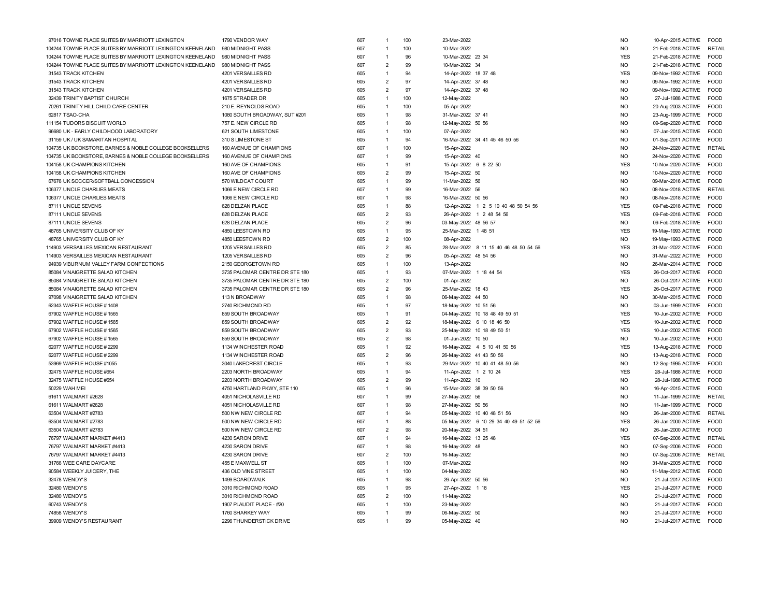| 97016 TOWNE PLACE SUITES BY MARRIOTT LEXINGTON            | 1790 VENDOR WAY                | 607 | $\overline{1}$ | 100      | 23-Mar-2022                           | <b>NO</b>      | 10-Apr-2015 ACTIVE | FOOD          |
|-----------------------------------------------------------|--------------------------------|-----|----------------|----------|---------------------------------------|----------------|--------------------|---------------|
| 104244 TOWNE PLACE SUITES BY MARRIOTT LEXINGTON KEENELAND | 980 MIDNIGHT PASS              | 607 | $\overline{1}$ | 100      | 10-Mar-2022                           | <b>NO</b>      | 21-Feb-2018 ACTIVE | RETAIL        |
| 104244 TOWNE PLACE SUITES BY MARRIOTT LEXINGTON KEENELAND | 980 MIDNIGHT PASS              | 607 | $\overline{1}$ | 96       | 10-Mar-2022 23 34                     | <b>YES</b>     | 21-Feb-2018 ACTIVE | <b>FOOD</b>   |
| 104244 TOWNE PLACE SUITES BY MARRIOTT LEXINGTON KEENELAND | 980 MIDNIGHT PASS              | 607 | $\overline{2}$ | 99       | 10-Mar-2022 34                        | <b>NO</b>      | 21-Feb-2018 ACTIVE | <b>FOOD</b>   |
| 31543 TRACK KITCHEN                                       | 4201 VERSAILLES RD             | 605 | $\overline{1}$ | 94       | 14-Apr-2022 18 37 48                  | <b>YES</b>     | 09-Nov-1992 ACTIVE | <b>FOOD</b>   |
| 31543 TRACK KITCHEN                                       | 4201 VERSAILLES RD             | 605 | $\overline{2}$ | 97       | 14-Apr-2022 37 48                     | <b>NO</b>      | 09-Nov-1992 ACTIVE | FOOD          |
| 31543 TRACK KITCHEN                                       | 4201 VERSAILLES RD             | 605 | $\overline{2}$ | 97       | 14-Apr-2022 37 48                     | N <sub>O</sub> | 09-Nov-1992 ACTIVE | FOOD          |
| 32439 TRINITY BAPTIST CHURCH                              | 1675 STRADER DR                | 605 | $\overline{1}$ | 100      | 12-May-2022                           | <b>NO</b>      | 27-Jul-1988 ACTIVE | FOOD          |
| 70261 TRINITY HILL CHILD CARE CENTER                      | 210 E. REYNOLDS ROAD           | 605 | $\overline{1}$ | 100      | 05-Apr-2022                           | N <sub>O</sub> | 20-Aug-2003 ACTIVE | <b>FOOD</b>   |
| 62817 TSAO-CHA                                            | 1080 SOUTH BROADWAY, SUT #201  | 605 | $\overline{1}$ | 98       | 31-Mar-2022 37 41                     | <b>NO</b>      | 23-Aug-1999 ACTIVE | <b>FOOD</b>   |
| 111154 TUDORS BISCUIT WORLD                               | 757 E. NEW CIRCLE RD           | 605 | $\overline{1}$ | 98       | 12-May-2022 50 56                     | N <sub>O</sub> | 09-Sep-2020 ACTIVE | <b>FOOD</b>   |
| 96680 UK - EARLY CHILDHOOD LABORATORY                     | 621 SOUTH LIMESTONE            | 605 | $\overline{1}$ | 100      | 07-Apr-2022                           | N <sub>O</sub> | 07-Jan-2015 ACTIVE | <b>FOOD</b>   |
| 31159 UK / UK SAMARITAN HOSPITAL                          | 310 S LIMESTONE ST             | 605 | $\overline{1}$ | 94       | 16-Mar-2022 34 41 45 46 50 56         | <b>NO</b>      | 01-Sep-2011 ACTIVE | <b>FOOD</b>   |
| 104735 UK BOOKSTORE, BARNES & NOBLE COLLEGE BOOKSELLERS   | 160 AVENUE OF CHAMPIONS        | 607 | $\overline{1}$ | 100      | 15-Apr-2022                           | N <sub>O</sub> | 24-Nov-2020 ACTIVE | <b>RETAIL</b> |
| 104735 UK BOOKSTORE, BARNES & NOBLE COLLEGE BOOKSELLERS   | 160 AVENUE OF CHAMPIONS        | 607 | $\overline{1}$ | 99       | 15-Apr-2022 40                        | <b>NO</b>      | 24-Nov-2020 ACTIVE | FOOD          |
| 104158 UK CHAMPIONS KITCHEN                               | 160 AVE OF CHAMPIONS           | 605 | $\overline{1}$ | 91       | 15-Apr-2022 6 8 22 50                 | <b>YES</b>     | 10-Nov-2020 ACTIVE | <b>FOOD</b>   |
| 104158 UK CHAMPIONS KITCHEN                               | 160 AVE OF CHAMPIONS           | 605 | $\overline{2}$ | 99       | 15-Apr-2022 50                        | <b>NO</b>      | 10-Nov-2020 ACTIVE | <b>FOOD</b>   |
| 67676 UK SOCCER/SOFTBALL CONCESSION                       | 570 WILDCAT COURT              | 605 | $\overline{1}$ | 99       | 11-Mar-2022 56                        | N <sub>O</sub> | 09-Mar-2016 ACTIVE | <b>FOOD</b>   |
| 106377 UNCLE CHARLIES MEATS                               | 1066 E NEW CIRCLE RD           | 607 | $\overline{1}$ | 99       | 16-Mar-2022 56                        | <b>NO</b>      | 08-Nov-2018 ACTIVE | RETAIL        |
| 106377 UNCLE CHARLIES MEATS                               | 1066 E NEW CIRCLE RD           | 607 | $\overline{1}$ | 98       | 16-Mar-2022 50 56                     | <b>NO</b>      | 08-Nov-2018 ACTIVE | FOOD          |
| 87111 UNCLE SEVENS                                        | 628 DELZAN PLACE               | 605 | $\overline{1}$ | 88       | 12-Apr-2022 1 2 5 10 40 48 50 54 56   | <b>YES</b>     | 09-Feb-2018 ACTIVE | <b>FOOD</b>   |
| 87111 UNCLE SEVENS                                        | 628 DELZAN PLACE               | 605 | $\overline{2}$ | 93       | 26-Apr-2022 1 2 48 54 56              | <b>YES</b>     | 09-Feb-2018 ACTIVE | FOOD          |
| 87111 UNCLE SEVENS                                        | 628 DELZAN PLACE               | 605 | $\overline{2}$ | 96       | 03-May-2022 48 56 57                  | <b>NO</b>      | 09-Feb-2018 ACTIVE | <b>FOOD</b>   |
| 48765 UNIVERSITY CLUB OF KY                               | 4850 LEESTOWN RD               | 605 | $\overline{1}$ | 95       | 25-Mar-2022 1 48 51                   | <b>YES</b>     | 19-May-1993 ACTIVE | <b>FOOD</b>   |
| 48765 UNIVERSITY CLUB OF KY                               | 4850 LEESTOWN RD               | 605 | $\overline{2}$ | 100      | 08-Apr-2022                           | <b>NO</b>      | 19-May-1993 ACTIVE | FOOD          |
| 114903 VERSAILLES MEXICAN RESTAURANT                      | 1205 VERSAILLES RD             | 605 | $\overline{2}$ | 85       | 28-Mar-2022 8 11 15 40 46 48 50 54 56 | <b>YES</b>     | 31-Mar-2022 ACTIVE | FOOD          |
| 114903 VERSAILLES MEXICAN RESTAURANT                      | 1205 VERSAILLES RD             | 605 | $\overline{2}$ | 96       | 05-Apr-2022 48 54 56                  | <b>NO</b>      | 31-Mar-2022 ACTIVE | <b>EOOD</b>   |
| 94939 VIBURNUM VALLEY FARM CONFECTIONS                    | 2150 GEORGETOWN RD             | 605 | $\overline{1}$ | 100      | 13-Apr-2022                           | <b>NO</b>      | 26-Mar-2014 ACTIVE | <b>FOOD</b>   |
| 85084 VINAIGRETTE SALAD KITCHEN                           | 3735 PALOMAR CENTRE DR STE 180 | 605 | $\overline{1}$ | 93       | 07-Mar-2022 1 18 44 54                | <b>YES</b>     | 26-Oct-2017 ACTIVE | <b>FOOD</b>   |
| 85084 VINAIGRETTE SALAD KITCHEN                           | 3735 PALOMAR CENTRE DR STE 180 | 605 | $\overline{2}$ | 100      | 01-Apr-2022                           | <b>NO</b>      | 26-Oct-2017 ACTIVE | <b>FOOD</b>   |
| 85084 VINAIGRETTE SALAD KITCHEN                           | 3735 PALOMAR CENTRE DR STE 180 | 605 | $\overline{2}$ | 96       | 25-Mar-2022 18 43                     | <b>YES</b>     | 26-Oct-2017 ACTIVE | <b>FOOD</b>   |
| 97098 VINAIGRETTE SALAD KITCHEN                           | 113 N BROADWAY                 | 605 | $\overline{1}$ | 98       | 06-May-2022 44 50                     | N <sub>O</sub> | 30-Mar-2015 ACTIVE | <b>FOOD</b>   |
| 62343 WAFFLE HOUSE #1408                                  | 2740 RICHMOND RD               | 605 | $\overline{1}$ | 97       | 18-May-2022 10 51 56                  | N <sub>O</sub> | 03-Jun-1999 ACTIVE | <b>FOOD</b>   |
|                                                           |                                | 605 | $\overline{1}$ | 91       |                                       | <b>YES</b>     |                    | <b>EOOD</b>   |
| 67902 WAFFLE HOUSE #1565                                  | 859 SOUTH BROADWAY             |     | $\overline{2}$ |          | 04-May-2022 10 18 48 49 50 51         |                | 10-Jun-2002 ACTIVE |               |
| 67902 WAFFLE HOUSE #1565                                  | 859 SOUTH BROADWAY             | 605 |                | 92<br>93 | 18-May-2022 6 10 18 46 50             | <b>YES</b>     | 10-Jun-2002 ACTIVE | <b>FOOD</b>   |
| 67902 WAFFLE HOUSE #1565                                  | 859 SOUTH BROADWAY             | 605 | $\overline{2}$ |          | 25-May-2022 10 18 49 50 51            | <b>YES</b>     | 10-Jun-2002 ACTIVE | <b>FOOD</b>   |
| 67902 WAFFLE HOUSE #1565                                  | 859 SOUTH BROADWAY             | 605 | $\overline{2}$ | 98       | 01-Jun-2022 10 50                     | <b>NO</b>      | 10-Jun-2002 ACTIVE | <b>FOOD</b>   |
| 62077 WAFFLE HOUSE # 2299                                 | 1134 WINCHESTER ROAD           | 605 | $\overline{1}$ | 92       | 16-May-2022 4 5 10 41 50 56           | <b>YES</b>     | 13-Aug-2018 ACTIVE | FOOD          |
| 62077 WAFFLE HOUSE #2299                                  | 1134 WINCHESTER ROAD           | 605 | $\overline{2}$ | 96       | 26-May-2022 41 43 50 56               | N <sub>O</sub> | 13-Aug-2018 ACTIVE | <b>FOOD</b>   |
| 53969 WAFFLE HOUSE #1055                                  | 3040 LAKECREST CIRCLE          | 605 | $\overline{1}$ | 93       | 29-Mar-2022 10 40 41 48 50 56         | N <sub>O</sub> | 12-Sep-1995 ACTIVE | <b>FOOD</b>   |
| 32475 WAFFLE HOUSE #654                                   | 2203 NORTH BROADWAY            | 605 | $\overline{1}$ | 94       | 11-Apr-2022 1 2 10 24                 | <b>YES</b>     | 28-Jul-1988 ACTIVE | FOOD          |
| 32475 WAFFLE HOUSE #654                                   | 2203 NORTH BROADWAY            | 605 | $\overline{2}$ | 99       | 11-Apr-2022 10                        | <b>NO</b>      | 28-Jul-1988 ACTIVE | FOOD          |
| 50229 WAH MEI                                             | 4750 HARTLAND PKWY, STE 110    | 605 | $\overline{1}$ | 96       | 15-Mar-2022 38 39 50 56               | N <sub>O</sub> | 16-Apr-2015 ACTIVE | <b>FOOD</b>   |
| 61611 WALMART #2628                                       | 4051 NICHOLASVILLE RD          | 607 | $\overline{1}$ | 99       | 27-May-2022 56                        | N <sub>O</sub> | 11-Jan-1999 ACTIVE | RETAIL        |
| 61611 WALMART #2628                                       | 4051 NICHOLASVILLE RD          | 607 | $\overline{1}$ | 98       | 27-May-2022 50 56                     | <b>NO</b>      | 11-Jan-1999 ACTIVE | <b>EOOD</b>   |
| 63504 WALMART #2783                                       | 500 NW NEW CIRCLE RD           | 607 | $\overline{1}$ | 94       | 05-May-2022 10 40 48 51 56            | N <sub>O</sub> | 26-Jan-2000 ACTIVE | RFTAIL        |
| 63504 WALMART #2783                                       | 500 NW NEW CIRCLE RD           | 607 | $\overline{1}$ | 88       | 05-May-2022 6 10 29 34 40 49 51 52 56 | <b>YES</b>     | 26-Jan-2000 ACTIVE | <b>FOOD</b>   |
| 63504 WALMART #2783                                       | 500 NW NEW CIRCLE RD           | 607 | $\overline{2}$ | 98       | 20-May-2022 34 51                     | <b>NO</b>      | 26-Jan-2000 ACTIVE | <b>FOOD</b>   |
| 76797 WALMART MARKET #4413                                | 4230 SARON DRIVE               | 607 | $\overline{1}$ | 94       | 16-May-2022 13 25 48                  | <b>YES</b>     | 07-Sep-2006 ACTIVE | RETAIL        |
| 76797 WALMART MARKET #4413                                | 4230 SARON DRIVE               | 607 | $\overline{1}$ | 98       | 16-May-2022 48                        | N <sub>O</sub> | 07-Sep-2006 ACTIVE | <b>FOOD</b>   |
| 76797 WALMART MARKET #4413                                | 4230 SARON DRIVE               | 607 | $\overline{2}$ | 100      | 16-May-2022                           | N <sub>O</sub> | 07-Sep-2006 ACTIVE | <b>RETAIL</b> |
| 31766 WEE CARE DAYCARE                                    | 455 E MAXWELL ST               | 605 | $\overline{1}$ | 100      | 07-Mar-2022                           | <b>NO</b>      | 31-Mar-2005 ACTIVE | FOOD          |
| 90584 WEEKLY JUICERY, THE                                 | 436 OLD VINE STREET            | 605 | $\overline{1}$ | 100      | 04-May-2022                           | <b>NO</b>      | 11-May-2012 ACTIVE | <b>FOOD</b>   |
| 32478 WENDY'S                                             | 1499 BOARDWALK                 | 605 | $\overline{1}$ | 98       | 26-Apr-2022 50 56                     | <b>NO</b>      | 21-Jul-2017 ACTIVE | <b>EOOD</b>   |
| 32480 WENDY'S                                             | 3010 RICHMOND ROAD             | 605 | $\overline{1}$ | 95       | 27-Apr-2022 1 18                      | <b>YES</b>     | 21-Jul-2017 ACTIVE | <b>FOOD</b>   |
| 32480 WENDY'S                                             | 3010 RICHMOND ROAD             | 605 | $\overline{2}$ | 100      | 11-May-2022                           | N <sub>O</sub> | 21-Jul-2017 ACTIVE | <b>FOOD</b>   |
| 60743 WENDY'S                                             | 1907 PLAUDIT PLACE - #20       | 605 | $\overline{1}$ | 100      | 23-May-2022                           | N <sub>O</sub> | 21-Jul-2017 ACTIVE | <b>FOOD</b>   |
| 74858 WENDY'S                                             | 1760 SHARKEY WAY               | 605 | $\overline{1}$ | 99       | 06-May-2022 50                        | N <sub>O</sub> | 21-Jul-2017 ACTIVE | <b>FOOD</b>   |
| 39909 WENDY'S RESTAURANT                                  | 2296 THUNDERSTICK DRIVE        | 605 | $\overline{1}$ | 99       | 05-May-2022 40                        | <b>NO</b>      | 21-Jul-2017 ACTIVE | <b>FOOD</b>   |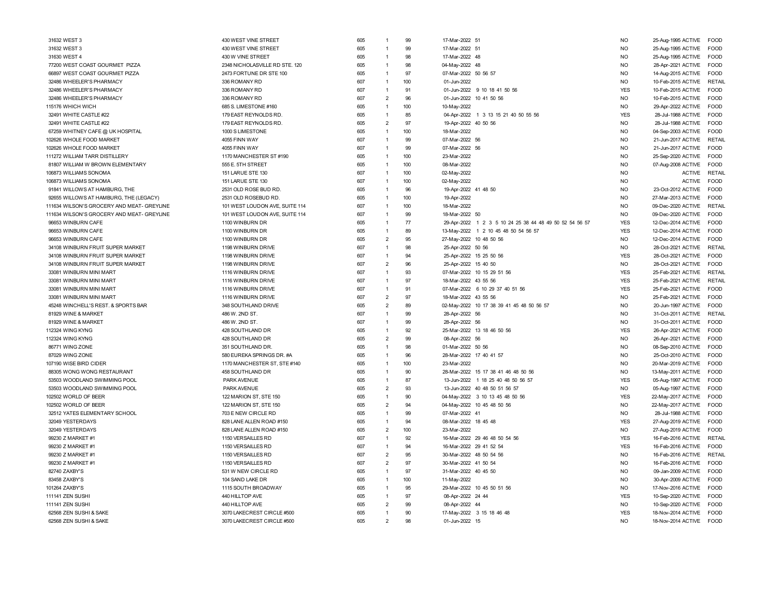| 31632 WEST 3                               | 430 WEST VINE STREET           | 605 | $\mathbf{1}$   | 99       | 17-Mar-2022 51       |                                                         | <b>NO</b>      | 25-Aug-1995 ACTIVE | <b>FOOD</b>   |
|--------------------------------------------|--------------------------------|-----|----------------|----------|----------------------|---------------------------------------------------------|----------------|--------------------|---------------|
| 31632 WEST 3                               | 430 WEST VINE STREET           | 605 | $\overline{1}$ | 99       | 17-Mar-2022 51       |                                                         | <b>NO</b>      | 25-Aug-1995 ACTIVE | <b>FOOD</b>   |
| 31630 WEST 4                               | 430 W VINE STREET              | 605 | $\overline{1}$ | 98       | 17-Mar-2022 48       |                                                         | N <sub>O</sub> | 25-Aug-1995 ACTIVE | FOOD          |
| 77200 WEST COAST GOURMET PIZZA             | 2348 NICHOLASVILLE RD STE. 120 | 605 | $\mathbf{1}$   | 98       | 04-May-2022 48       |                                                         | <b>NO</b>      | 28-Apr-2021 ACTIVE | FOOD          |
| 66897 WEST COAST GOURMET PIZZA             | 2473 FORTUNE DR STE 100        | 605 | $\mathbf{1}$   | 97       | 07-Mar-2022 50 56 57 |                                                         | <b>NO</b>      | 14-Aug-2015 ACTIVE | FOOD          |
| 32486 WHEELER'S PHARMACY                   | 336 ROMANY RD                  | 607 | $\mathbf{1}$   | 100      | 01-Jun-2022          |                                                         | <b>NO</b>      | 10-Feb-2015 ACTIVE | <b>RETAIL</b> |
| 32486 WHEELER'S PHARMACY                   | 336 ROMANY RD                  | 607 | 1              | 91       |                      | 01-Jun-2022 9 10 18 41 50 56                            | <b>YES</b>     | 10-Feb-2015 ACTIVE | <b>FOOD</b>   |
| 32486 WHEELER'S PHARMACY                   | 336 ROMANY RD                  | 607 | $\overline{2}$ | 96       |                      | 01-Jun-2022 10 41 50 56                                 | <b>NO</b>      | 10-Feb-2015 ACTIVE | <b>FOOD</b>   |
| 115176 WHICH WICH                          | 685 S. LIMESTONE #160          | 605 | $\overline{1}$ | 100      | 10-May-2022          |                                                         | N <sub>O</sub> | 29-Apr-2022 ACTIVE | <b>FOOD</b>   |
| 32491 WHITE CASTLE #22                     | 179 EAST REYNOLDS RD.          | 605 | $\overline{1}$ | 85       |                      | 04-Apr-2022 1 3 13 15 21 40 50 55 56                    | <b>YES</b>     | 28-Jul-1988 ACTIVE | FOOD          |
| 32491 WHITE CASTLE #22                     | 179 EAST REYNOLDS RD.          | 605 | $\overline{2}$ | 97       | 19-Apr-2022 40 50 56 |                                                         | N <sub>O</sub> | 28-Jul-1988 ACTIVE | <b>FOOD</b>   |
| 67259 WHITNEY CAFE @ UK HOSPITAL           | 1000 S LIMESTONE               | 605 | $\mathbf{1}$   | 100      | 18-Mar-2022          |                                                         | N <sub>O</sub> | 04-Sep-2003 ACTIVE | <b>FOOD</b>   |
| 102626 WHOLE FOOD MARKET                   | 4055 FINN WAY                  | 607 | $\overline{1}$ | 99       | 07-Mar-2022 56       |                                                         | N <sub>O</sub> | 21-Jun-2017 ACTIVE | <b>RETAIL</b> |
| 102626 WHOLE FOOD MARKET                   | 4055 FINN WAY                  | 607 | $\overline{1}$ | 99       | 07-Mar-2022 56       |                                                         | N <sub>O</sub> | 21-Jun-2017 ACTIVE | <b>FOOD</b>   |
| 111272 WILLIAM TARR DISTILLERY             | 1170 MANCHESTER ST #190        | 605 | $\overline{1}$ | 100      | 23-Mar-2022          |                                                         | <b>NO</b>      | 25-Sep-2020 ACTIVE | FOOD          |
| 81807 WILLIAM W BROWN ELEMENTARY           | 555 E. 5TH STREET              | 605 | 1              | 100      | 08-Mar-2022          |                                                         | <b>NO</b>      | 07-Aug-2008 ACTIVE | <b>FOOD</b>   |
| 06873 WILLIAMS SONOMA                      | 151 LARUE STE 130              | 607 | $\mathbf{1}$   | 100      | 02-May-2022          |                                                         | <b>NO</b>      | <b>ACTIVE</b>      | <b>RETAIL</b> |
| 106873 WILLIAMS SONOMA                     | 151 LARUE STE 130              | 607 | $\mathbf{1}$   | 100      | 02-May-2022          |                                                         | <b>NO</b>      | <b>ACTIVE</b>      | <b>FOOD</b>   |
| 91841 WILLOWS AT HAMBURG, THE              | 2531 OLD ROSE BUD RD.          | 605 | 1              | 96       | 19-Apr-2022 41 48 50 |                                                         | <b>NO</b>      | 23-Oct-2012 ACTIVE | <b>FOOD</b>   |
| 92655 WILLOWS AT HAMBURG, THE (LEGACY)     | 2531 OLD ROSEBUD RD.           | 605 | $\overline{1}$ | 100      | 19-Apr-2022          |                                                         | N <sub>O</sub> | 27-Mar-2013 ACTIVE | <b>EOOD</b>   |
| 111634 WILSON'S GROCERY AND MEAT- GREYLINE | 101 WEST LOUDON AVE, SUITE 114 | 607 | $\overline{1}$ | 100      | 18-Mar-2022          |                                                         | <b>NO</b>      | 09-Dec-2020 ACTIVE | <b>RETAIL</b> |
| 111634 WILSON'S GROCERY AND MEAT- GREYLINE | 101 WEST LOUDON AVE, SUITE 114 | 607 | 1              | 99       | 18-Mar-2022 50       |                                                         | N <sub>O</sub> | 09-Dec-2020 ACTIVE | FOOD          |
| 96653 WINBURN CAFE                         | 1100 WINBURN DR                | 605 | 1              | 77       |                      | 29-Apr-2022 1 2 3 5 10 24 25 38 44 48 49 50 52 54 56 57 | <b>YES</b>     | 12-Dec-2014 ACTIVE | <b>FOOD</b>   |
| 96653 WINBURN CAFE                         | 1100 WINBURN DR                | 605 | $\overline{1}$ | 89       |                      | 13-May-2022 1 2 10 45 48 50 54 56 57                    | <b>YES</b>     | 12-Dec-2014 ACTIVE | <b>EOOD</b>   |
| 96653 WINBURN CAFE                         | 1100 WINBURN DR                | 605 | $\overline{2}$ | 95       |                      | 27-May-2022 10 48 50 56                                 | N <sub>O</sub> | 12-Dec-2014 ACTIVE | <b>FOOD</b>   |
| 34108 WINBURN FRUIT SUPER MARKET           | 1198 WINBURN DRIVE             | 607 | $\overline{1}$ | 98       | 25-Apr-2022 50 56    |                                                         | <b>NO</b>      | 28-Oct-2021 ACTIVE | RETAIL        |
| 34108 WINBURN FRUIT SUPER MARKET           | 1198 WINBURN DRIVE             | 607 | 1              | 94       |                      | 25-Apr-2022 15 25 50 56                                 | <b>YES</b>     | 28-Oct-2021 ACTIVE | <b>EOOD</b>   |
| 34108 WINBURN FRUIT SUPER MARKET           | 1198 WINBURN DRIVE             | 607 | $\overline{2}$ | 96       | 25-Apr-2022 15 40 50 |                                                         | <b>NO</b>      | 28-Oct-2021 ACTIVE | FOOD          |
| 33081 WINBURN MINI MART                    | 1116 WINBURN DRIVE             | 607 | 1              | 93       |                      | 07-Mar-2022 10 15 29 51 56                              | <b>YES</b>     | 25-Feb-2021 ACTIVE | RETAIL        |
| 33081 WINBURN MINI MART                    | 1116 WINBURN DRIVE             | 607 | 1              | 97       | 18-Mar-2022 43 55 56 |                                                         | <b>YES</b>     | 25-Feb-2021 ACTIVE | <b>RETAIL</b> |
| 33081 WINBURN MINI MART                    | 1116 WINBURN DRIVE             | 607 | 1              | 91       |                      | 07-Mar-2022 6 10 29 37 40 51 56                         | <b>YES</b>     | 25-Feb-2021 ACTIVE | <b>FOOD</b>   |
| 33081 WINBURN MINI MART                    | 1116 WINBURN DRIVE             | 607 | $\overline{2}$ | 97       | 18-Mar-2022 43 55 56 |                                                         | N <sub>O</sub> | 25-Feb-2021 ACTIVE | <b>FOOD</b>   |
| 45248 WINCHELL'S REST. & SPORTS BAR        | 348 SOUTHLAND DRIVE            | 605 | $\overline{2}$ | 89       |                      | 02-May-2022 10 17 38 39 41 45 48 50 56 57               | <b>NO</b>      | 20-Jun-1997 ACTIVE | FOOD          |
| 81929 WINE & MARKET                        | 486 W. 2ND ST.                 | 607 | 1              | 99       | 28-Apr-2022 56       |                                                         | N <sub>O</sub> | 31-Oct-2011 ACTIVE | RETAIL        |
|                                            |                                | 607 | $\mathbf{1}$   | 99       |                      |                                                         | N <sub>O</sub> |                    | <b>FOOD</b>   |
| 81929 WINE & MARKET                        | 486 W. 2ND ST.                 |     | $\overline{1}$ | 92       | 28-Apr-2022 56       |                                                         | <b>YES</b>     | 31-Oct-2011 ACTIVE | <b>FOOD</b>   |
| 12324 WING KYNG                            | 428 SOUTHLAND DR               | 605 |                |          |                      | 25-Mar-2022 13 18 46 50 56                              |                | 26-Apr-2021 ACTIVE |               |
| 112324 WING KYNG                           | 428 SOUTHLAND DR               | 605 | $\overline{2}$ | 99<br>98 | 08-Apr-2022 56       |                                                         | <b>NO</b>      | 26-Apr-2021 ACTIVE | <b>FOOD</b>   |
| 86771 WING ZONE                            | 351 SOUTHLAND DR.              | 605 | $\overline{1}$ |          | 01-Mar-2022 50 56    |                                                         | N <sub>O</sub> | 08-Sep-2010 ACTIVE | <b>FOOD</b>   |
| 87029 WING ZONE                            | 580 EUREKA SPRINGS DR. #A      | 605 | 1              | 96       |                      | 28-Mar-2022 17 40 41 57                                 | <b>NO</b>      | 25-Oct-2010 ACTIVE | FOOD          |
| 107190 WISE BIRD CIDER                     | 1170 MANCHESTER ST, STE #140   | 605 | $\mathbf{1}$   | 100      | 23-Mar-2022          |                                                         | <b>NO</b>      | 20-Mar-2019 ACTIVE | <b>FOOD</b>   |
| 88305 WONG WONG RESTAURANT                 | 458 SOUTHLAND DR               | 605 | 1              | 90       |                      | 28-Mar-2022 15 17 38 41 46 48 50 56                     | <b>NO</b>      | 13-May-2011 ACTIVE | <b>FOOD</b>   |
| 53503 WOODLAND SWIMMING POOL               | PARK AVENUE                    | 605 | 1              | 87       |                      | 13-Jun-2022 1 18 25 40 48 50 56 57                      | <b>YES</b>     | 05-Aug-1997 ACTIVE | <b>FOOD</b>   |
| 53503 WOODLAND SWIMMING POOL               | PARK AVENUE                    | 605 | $\overline{2}$ | 93       |                      | 13-Jun-2022 40 48 50 51 56 57                           | <b>NO</b>      | 05-Aug-1997 ACTIVE | <b>FOOD</b>   |
| 102502 WORLD OF BEER                       | 122 MARION ST. STE 150         | 605 | $\overline{1}$ | 90       |                      | 04-May-2022 3 10 13 45 48 50 56                         | <b>YES</b>     | 22-May-2017 ACTIVE | <b>FOOD</b>   |
| 102502 WORLD OF BEER                       | 122 MARION ST, STE 150         | 605 | $\overline{2}$ | 94       |                      | 04-May-2022 10 45 48 50 56                              | <b>NO</b>      | 22-May-2017 ACTIVE | FOOD          |
| 32512 YATES ELEMENTARY SCHOOL              | 703 E NEW CIRCLE RD            | 605 | $\mathbf{1}$   | 99       | 07-Mar-2022 41       |                                                         | <b>NO</b>      | 28-Jul-1988 ACTIVE | <b>FOOD</b>   |
| 32049 YESTERDAYS                           | 828 LANE ALLEN ROAD #150       | 605 | 1              | 94       | 08-Mar-2022 18 45 48 |                                                         | <b>YES</b>     | 27-Aug-2019 ACTIVE | <b>FOOD</b>   |
| 32049 YESTERDAYS                           | 828 LANE ALLEN ROAD #150       | 605 | $\overline{2}$ | 100      | 23-Mar-2022          |                                                         | <b>NO</b>      | 27-Aug-2019 ACTIVE | FOOD          |
| 99230 Z MARKET #1                          | 1150 VERSAILLES RD             | 607 | $\overline{1}$ | 92       |                      | 16-Mar-2022 29 46 48 50 54 56                           | <b>YES</b>     | 16-Feb-2016 ACTIVE | RETAIL        |
| 99230 Z MARKET #1                          | 1150 VERSAILLES RD             | 607 | $\overline{1}$ | 94       |                      | 16-Mar-2022 29 41 52 54                                 | <b>YES</b>     | 16-Feb-2016 ACTIVE | <b>FOOD</b>   |
| 99230 Z MARKET #1                          | 1150 VERSAILLES RD             | 607 | $\overline{2}$ | 95       |                      | 30-Mar-2022 48 50 54 56                                 | <b>NO</b>      | 16-Feb-2016 ACTIVE | RETAIL        |
| 99230 Z MARKET #1                          | 1150 VERSAILLES RD             | 607 | $\overline{2}$ | 97       | 30-Mar-2022 41 50 54 |                                                         | <b>NO</b>      | 16-Feb-2016 ACTIVE | <b>FOOD</b>   |
| 82740 ZAXBY'S                              | 531 W NEW CIRCLE RD            | 605 | $\mathbf{1}$   | 97       | 31-Mar-2022 40 45 50 |                                                         | <b>NO</b>      | 09-Jan-2009 ACTIVE | <b>FOOD</b>   |
| 83458 ZAXBY'S                              | 104 SAND LAKE DR               | 605 | $\overline{1}$ | 100      | 11-May-2022          |                                                         | N <sub>O</sub> | 30-Apr-2009 ACTIVE | <b>FOOD</b>   |
| 101264 ZAXBY'S                             | 1115 SOUTH BROADWAY            | 605 | $\overline{1}$ | 95       |                      | 29-Mar-2022 10 45 50 51 56                              | <b>NO</b>      | 17-Nov-2016 ACTIVE | <b>FOOD</b>   |
| 111141 ZEN SUSHI                           | 440 HILLTOP AVE                | 605 | $\overline{1}$ | 97       | 08-Apr-2022 24 44    |                                                         | <b>YES</b>     | 10-Sep-2020 ACTIVE | <b>FOOD</b>   |
| 111141 ZEN SUSHI                           | 440 HILLTOP AVE                | 605 | $\overline{2}$ | 99       | 08-Apr-2022 44       |                                                         | N <sub>O</sub> | 10-Sep-2020 ACTIVE | FOOD          |
| 62568 ZEN SUSHI & SAKE                     | 3070 LAKECREST CIRCLE #500     | 605 | $\mathbf{1}$   | 90       |                      | 17-May-2022 3 15 18 46 48                               | <b>YES</b>     | 18-Nov-2014 ACTIVE | <b>FOOD</b>   |
| 62568 ZEN SUSHI & SAKE                     | 3070 LAKECREST CIRCLE #500     | 605 | $\mathfrak{p}$ | 98       | 01-Jun-2022 15       |                                                         | N <sub>O</sub> | 18-Nov-2014 ACTIVE | FOOD          |